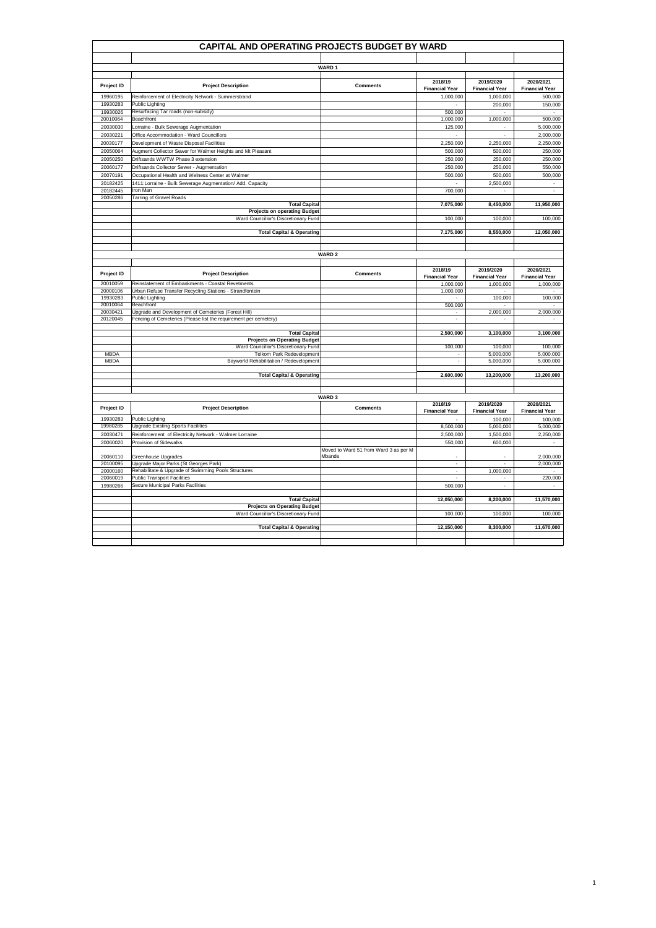|                      | CAPITAL AND OPERATING PROJECTS BUDGET BY WARD                                                                  |                                                 |                                  |                                    |                                    |
|----------------------|----------------------------------------------------------------------------------------------------------------|-------------------------------------------------|----------------------------------|------------------------------------|------------------------------------|
|                      |                                                                                                                |                                                 |                                  |                                    |                                    |
|                      |                                                                                                                | <b>WARD1</b>                                    |                                  |                                    |                                    |
|                      |                                                                                                                |                                                 |                                  |                                    |                                    |
| Project ID           | <b>Project Description</b>                                                                                     | Comments                                        | 2018/19<br><b>Financial Year</b> | 2019/2020<br><b>Financial Year</b> | 2020/2021<br><b>Financial Year</b> |
| 19960195             | Reinforcement of Electricity Network - Summerstrand                                                            |                                                 | 1.000.000                        | 1.000.000                          | 500.000                            |
| 19930283             | Public Lighting                                                                                                |                                                 |                                  | 200,000                            | 150,000                            |
| 19930026<br>20010064 | Resurfacing Tar roads (non-subsidy)<br>Beachfront                                                              |                                                 | 500,000                          |                                    |                                    |
|                      |                                                                                                                |                                                 | 1,000,000                        | 1,000,000                          | 500,000                            |
| 20030030             | Lorraine - Bulk Sewerage Augmentation<br>Office Accommodation - Ward Councillors                               |                                                 | 125,000<br>L.                    |                                    | 5,000,000                          |
| 20030221             |                                                                                                                |                                                 |                                  |                                    | 2,000,000                          |
| 20030177             | Development of Waste Disposal Facilities<br>Augment Collector Sewer for Walmer Heights and Mt Pleasant         |                                                 | 2,250,000<br>500,000             | 2,250,000                          | 2,250,000                          |
| 20050064             | Driftsands WWTW Phase 3 extension                                                                              |                                                 | 250,000                          | 500,000<br>250,000                 | 250,000<br>250,000                 |
| 20050250             | Driftsands Collector Sewer - Augmentation                                                                      |                                                 |                                  |                                    |                                    |
| 20060177             |                                                                                                                |                                                 | 250,000                          | 250,000                            | 550,000                            |
| 20070191             | Occupational Health and Welness Center at Walmer<br>1411: Lorraine - Bulk Sewerage Augmentation/ Add. Capacity |                                                 | 500,000                          | 500,000                            | 500,000                            |
| 20182425<br>20182445 | Iron Man                                                                                                       |                                                 | 700,000                          | 2,500,000<br>$\sim$                | $\overline{\phantom{a}}$           |
| 20050286             | <b>Tarring of Gravel Roads</b>                                                                                 |                                                 |                                  |                                    |                                    |
|                      | <b>Total Capital</b>                                                                                           |                                                 | 7,075,000                        | 8,450,000                          | 11,950,000                         |
|                      | <b>Projects on operating Budget</b>                                                                            |                                                 |                                  |                                    |                                    |
|                      | Ward Councillor's Discretionary Fund                                                                           |                                                 | 100,000                          | 100,000                            | 100,000                            |
|                      | <b>Total Capital &amp; Operating</b>                                                                           |                                                 | 7,175,000                        | 8,550,000                          | 12,050,000                         |
|                      |                                                                                                                |                                                 |                                  |                                    |                                    |
|                      |                                                                                                                |                                                 |                                  |                                    |                                    |
|                      |                                                                                                                | <b>WARD 2</b>                                   |                                  |                                    |                                    |
|                      |                                                                                                                |                                                 |                                  |                                    |                                    |
| Project ID           | <b>Project Description</b>                                                                                     | <b>Comments</b>                                 | 2018/19<br><b>Financial Year</b> | 2019/2020<br><b>Financial Year</b> | 2020/2021<br><b>Financial Year</b> |
| 20010059<br>20000106 | Reinstatement of Embankments - Coastal Revetments<br>Urban Refuse Transfer Recycling Stations - Strandfontein  |                                                 | 1.000.000<br>1,000,000           | 1,000,000                          | 1,000,000                          |
| 19930283             | Public Lighting                                                                                                |                                                 | $\sim$                           | 100,000                            | 100,000                            |
| 20010064             | Beachfront                                                                                                     |                                                 | 500,000                          | $\sim$                             |                                    |
| 20030421             | Upgrade and Development of Cemeteries (Forest Hill)                                                            |                                                 | $\sim$                           | 2,000,000                          | 2,000,000                          |
| 20120045             | Fencing of Cemeteries (Please list the requirement per cemetery)                                               |                                                 | $\sim$                           |                                    |                                    |
|                      |                                                                                                                |                                                 |                                  |                                    |                                    |
|                      | <b>Total Capital</b>                                                                                           |                                                 | 2,500,000                        | 3,100,000                          | 3,100,000                          |
|                      | <b>Projects on Operating Budget</b><br>Ward Councillor's Discretionary Fund                                    |                                                 | 100,000                          | 100,000                            | 100,000                            |
| <b>MBDA</b>          | Telkom Park Redevelopment                                                                                      |                                                 |                                  | 5,000,000                          | 5,000,000                          |
| <b>MBDA</b>          | Bayworld Rehabilitation / Redevelopment                                                                        |                                                 | $\sim$                           | 5,000,000                          | 5,000,000                          |
|                      |                                                                                                                |                                                 |                                  |                                    |                                    |
|                      | <b>Total Capital &amp; Operating</b>                                                                           |                                                 | 2,600,000                        | 13,200,000                         | 13,200,000                         |
|                      |                                                                                                                |                                                 |                                  |                                    |                                    |
|                      |                                                                                                                | <b>WARD3</b>                                    |                                  |                                    |                                    |
|                      |                                                                                                                |                                                 | 2018/19                          | 2019/2020                          | 2020/2021                          |
| Project ID           | <b>Project Description</b>                                                                                     | <b>Comments</b>                                 | <b>Financial Year</b>            | <b>Financial Year</b>              | <b>Financial Year</b>              |
| 19930283             | <b>Public Lighting</b>                                                                                         |                                                 |                                  | 100,000                            | 100,000                            |
| 19980285             | <b>Upgrade Existing Sports Facilities</b>                                                                      |                                                 | 8,500,000                        | 5,000,000                          | 5,000,000                          |
| 20030471             | Reinforcement of Electricity Network - Walmer Lorraine                                                         |                                                 | 2,500,000                        | 1,500,000                          | 2,250,000                          |
| 20060020             | Provision of Sidewalks                                                                                         |                                                 | 550,000                          | 600,000                            |                                    |
| 20060110             | Greenhouse Upgrades                                                                                            | Moved to Ward 51 from Ward 3 as per M<br>Mhande |                                  |                                    | 2,000,000                          |
| 20100095             | Upgrade Major Parks (St Georges Park)                                                                          |                                                 | $\sim$                           | $\sim$                             | 2,000,000                          |
| 20000160             | Rehabilitate & Upgrade of Swimming Pools Structures                                                            |                                                 | $\sim$                           | 1,000,000                          |                                    |
| 20060019             | <b>Public Transport Facilities</b>                                                                             |                                                 |                                  |                                    | 220,000                            |
| 19980266             | Secure Municipal Parks Facilities                                                                              |                                                 | 500,000                          | ÷,                                 |                                    |
|                      |                                                                                                                |                                                 |                                  |                                    |                                    |
|                      | <b>Total Capital</b><br><b>Projects on Operating Budget</b>                                                    |                                                 | 12,050,000                       | 8,200,000                          | 11,570,000                         |
|                      | Ward Councillor's Discretionary Fund                                                                           |                                                 | 100,000                          | 100,000                            | 100,000                            |
|                      |                                                                                                                |                                                 |                                  |                                    |                                    |
|                      | <b>Total Capital &amp; Operating</b>                                                                           |                                                 | 12,150,000                       | 8,300,000                          | 11,670,000                         |
|                      |                                                                                                                |                                                 |                                  |                                    |                                    |
|                      |                                                                                                                |                                                 |                                  |                                    |                                    |

1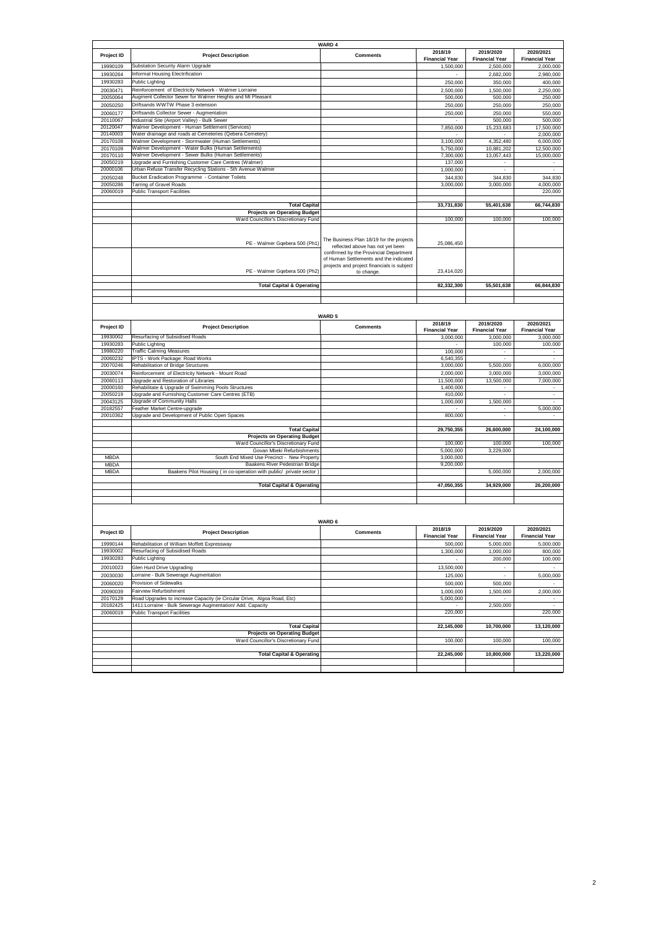|             |                                                                         | <b>WARD 4</b>                              |                       |                          |                       |
|-------------|-------------------------------------------------------------------------|--------------------------------------------|-----------------------|--------------------------|-----------------------|
| Project ID  | <b>Project Description</b>                                              | <b>Comments</b>                            | 2018/19               | 2019/2020                | 2020/2021             |
|             |                                                                         |                                            | <b>Financial Year</b> | <b>Financial Year</b>    | <b>Financial Year</b> |
| 19990109    | Substation Security Alarm Upgrade                                       |                                            | 1,500,000             | 2,500,000                | 2,000,000             |
| 19930264    | Informal Housing Electrification                                        |                                            |                       | 2,682,000                | 2,980,000             |
| 19930283    | Public Lighting                                                         |                                            | 250,000               | 350,000                  | 400,000               |
| 20030471    | Reinforcement of Electricity Network - Walmer Lorraine                  |                                            | 2,500,000             | 1,500,000                | 2,250,000             |
| 20050064    | Augment Collector Sewer for Walmer Heights and Mt Pleasant              |                                            | 500,000               | 500,000                  | 250,000               |
| 20050250    | Driftsands WWTW Phase 3 extension                                       |                                            | 250,000               | 250,000                  | 250,000               |
| 20060177    | Driftsands Collector Sewer - Augmentation                               |                                            | 250,000               | 250,000                  | 550,000               |
| 20110067    | Industrial Site (Airport Valley) - Bulk Sewer                           |                                            |                       | 500,000                  | 500,000               |
| 20120047    | Walmer Development - Human Settlement (Services)                        |                                            | 7,850,000             | 15,233,683               | 17,500,000            |
| 20140003    | Water drainage and roads at Cemeteries (Qebera Cemetery)                |                                            |                       |                          | 2,000,000             |
| 20170108    | Walmer Development - Stormwater (Human Settlements)                     |                                            | 3,100,000             | 4,352,480                | 6,000,000             |
| 20170109    | <b>Nalmer Development - Water Bulks (Human Settlements)</b>             |                                            | 5,750,000             | 10,881,202               | 12,500,000            |
| 20170110    | Walmer Development - Sewer Bulks (Human Settlements)                    |                                            | 7,300,000             | 13,057,443               | 15,000,000            |
| 20050219    | Upgrade and Furnishing Customer Care Centres (Walmer)                   |                                            | 137,000               | $\overline{\phantom{a}}$ |                       |
| 20000106    | Urban Refuse Transfer Recycling Stations - 5th Avenue Walmer            |                                            | 1,000,000             | $\sim$                   |                       |
| 20050248    | Bucket Eradication Programme - Container Toilets                        |                                            | 344,830               | 344,830                  | 344,830               |
| 20050286    | <b>Tarring of Gravel Roads</b>                                          |                                            | 3,000,000             | 3,000,000                | 4,000,000             |
| 20060019    | <b>Public Transport Facilities</b>                                      |                                            |                       |                          | 220,000               |
|             |                                                                         |                                            |                       |                          |                       |
|             | <b>Total Capital</b>                                                    |                                            | 33,731,830            | 55,401,638               | 66,744,830            |
|             | <b>Projects on Operating Budget</b>                                     |                                            |                       |                          |                       |
|             | Ward Councillor's Discretionary Fund                                    |                                            | 100,000               | 100,000                  | 100,000               |
|             |                                                                         |                                            |                       |                          |                       |
|             |                                                                         |                                            |                       |                          |                       |
|             |                                                                         | The Business Plan 18/19 for the projects   |                       |                          |                       |
|             | PE - Walmer Gqebera 500 (Ph1)                                           | reflected above has not yet been           | 25,086,450            |                          |                       |
|             |                                                                         | confirmed by the Provincial Department     |                       |                          |                       |
|             |                                                                         | of Human Settlements and the indicated     |                       |                          |                       |
|             |                                                                         | projects and project financials is subject |                       |                          |                       |
|             | PE - Walmer Gqebera 500 (Ph2)                                           | to change                                  | 23,414,020            |                          |                       |
|             |                                                                         |                                            |                       |                          |                       |
|             | <b>Total Capital &amp; Operating</b>                                    |                                            | 82,332,300            | 55,501,638               | 66.844.830            |
|             |                                                                         |                                            |                       |                          |                       |
|             |                                                                         |                                            |                       |                          |                       |
|             |                                                                         |                                            |                       |                          |                       |
|             |                                                                         | <b>WARD 5</b>                              |                       |                          |                       |
|             |                                                                         |                                            | 2018/19               | 2019/2020                | 2020/2021             |
| Project ID  | <b>Project Description</b>                                              | <b>Comments</b>                            | <b>Financial Year</b> | <b>Financial Year</b>    | <b>Financial Year</b> |
| 19930002    | Resurfacing of Subsidised Roads                                         |                                            | 3,000,000             | 3,000,000                | 3,000,000             |
| 19930283    | Public Lighting                                                         |                                            |                       | 100,000                  | 100,000               |
| 19980220    | <b>Traffic Calming Measures</b>                                         |                                            | 100,000               |                          |                       |
| 20060232    | IPTS - Work Package: Road Works                                         |                                            | 6,540,355             |                          |                       |
| 20070246    | Rehabilitation of Bridge Structures                                     |                                            | 3,000,000             | 5,500,000                | 6,000,000             |
| 20030074    | Reinforcement of Electricity Network - Mount Road                       |                                            | 2,000,000             | 3,000,000                | 3,000,000             |
| 20060113    | Upgrade and Restoration of Libraries                                    |                                            | 11,500,000            | 13,500,000               | 7,000,000             |
| 20000160    | Rehabilitate & Upgrade of Swimming Pools Structures                     |                                            | 1,400,000             |                          |                       |
| 20050219    | Upgrade and Furnishing Customer Care Centres (ETB)                      |                                            | 410,000               |                          | $\sim$                |
| 20043125    | Upgrade of Community Halls                                              |                                            | 1,000,000             | 1,500,000                |                       |
| 20182557    | Feather Market Centre-upgrade                                           |                                            |                       |                          | 5,000,000             |
| 20010362    | Upgrade and Development of Public Open Spaces                           |                                            | 800,000               |                          |                       |
|             |                                                                         |                                            |                       |                          |                       |
|             | <b>Total Capital</b>                                                    |                                            | 29,750,355            | 26,600,000               | 24,100,000            |
|             | <b>Projects on Operating Budget</b>                                     |                                            |                       |                          |                       |
|             | Ward Councillor's Discretionary Fund                                    |                                            | 100,000               | 100,000                  | 100,000               |
|             | Govan Mbeki Refurbishments                                              |                                            | 5,000,000             | 3,229,000                |                       |
| <b>MBDA</b> | South End Mixed Use Precinct - New Property                             |                                            | 3,000,000             |                          |                       |
| MBDA        | Baakens River Pedestrian Bridge                                         |                                            | 9,200,000             |                          |                       |
| <b>MBDA</b> | Baakens Pilot Housing ( in co-operation with public/ private sector )   |                                            |                       | 5,000,000                | 2,000,000             |
|             |                                                                         |                                            |                       |                          |                       |
|             | <b>Total Capital &amp; Operating</b>                                    |                                            | 47,050,355            | 34,929,000               | 26,200,000            |
|             |                                                                         |                                            |                       |                          |                       |
|             |                                                                         |                                            |                       |                          |                       |
|             |                                                                         |                                            |                       |                          |                       |
|             |                                                                         |                                            |                       |                          |                       |
|             |                                                                         | <b>WARD 6</b>                              |                       |                          |                       |
|             |                                                                         |                                            | 2018/19               | 2019/2020                | 2020/2021             |
| Project ID  | <b>Project Description</b>                                              | <b>Comments</b>                            | <b>Financial Year</b> | <b>Financial Year</b>    | <b>Financial Year</b> |
|             |                                                                         |                                            |                       |                          |                       |
| 19990144    | Rehabilitation of William Moffett Expressway                            |                                            | 500,000               | 5,000,000                | 5,000,000             |
| 19930002    | Resurfacing of Subsidised Roads                                         |                                            | 1,300,000             | 1,000,000                | 800,000               |
| 19930283    | Public Lighting                                                         |                                            |                       | 200,000                  | 100,000               |
| 20010023    | Glen Hurd Drive Upgrading                                               |                                            | 13,500,000            |                          |                       |
| 20030030    | Lorraine - Bulk Sewerage Augmentation                                   |                                            | 125,000               | ÷.                       | 5,000,000             |
| 20060020    | Provision of Sidewalks                                                  |                                            | 500,000               | 500,000                  |                       |
| 20090039    | Fairview Refurbishment                                                  |                                            | 1,000,000             | 1,500,000                | 2,000,000             |
| 20170129    | Road Upgrades to increase Capacity (ie Circular Drive, Algoa Road, Etc) |                                            | 5,000,000             |                          |                       |
| 20182425    | 1411: Lorraine - Bulk Sewerage Augmentation/ Add. Capacity              |                                            |                       | 2,500,000                |                       |
| 20060019    |                                                                         |                                            | 220,000               |                          | 220,000               |
|             | <b>Public Transport Facilities</b>                                      |                                            |                       |                          |                       |
|             | <b>Total Capital</b>                                                    |                                            | 22,145,000            | 10,700,000               | 13,120,000            |
|             | <b>Projects on Operating Budget</b>                                     |                                            |                       |                          |                       |
|             | Ward Councillor's Discretionary Fund                                    |                                            | 100,000               | 100,000                  | 100,000               |
|             |                                                                         |                                            |                       |                          |                       |
|             | <b>Total Capital &amp; Operating</b>                                    |                                            | 22,245,000            | 10,800,000               | 13,220,000            |
|             |                                                                         |                                            |                       |                          |                       |
|             |                                                                         |                                            |                       |                          |                       |
|             |                                                                         |                                            |                       |                          |                       |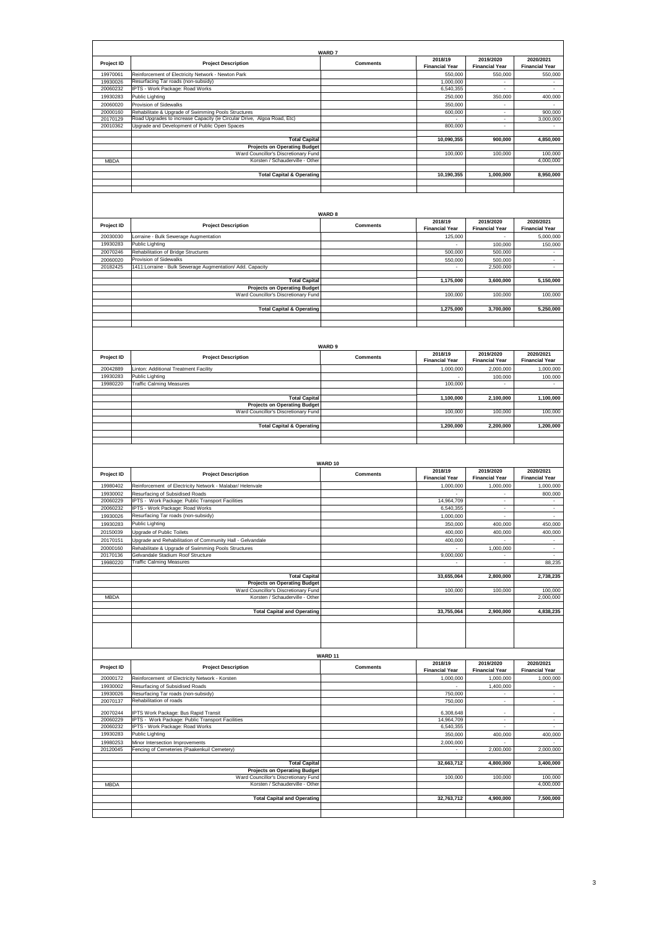| Project ID           | <b>Project Description</b>                                                                | <b>WARD7</b><br><b>Comments</b> | 2018/19                            | 2019/2020                           | 2020/2021                                              |
|----------------------|-------------------------------------------------------------------------------------------|---------------------------------|------------------------------------|-------------------------------------|--------------------------------------------------------|
|                      |                                                                                           |                                 | <b>Financial Year</b>              | <b>Financial Year</b>               | <b>Financial Year</b>                                  |
| 19970061<br>19930026 | Reinforcement of Electricity Network - Newton Park<br>Resurfacing Tar roads (non-subsidy) |                                 | 550,000<br>1,000,000               | 550,000<br>$\overline{\phantom{a}}$ | 550,000                                                |
| 20060232             | PTS - Work Package: Road Works                                                            |                                 | 6,540,355                          | ÷                                   |                                                        |
| 19930283             | Public Lighting                                                                           |                                 | 250,000                            | 350,000                             | 400,000                                                |
| 20060020<br>20000160 | Provision of Sidewalks<br>Rehabilitate & Upgrade of Swimming Pools Structures             |                                 | 350,000<br>600,000                 | ٠<br>÷                              | 900,000                                                |
| 20170129             | Road Upgrades to increase Capacity (ie Circular Drive, Algoa Road, Etc)                   |                                 |                                    | $\cdot$                             | 3,000,000                                              |
| 20010362             | Upgrade and Development of Public Open Spaces                                             |                                 | 800,000                            | ÷,                                  |                                                        |
|                      | <b>Total Capital</b>                                                                      |                                 | 10,090,355                         | 900,000                             | 4,850,000                                              |
|                      | <b>Projects on Operating Budget</b>                                                       |                                 |                                    |                                     |                                                        |
|                      | Ward Councillor's Discretionary Fund<br>Korsten / Schauderville - Other                   |                                 | 100,000                            | 100,000                             | 100,000                                                |
| <b>MBDA</b>          |                                                                                           |                                 |                                    |                                     | 4,000,000                                              |
|                      | <b>Total Capital &amp; Operating</b>                                                      |                                 | 10,190,355                         | 1,000,000                           | 8,950,000                                              |
|                      |                                                                                           |                                 |                                    |                                     |                                                        |
|                      |                                                                                           |                                 |                                    |                                     |                                                        |
|                      |                                                                                           |                                 |                                    |                                     |                                                        |
|                      |                                                                                           | <b>WARD 8</b>                   | 2018/19                            | 2019/2020                           | 2020/2021                                              |
| Project ID           | <b>Project Description</b>                                                                | <b>Comments</b>                 | <b>Financial Year</b>              | <b>Financial Year</b>               | <b>Financial Year</b>                                  |
| 20030030             | orraine - Bulk Sewerage Augmentation                                                      |                                 | 125,000                            |                                     | 5,000,000                                              |
| 19930283<br>20070246 | Public Lighting<br>Rehabilitation of Bridge Structures                                    |                                 | $\sim$<br>500,000                  | 100,000<br>500,000                  | 150,000                                                |
| 20060020             | Provision of Sidewalks                                                                    |                                 | 550,000                            | 500,000                             | $\sim$                                                 |
| 20182425             | 1411: Lorraine - Bulk Sewerage Augmentation/ Add. Capacity                                |                                 | $\overline{\phantom{a}}$           | 2,500,000                           | $\overline{\phantom{a}}$                               |
|                      |                                                                                           |                                 |                                    |                                     |                                                        |
|                      | <b>Total Capital</b><br><b>Projects on Operating Budget</b>                               |                                 | 1,175,000                          | 3,600,000                           | 5,150,000                                              |
|                      | Ward Councillor's Discretionary Fund                                                      |                                 | 100,000                            | 100,000                             | 100,000                                                |
|                      |                                                                                           |                                 |                                    |                                     |                                                        |
|                      | <b>Total Capital &amp; Operating</b>                                                      |                                 | 1,275,000                          | 3,700,000                           | 5,250,000                                              |
|                      |                                                                                           |                                 |                                    |                                     |                                                        |
|                      |                                                                                           |                                 |                                    |                                     |                                                        |
|                      |                                                                                           | WARD 9                          |                                    |                                     |                                                        |
| Project ID           | <b>Project Description</b>                                                                | <b>Comments</b>                 | 2018/19<br><b>Financial Year</b>   | 2019/2020<br><b>Financial Year</b>  | 2020/2021<br><b>Financial Year</b>                     |
| 20042889             | Linton: Additional Treatment Facility                                                     |                                 | 1,000,000                          | 2,000,000                           | 1,000,000                                              |
| 19930283             | Public Lighting                                                                           |                                 |                                    | 100,000                             | 100,000                                                |
| 19980220             | <b>Traffic Calming Measures</b>                                                           |                                 | 100,000                            |                                     |                                                        |
|                      | <b>Total Capital</b>                                                                      |                                 | 1,100,000                          | 2,100,000                           | 1,100,000                                              |
|                      | <b>Projects on Operating Budget</b>                                                       |                                 |                                    |                                     |                                                        |
|                      | Ward Councillor's Discretionary Fund                                                      |                                 | 100,000                            | 100,000                             | 100,000                                                |
|                      |                                                                                           |                                 |                                    | 2,200,000                           | 1,200,000                                              |
|                      |                                                                                           |                                 |                                    |                                     |                                                        |
|                      | <b>Total Capital &amp; Operating</b>                                                      |                                 | 1,200,000                          |                                     |                                                        |
|                      |                                                                                           |                                 |                                    |                                     |                                                        |
|                      |                                                                                           |                                 |                                    |                                     |                                                        |
|                      |                                                                                           | WARD 10                         |                                    |                                     |                                                        |
| Project ID           | <b>Project Description</b>                                                                | <b>Comments</b>                 | 2018/19                            | 2019/2020                           | 2020/2021                                              |
|                      | Reinforcement of Electricity Network - Malabar/ Helenvale                                 |                                 | <b>Financial Year</b><br>1,000,000 | <b>Financial Year</b><br>1,000,000  | <b>Financial Year</b>                                  |
| 19980402<br>19930002 | Resurfacing of Subsidised Roads                                                           |                                 |                                    |                                     | 1,000,000<br>800,000                                   |
| 20060229             | IPTS - Work Package: Public Transport Facilities                                          |                                 | 14,964,709                         |                                     |                                                        |
| 20060232             | PTS - Work Package: Road Works                                                            |                                 | 6,540,355                          |                                     |                                                        |
| 19930026             | Resurfacing Tar roads (non-subsidy)                                                       |                                 | 1,000,000                          | $\sim$                              |                                                        |
| 19930283<br>20150039 | Public Lighting<br>Upgrade of Public Toilets                                              |                                 | 350,000<br>400,000                 | 400,000<br>400,000                  | 450,000                                                |
| 20170151             | Upgrade and Rehabilitation of Community Hall - Gelvandale                                 |                                 | 400,000                            |                                     |                                                        |
| 20000160             | Rehabilitate & Upgrade of Swimming Pools Structures                                       |                                 |                                    | 1,000,000                           | $\blacksquare$                                         |
| 20170136             | Gelvandale Stadium Roof Structure                                                         |                                 | 9,000,000                          | $\sim$<br>$\sim$                    | $\bar{\phantom{a}}$                                    |
| 19980220             | <b>Traffic Calming Measures</b>                                                           |                                 |                                    |                                     |                                                        |
|                      | <b>Total Capital</b>                                                                      |                                 | 33,655,064                         | 2,800,000                           | 2,738,235                                              |
|                      | <b>Projects on Operating Budget</b><br>Ward Councillor's Discretionary Fund               |                                 | 100,000                            | 100,000                             |                                                        |
| MBDA                 | Korsten / Schauderville - Other                                                           |                                 |                                    |                                     | 2,000,000                                              |
|                      |                                                                                           |                                 |                                    |                                     |                                                        |
|                      | <b>Total Capital and Operating</b>                                                        |                                 | 33,755,064                         | 2,900,000                           |                                                        |
|                      |                                                                                           |                                 |                                    |                                     |                                                        |
|                      |                                                                                           |                                 |                                    |                                     |                                                        |
|                      |                                                                                           |                                 |                                    |                                     |                                                        |
|                      |                                                                                           | WARD <sub>11</sub>              |                                    |                                     |                                                        |
| Project ID           | <b>Project Description</b>                                                                | <b>Comments</b>                 | 2018/19<br><b>Financial Year</b>   | 2019/2020<br><b>Financial Year</b>  | 2020/2021<br><b>Financial Year</b>                     |
| 20000172             | Reinforcement of Electricity Network - Korsten                                            |                                 | 1,000,000                          | 1,000,000                           | 400,000<br>88,235<br>100,000<br>4,838,235<br>1,000,000 |
| 19930002             | Resurfacing of Subsidised Roads                                                           |                                 |                                    | 1,400,000                           |                                                        |
| 19930026             | Resurfacing Tar roads (non-subsidy)                                                       |                                 | 750,000                            | $\hat{\phantom{a}}$                 | $\sim$<br>$\sim$                                       |
| 20070137             | Rehabilitation of roads                                                                   |                                 | 750,000                            | $\overline{\phantom{a}}$            |                                                        |
| 20070244<br>20060229 | PTS Work Package: Bus Rapid Transit<br>PTS - Work Package: Public Transport Facilities    |                                 | 6,308,648<br>14,964,709            |                                     |                                                        |
| 20060232             | PTS - Work Package: Road Works                                                            |                                 | 6,540,355                          | ٠                                   | $\sim$                                                 |
| 19930283             | Public Lighting                                                                           |                                 | 350,000                            | 400,000                             |                                                        |
| 19980253             | Minor Intersection Improvements                                                           |                                 | 2,000,000                          |                                     |                                                        |
| 20120045             | Fencing of Cemeteries (Paakenkuil Cemetery)                                               |                                 | $\overline{\phantom{a}}$           | 2,000,000                           | 2,000,000                                              |
|                      | <b>Total Capital</b>                                                                      |                                 | 32,663,712                         | 4,800,000                           | 3,400,000                                              |
|                      | <b>Projects on Operating Budget</b>                                                       |                                 |                                    |                                     |                                                        |
| MBDA                 | Ward Councillor's Discretionary Fund<br>Korsten / Schauderville - Other                   |                                 | 100,000                            | 100,000                             | 100,000<br>4,000,000                                   |
|                      |                                                                                           |                                 |                                    |                                     |                                                        |
|                      | <b>Total Capital and Operating</b>                                                        |                                 | 32,763,712                         | 4,900,000                           | 400,000<br>7,500,000                                   |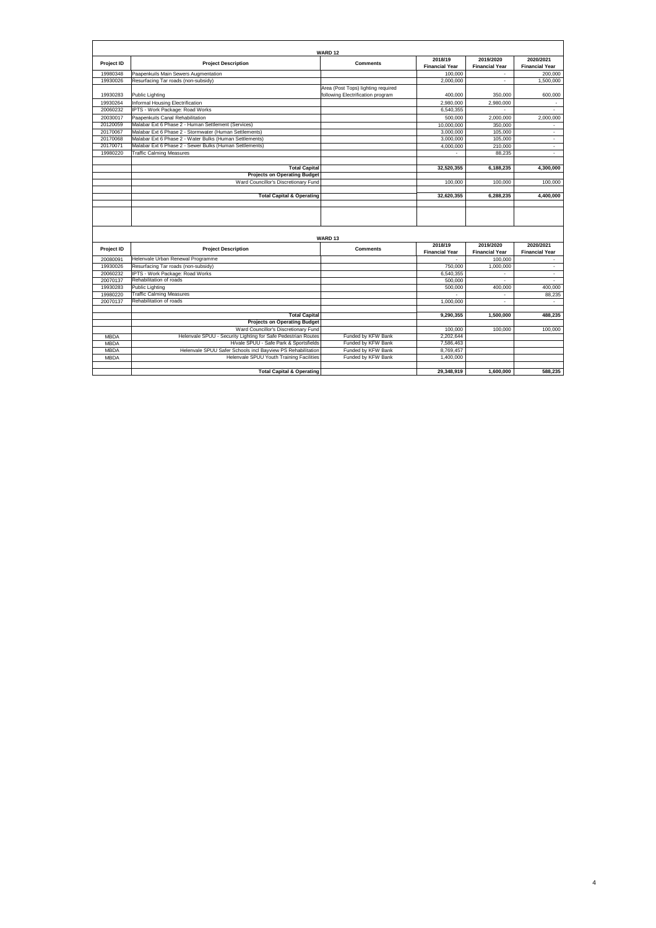|                            |                                                                                                         | WARD <sub>12</sub>                                                      |                                  |                                    |                                    |
|----------------------------|---------------------------------------------------------------------------------------------------------|-------------------------------------------------------------------------|----------------------------------|------------------------------------|------------------------------------|
| Project ID                 | <b>Project Description</b>                                                                              | <b>Comments</b>                                                         | 2018/19                          | 2019/2020                          | 2020/2021                          |
|                            |                                                                                                         |                                                                         | <b>Financial Year</b>            | <b>Financial Year</b>              | <b>Financial Year</b>              |
| 19980348                   | Paapenkuils Main Sewers Augmentation                                                                    |                                                                         | 100,000                          |                                    | 200.000                            |
| 19930026                   | Resurfacing Tar roads (non-subsidy)                                                                     |                                                                         | 2,000,000                        | ä,                                 | 1,500,000                          |
| 19930283                   | Public Lighting                                                                                         | Area (Post Tops) lighting required<br>following Electrification program | 400.000                          | 350,000                            | 600,000                            |
| 19930264                   | Informal Housing Electrification                                                                        |                                                                         | 2.980.000                        | 2.980.000                          |                                    |
| 20060232                   | IPTS - Work Package: Road Works                                                                         |                                                                         | 6,540,355                        | ÷                                  | $\sim$                             |
| 20030017                   | Paapenkuils Canal Rehabilitation                                                                        |                                                                         | 500,000                          | 2,000,000                          | 2,000,000                          |
| 20120059                   | Malabar Ext 6 Phase 2 - Human Settlement (Services)                                                     |                                                                         | 10.000.000                       | 350,000                            |                                    |
| 20170067                   | Malabar Ext 6 Phase 2 - Stormwater (Human Settlements)                                                  |                                                                         | 3.000.000                        | 105,000                            | $\blacksquare$                     |
| 20170068                   | Malabar Ext 6 Phase 2 - Water Bulks (Human Settlements)                                                 |                                                                         | 3.000.000                        | 105,000                            | $\sim$                             |
| 20170071                   | Malabar Ext 6 Phase 2 - Sewer Bulks (Human Settlements)                                                 |                                                                         | 4.000.000                        | 210,000                            | $\sim$                             |
| 19980220                   | <b>Traffic Calming Measures</b>                                                                         |                                                                         |                                  | 88.235                             | $\mathbf{r}$                       |
|                            |                                                                                                         |                                                                         |                                  |                                    |                                    |
|                            | <b>Total Capital</b>                                                                                    |                                                                         | 32,520,355                       | 6,188,235                          | 4,300,000                          |
|                            | <b>Projects on Operating Budget</b>                                                                     |                                                                         |                                  |                                    |                                    |
|                            | Ward Councillor's Discretionary Fund                                                                    |                                                                         | 100,000                          | 100.000                            | 100,000                            |
|                            |                                                                                                         |                                                                         |                                  |                                    |                                    |
|                            | <b>Total Capital &amp; Operating</b>                                                                    |                                                                         | 32,620,355                       | 6,288,235                          | 4,400,000                          |
|                            |                                                                                                         | WARD <sub>13</sub>                                                      |                                  |                                    |                                    |
| Project ID                 | <b>Project Description</b>                                                                              | <b>Comments</b>                                                         | 2018/19<br><b>Financial Year</b> | 2019/2020<br><b>Financial Year</b> | 2020/2021<br><b>Financial Year</b> |
| 20080091                   | Helenvale Urban Renewal Programme                                                                       |                                                                         |                                  | 100,000                            |                                    |
| 19930026                   | Resurfacing Tar roads (non-subsidy)                                                                     |                                                                         | 750,000                          | 1.000.000                          | ٠                                  |
| 20060232                   | IPTS - Work Package: Road Works                                                                         |                                                                         | 6.540.355                        |                                    | $\sim$                             |
| 20070137                   | Rehabilitation of roads                                                                                 |                                                                         | 500.000                          | $\overline{a}$                     | $\bar{\phantom{a}}$                |
| 19930283                   | Public Lighting                                                                                         |                                                                         | 500.000                          | 400.000                            | 400,000                            |
| 19980220                   | <b>Traffic Calming Measures</b>                                                                         |                                                                         |                                  | ÷.                                 | 88.235                             |
| 20070137                   | Rehabilitation of roads                                                                                 |                                                                         | 1,000,000                        | $\overline{a}$                     | ÷                                  |
|                            |                                                                                                         |                                                                         |                                  |                                    |                                    |
|                            | <b>Total Capital</b>                                                                                    |                                                                         | 9.290.355                        | 1.500.000                          | 488.235                            |
|                            | <b>Projects on Operating Budget</b>                                                                     |                                                                         |                                  |                                    |                                    |
|                            | Ward Councillor's Discretionary Fund                                                                    |                                                                         | 100,000                          | 100,000                            | 100,000                            |
| <b>MBDA</b><br><b>MBDA</b> | Helenvale SPUU - Security Lighting for Safe Pedestrian Routes<br>H/vale SPUU - Safe Park & Sportsfields | Funded by KFW Bank<br>Funded by KFW Bank                                | 2,202,644<br>7,586,463           |                                    |                                    |
| <b>MBDA</b>                | Helenvale SPUU Safer Schools incl Bayview PS Rehabilitation                                             | Funded by KFW Bank                                                      | 8,769,457                        |                                    |                                    |
| <b>MBDA</b>                | Helenvale SPUU Youth Training Facilities                                                                | Funded by KFW Bank                                                      | 1.400.000                        |                                    |                                    |
|                            |                                                                                                         |                                                                         |                                  |                                    |                                    |
|                            | <b>Total Capital &amp; Operating</b>                                                                    |                                                                         | 29,348,919                       | 1.600.000                          | 588.235                            |

4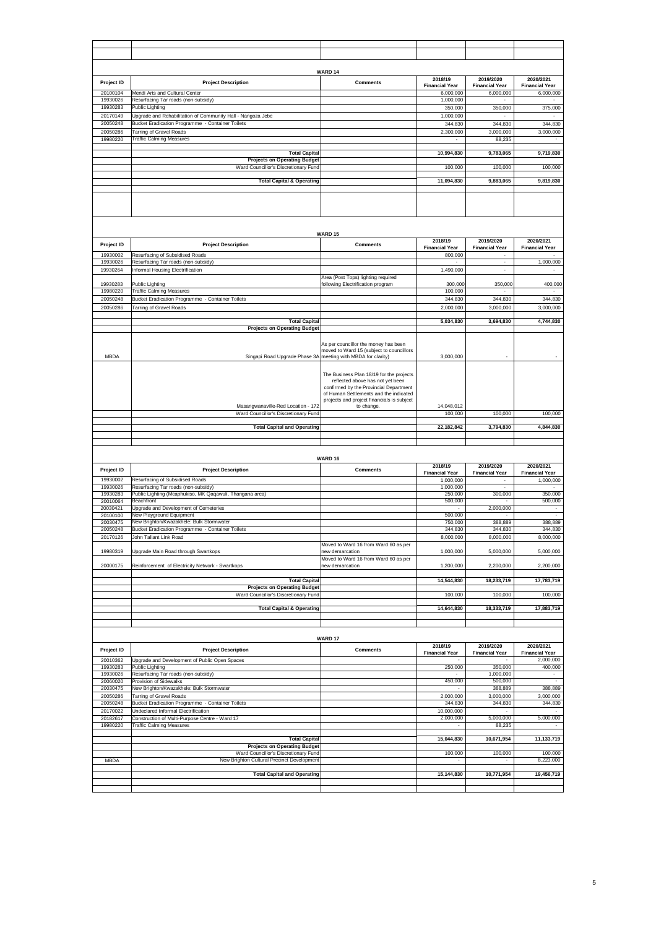|             |                                                                                    | WARD 14                                                                          | 2018/19                          | 2019/2020                          | 2020/2021                          |
|-------------|------------------------------------------------------------------------------------|----------------------------------------------------------------------------------|----------------------------------|------------------------------------|------------------------------------|
| Project ID  | <b>Project Description</b>                                                         | <b>Comments</b>                                                                  | <b>Financial Year</b>            | <b>Financial Year</b>              | <b>Financial Year</b>              |
| 20100104    | Mendi Arts and Cultural Center                                                     |                                                                                  | 6,000,000                        | 6,000,000                          | 6,000,000                          |
| 19930026    | Resurfacing Tar roads (non-subsidy)                                                |                                                                                  | 1,000,000                        |                                    |                                    |
| 19930283    | <b>Public Lighting</b>                                                             |                                                                                  | 350,000                          | 350,000                            | 375,000                            |
| 20170149    | Upgrade and Rehabilitation of Community Hall - Nangoza Jebe                        |                                                                                  | 1,000,000                        |                                    |                                    |
| 20050248    | Bucket Eradication Programme - Container Toilets                                   |                                                                                  | 344,830                          | 344,830                            | 344,830                            |
| 20050286    | <b>Tarring of Gravel Roads</b>                                                     |                                                                                  | 2,300,000                        | 3,000,000                          | 3,000,000                          |
| 19980220    | <b>Traffic Calming Measures</b>                                                    |                                                                                  |                                  | 88,235                             |                                    |
|             |                                                                                    |                                                                                  |                                  |                                    |                                    |
|             | <b>Total Capital</b><br><b>Projects on Operating Budget</b>                        |                                                                                  | 10,994,830                       | 9,783,065                          | 9,719,830                          |
|             | Ward Councillor's Discretionary Fund                                               |                                                                                  | 100,000                          | 100,000                            | 100,000                            |
|             |                                                                                    |                                                                                  |                                  |                                    |                                    |
|             | <b>Total Capital &amp; Operating</b>                                               |                                                                                  | 11,094,830                       | 9,883,065                          | 9,819,830                          |
|             |                                                                                    |                                                                                  |                                  |                                    |                                    |
|             |                                                                                    |                                                                                  |                                  |                                    |                                    |
|             |                                                                                    |                                                                                  |                                  |                                    |                                    |
|             |                                                                                    |                                                                                  |                                  |                                    |                                    |
|             |                                                                                    |                                                                                  |                                  |                                    |                                    |
|             |                                                                                    |                                                                                  |                                  |                                    |                                    |
|             |                                                                                    | <b>WARD 15</b>                                                                   |                                  |                                    |                                    |
| Project ID  | <b>Project Description</b>                                                         | <b>Comments</b>                                                                  | 2018/19<br><b>Financial Year</b> | 2019/2020<br><b>Financial Year</b> | 2020/2021<br><b>Financial Year</b> |
| 19930002    | Resurfacing of Subsidised Roads                                                    |                                                                                  | 800,000                          |                                    |                                    |
| 19930026    | Resurfacing Tar roads (non-subsidy)                                                |                                                                                  |                                  |                                    | 1,000,000                          |
| 19930264    | Informal Housing Electrification                                                   |                                                                                  | 1,490,000                        | ÷,                                 |                                    |
|             |                                                                                    | Area (Post Tops) lighting required                                               |                                  |                                    |                                    |
| 19930283    | Public Lighting                                                                    | following Electrification program                                                | 300,000                          | 350,000                            | 400,000                            |
| 19980220    | <b>Traffic Calming Measures</b>                                                    |                                                                                  | 100,000                          |                                    |                                    |
| 20050248    | Bucket Eradication Programme - Container Toilets                                   |                                                                                  | 344.830                          | 344,830                            | 344,830                            |
| 20050286    | <b>Tarring of Gravel Roads</b>                                                     |                                                                                  | 2,000,000                        | 3,000,000                          | 3,000,000                          |
|             |                                                                                    |                                                                                  |                                  |                                    |                                    |
|             | <b>Total Capital</b>                                                               |                                                                                  | 5,034,830                        | 3,694,830                          | 4,744,830                          |
|             | <b>Projects on Operating Budget</b>                                                |                                                                                  |                                  |                                    |                                    |
|             |                                                                                    |                                                                                  |                                  |                                    |                                    |
|             |                                                                                    | As per councillor the money has been                                             |                                  |                                    |                                    |
|             |                                                                                    | moved to Ward 15 (subject to councillors                                         |                                  |                                    |                                    |
| <b>MBDA</b> | Singapi Road Upgrade Phase 3A meeting with MBDA for clarity)                       |                                                                                  | 3,000,000                        |                                    |                                    |
|             |                                                                                    |                                                                                  |                                  |                                    |                                    |
|             |                                                                                    | The Business Plan 18/19 for the projects                                         |                                  |                                    |                                    |
|             |                                                                                    | reflected above has not yet been                                                 |                                  |                                    |                                    |
|             |                                                                                    | confirmed by the Provincial Department<br>of Human Settlements and the indicated |                                  |                                    |                                    |
|             |                                                                                    | projects and project financials is subject                                       |                                  |                                    |                                    |
|             | Masangwanaville-Red Location - 172                                                 | to change.                                                                       | 14,048,012                       |                                    |                                    |
|             | Ward Councillor's Discretionary Fund                                               |                                                                                  | 100,000                          | 100,000                            | 100,000                            |
|             |                                                                                    |                                                                                  |                                  |                                    |                                    |
|             | <b>Total Capital and Operating</b>                                                 |                                                                                  | 22,182,842                       | 3,794,830                          | 4,844,830                          |
|             |                                                                                    |                                                                                  |                                  |                                    |                                    |
|             |                                                                                    |                                                                                  |                                  |                                    |                                    |
|             |                                                                                    |                                                                                  |                                  |                                    |                                    |
|             |                                                                                    | WARD 16                                                                          |                                  |                                    |                                    |
| Project ID  | <b>Project Description</b>                                                         | <b>Comments</b>                                                                  | 2018/19<br><b>Financial Year</b> | 2019/2020                          | 2020/2021                          |
| 19930002    | Resurfacing of Subsidised Roads                                                    |                                                                                  | 1,000,000                        | <b>Financial Year</b>              | <b>Financial Year</b>              |
| 19930026    | Resurfacing Tar roads (non-subsidy)                                                |                                                                                  | 1,000,000                        |                                    | 1,000,000                          |
| 19930283    | Public Lighting (Mcaphukiso, MK Qaqawuli, Thangana area)                           |                                                                                  | 250,000                          | 300,000                            | 350,000                            |
| 20010064    | Beachfront                                                                         |                                                                                  | 500,000                          | $\overline{\phantom{a}}$           | 500,000                            |
| 20030421    | Upgrade and Development of Cemeteries                                              |                                                                                  | $\sim$                           | 2,000,000                          | $\sim$                             |
| 20100100    | New Playground Equipment                                                           |                                                                                  | 500,000                          |                                    | $\sim$                             |
| 20030475    | New Brighton/Kwazakhele: Bulk Stormwater                                           |                                                                                  | 750,000                          | 388,889                            | 388,889                            |
| 20050248    | Bucket Eradication Programme - Container Toilets                                   |                                                                                  | 344,830                          | 344,830                            | 344,830                            |
| 20170126    | John Tallant Link Road                                                             |                                                                                  | 8,000,000                        | 8,000,000                          | 8,000,000                          |
|             |                                                                                    | Moved to Ward 16 from Ward 60 as per                                             |                                  |                                    |                                    |
| 19980319    | Upgrade Main Road through Swartkops                                                | new demarcation                                                                  | 1,000,000                        | 5,000,000                          | 5,000,000                          |
| 20000175    | Reinforcement of Electricity Network - Swartkops                                   | Moved to Ward 16 from Ward 60 as per<br>new demarcation                          | 1,200,000                        | 2,200,000                          | 2,200,000                          |
|             |                                                                                    |                                                                                  |                                  |                                    |                                    |
|             | <b>Total Capital</b>                                                               |                                                                                  | 14,544,830                       | 18,233,719                         | 17,783,719                         |
|             | <b>Projects on Operating Budget</b>                                                |                                                                                  |                                  |                                    |                                    |
|             | Ward Councillor's Discretionary Fund                                               |                                                                                  | 100,000                          | 100,000                            | 100,000                            |
|             |                                                                                    |                                                                                  |                                  |                                    |                                    |
|             | <b>Total Capital &amp; Operating</b>                                               |                                                                                  | 14,644,830                       | 18,333,719                         | 17,883,719                         |
|             |                                                                                    |                                                                                  |                                  |                                    |                                    |
|             |                                                                                    |                                                                                  |                                  |                                    |                                    |
|             |                                                                                    |                                                                                  |                                  |                                    |                                    |
|             |                                                                                    | WARD 17                                                                          |                                  |                                    |                                    |
| Project ID  | <b>Project Description</b>                                                         | <b>Comments</b>                                                                  | 2018/19                          | 2019/2020                          | 2020/2021                          |
| 20010362    |                                                                                    |                                                                                  | <b>Financial Year</b>            | <b>Financial Year</b>              | <b>Financial Year</b>              |
| 19930283    | Upgrade and Development of Public Open Spaces<br>Public Lighting                   |                                                                                  | 250,000                          | 350,000                            | 2,000,000<br>400,000               |
| 19930026    | Resurfacing Tar roads (non-subsidy)                                                |                                                                                  |                                  | 1,000,000                          |                                    |
| 20060020    | Provision of Sidewalks                                                             |                                                                                  | 450,000                          | 500,000                            |                                    |
| 20030475    | New Brighton/Kwazakhele: Bulk Stormwater                                           |                                                                                  |                                  | 388,889                            | 388,889                            |
| 20050286    | <b>Tarring of Gravel Roads</b>                                                     |                                                                                  | 2,000,000                        | 3,000,000                          | 3,000,000                          |
| 20050248    | Bucket Eradication Programme - Container Toilets                                   |                                                                                  | 344,830                          | 344,830                            | 344,830                            |
| 20170022    | Undeclared Informal Electrification                                                |                                                                                  | 10,000,000                       |                                    |                                    |
| 20182617    | Construction of Multi-Purpose Centre - Ward 17                                     |                                                                                  | 2,000,000                        | 5,000,000                          | 5,000,000                          |
| 19980220    | <b>Traffic Calming Measures</b>                                                    |                                                                                  |                                  | 88,235                             |                                    |
|             |                                                                                    |                                                                                  |                                  |                                    |                                    |
|             | <b>Total Capital</b>                                                               |                                                                                  | 15,044,830                       | 10,671,954                         | 11,133,719                         |
|             | <b>Projects on Operating Budget</b>                                                |                                                                                  |                                  |                                    |                                    |
| <b>MBDA</b> | Ward Councillor's Discretionary Fund<br>New Brighton Cultural Precinct Development |                                                                                  | 100,000                          | 100,000                            | 100,000<br>8,223,000               |
|             |                                                                                    |                                                                                  |                                  |                                    |                                    |
|             | <b>Total Capital and Operating</b>                                                 |                                                                                  | 15,144,830                       | 10,771,954                         | 19,456,719                         |
|             |                                                                                    |                                                                                  |                                  |                                    |                                    |
|             |                                                                                    |                                                                                  |                                  |                                    |                                    |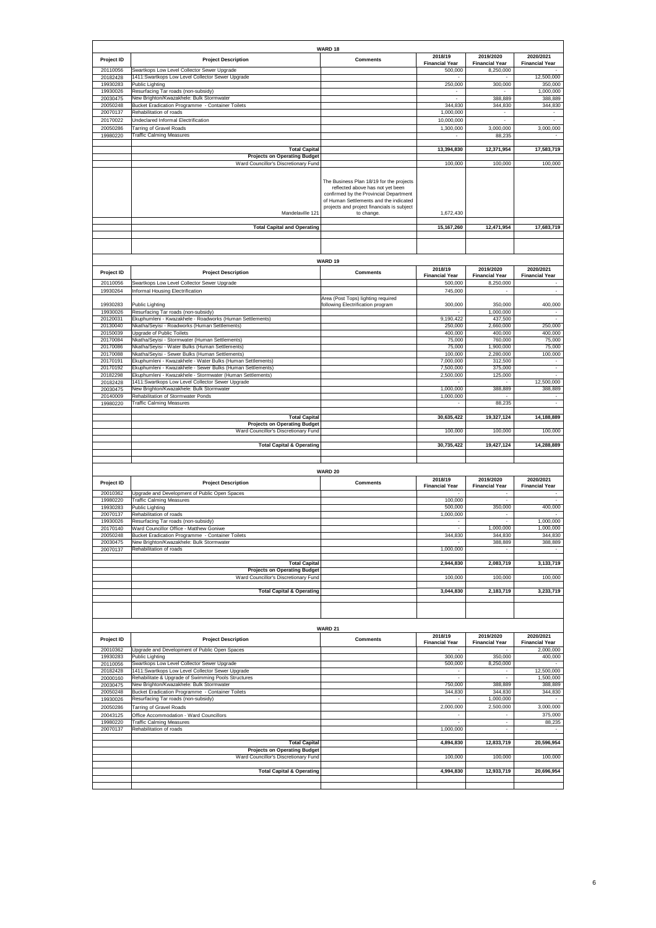|                      |                                                                                                                         | WARD 18                                                                    |                                     |                                    |                                    |
|----------------------|-------------------------------------------------------------------------------------------------------------------------|----------------------------------------------------------------------------|-------------------------------------|------------------------------------|------------------------------------|
| Project ID           | <b>Project Description</b>                                                                                              | <b>Comments</b>                                                            | 2018/19                             | 2019/2020                          | 2020/2021                          |
| 20110056             | Swartkops Low Level Collector Sewer Upgrade                                                                             |                                                                            | <b>Financial Year</b><br>500.000    | <b>Financial Year</b><br>8,250,000 | <b>Financial Year</b>              |
| 20182428             | 1411:Swartkops Low Level Collector Sewer Upgrade                                                                        |                                                                            |                                     |                                    | 12,500,000                         |
| 19930283<br>19930026 | Public Lighting<br>Resurfacing Tar roads (non-subsidy)                                                                  |                                                                            | 250,000<br>$\overline{\phantom{a}}$ | 300,000                            | 350,000<br>1,000,000               |
| 20030475             | New Brighton/Kwazakhele: Bulk Stormwater                                                                                |                                                                            | $\sim$                              | 388,889                            | 388,889                            |
| 20050248<br>20070137 | Bucket Eradication Programme - Container Toilets<br>Rehabilitation of roads                                             |                                                                            | 344,830<br>1,000,000                | 344,830                            | 344,830                            |
| 20170022             | Undeclared Informal Electrification                                                                                     |                                                                            | 10,000,000                          | ÷,                                 |                                    |
| 20050286             | <b>Tarring of Gravel Roads</b>                                                                                          |                                                                            | 1,300,000                           | 3,000,000                          | 3,000,000                          |
| 19980220             | <b>Traffic Calming Measures</b>                                                                                         |                                                                            |                                     | 88,235                             |                                    |
|                      | <b>Total Capital</b>                                                                                                    |                                                                            | 13,394,830                          | 12,371,954                         | 17,583,719                         |
|                      | <b>Projects on Operating Budget</b><br>Ward Councillor's Discretionary Fund                                             |                                                                            | 100,000                             | 100,000                            | 100,000                            |
|                      |                                                                                                                         |                                                                            |                                     |                                    |                                    |
|                      |                                                                                                                         | The Business Plan 18/19 for the projects                                   |                                     |                                    |                                    |
|                      |                                                                                                                         | reflected above has not yet been<br>confirmed by the Provincial Department |                                     |                                    |                                    |
|                      |                                                                                                                         | of Human Settlements and the indicated                                     |                                     |                                    |                                    |
|                      | Mandelaville 121                                                                                                        | projects and project financials is subject<br>to change.                   | 1,672,430                           |                                    |                                    |
|                      |                                                                                                                         |                                                                            |                                     |                                    |                                    |
|                      | <b>Total Capital and Operating</b>                                                                                      |                                                                            | 15,167,260                          | 12,471,954                         | 17,683,719                         |
|                      |                                                                                                                         |                                                                            |                                     |                                    |                                    |
|                      |                                                                                                                         |                                                                            |                                     |                                    |                                    |
|                      |                                                                                                                         | WARD 19                                                                    |                                     |                                    |                                    |
| Project ID           | <b>Project Description</b>                                                                                              | <b>Comments</b>                                                            | 2018/19<br><b>Financial Year</b>    | 2019/2020<br><b>Financial Year</b> | 2020/2021<br><b>Financial Year</b> |
| 20110056             | Swartkops Low Level Collector Sewer Upgrade                                                                             |                                                                            | 500,000                             | 8,250,000                          |                                    |
| 19930264             | Informal Housing Electrification                                                                                        |                                                                            | 745,000                             | $\overline{\phantom{a}}$           | ÷,                                 |
| 19930283             | Public Lighting                                                                                                         | Area (Post Tops) lighting required<br>following Electrification program    | 300,000                             | 350,000                            | 400,000                            |
| 19930026             | Resurfacing Tar roads (non-subsidy)                                                                                     |                                                                            |                                     | 1,000,000                          |                                    |
| 20120031<br>20130040 | Ekuphumleni - Kwazakhele - Roadworks (Human Settlements)<br>Nkatha/Seyisi - Roadworks (Human Settlements)               |                                                                            | 9,190,422<br>250,000                | 437,500<br>2,660,000               | 250,000                            |
| 20150039             | Upgrade of Public Toilets                                                                                               |                                                                            | 400,000                             | 400,000                            | 400,000                            |
| 20170084<br>20170086 | Nkatha/Seyisi - Stormwater (Human Settlements)                                                                          |                                                                            | 75,000                              | 760,000                            | 75,000                             |
| 20170088             | Nkatha/Seyisi - Water Bulks (Human Settlements)<br>Nkatha/Seyisi - Sewer Bulks (Human Settlements)                      |                                                                            | 75,000<br>100,000                   | 1,900,000<br>2,280,000             | 75,000<br>100,000                  |
| 20170191             | Ekuphumleni - Kwazakhele - Water Bulks (Human Settlements)                                                              |                                                                            | 7,000,000                           | 312,500                            |                                    |
| 20170192<br>20182298 | Ekuphumleni - Kwazakhele - Sewer Bulks (Human Settlements)<br>Ekuphumleni - Kwazakhele - Stormwater (Human Settlements) |                                                                            | 7,500,000<br>2,500,000              | 375,000<br>125,000                 |                                    |
| 20182428             | 1411: Swartkops Low Level Collector Sewer Upgrade                                                                       |                                                                            |                                     |                                    | 12,500,000                         |
| 20030475<br>20140009 | New Brighton/Kwazakhele: Bulk Stormwater<br>Rehabilitation of Stormwater Ponds                                          |                                                                            | 1,000,000<br>1,000,000              | 388,889                            | 388,889<br>$\sim$                  |
| 19980220             | <b>Traffic Calming Measures</b>                                                                                         |                                                                            |                                     | 88,235                             |                                    |
|                      | <b>Total Capital</b>                                                                                                    |                                                                            | 30,635,422                          | 19,327,124                         | 14,188,889                         |
|                      |                                                                                                                         |                                                                            |                                     |                                    |                                    |
|                      | <b>Projects on Operating Budget</b>                                                                                     |                                                                            |                                     |                                    |                                    |
|                      | Ward Councillor's Discretionary Fund                                                                                    |                                                                            | 100,000                             | 100,000                            | 100,000                            |
|                      | <b>Total Capital &amp; Operating</b>                                                                                    |                                                                            | 30,735,422                          | 19,427,124                         | 14,288,889                         |
|                      |                                                                                                                         |                                                                            |                                     |                                    |                                    |
|                      |                                                                                                                         |                                                                            |                                     |                                    |                                    |
|                      |                                                                                                                         | <b>WARD 20</b>                                                             | 2018/19                             | 2019/2020                          | 2020/2021                          |
| Project ID           | <b>Project Description</b>                                                                                              | <b>Comments</b>                                                            | <b>Financial Year</b>               | <b>Financial Year</b>              | <b>Financial Year</b>              |
| 20010362             | Upgrade and Development of Public Open Spaces                                                                           |                                                                            |                                     |                                    |                                    |
| 19980220<br>19930283 | <b>Traffic Calming Measures</b><br>Public Lighting                                                                      |                                                                            | 100,000<br>500,000                  | 350,000                            | 400,000                            |
| 20070137             | Rehabilitation of roads                                                                                                 |                                                                            | 1,000,000                           |                                    |                                    |
| 19930026<br>20170140 | Resurfacing Tar roads (non-subsidy)<br>Ward Councillor Office - Matthew Goniwe                                          |                                                                            | $\overline{\phantom{a}}$            | 1,000,000                          | 1,000,000<br>1,000,000             |
| 20050248             | Bucket Eradication Programme - Container Toilets                                                                        |                                                                            | 344,830                             | 344,830                            | 344,830                            |
| 20030475<br>20070137 | New Brighton/Kwazakhele: Bulk Stormwater<br>Rehabilitation of roads                                                     |                                                                            | 1,000,000                           | 388,889                            | 388,889                            |
|                      |                                                                                                                         |                                                                            |                                     |                                    |                                    |
|                      | <b>Total Capital</b><br><b>Projects on Operating Budget</b>                                                             |                                                                            | 2,944,830                           | 2,083,719                          | 3,133,719                          |
|                      | Ward Councillor's Discretionary Fund                                                                                    |                                                                            | 100,000                             | 100,000                            | 100,000                            |
|                      | <b>Total Capital &amp; Operating</b>                                                                                    |                                                                            | 3,044,830                           | 2,183,719                          | 3,233,719                          |
|                      |                                                                                                                         |                                                                            |                                     |                                    |                                    |
|                      |                                                                                                                         |                                                                            |                                     |                                    |                                    |
|                      |                                                                                                                         |                                                                            |                                     |                                    |                                    |
|                      |                                                                                                                         | WARD 21                                                                    | 2018/19                             | 2019/2020                          | 2020/2021                          |
| Project ID           | <b>Project Description</b>                                                                                              | <b>Comments</b>                                                            | <b>Financial Year</b>               | <b>Financial Year</b>              | <b>Financial Year</b>              |
| 20010362<br>19930283 | Upgrade and Development of Public Open Spaces                                                                           |                                                                            |                                     |                                    | 2.000.000                          |
| 20110056             | Public Lighting<br>Swartkops Low Level Collector Sewer Upgrade                                                          |                                                                            | 300,000<br>500,000                  | 350,000<br>8,250,000               | 400,000                            |
| 20182428             | 1411:Swartkops Low Level Collector Sewer Upgrade                                                                        |                                                                            | $\cdot$<br>$\sim$                   | $\cdot$<br>$\sim$                  | 12,500,000                         |
| 20000160<br>20030475 | Rehabilitate & Upgrade of Swimming Pools Structures<br>New Brighton/Kwazakhele: Bulk Stormwater                         |                                                                            | 750,000                             | 388,889                            | 1,500,000<br>388,889               |
| 20050248             | Bucket Eradication Programme - Container Toilets                                                                        |                                                                            | 344,830                             | 344,830                            | 344,830                            |
| 19930026<br>20050286 | Resurfacing Tar roads (non-subsidy)<br><b>Tarring of Gravel Roads</b>                                                   |                                                                            | $\sim$<br>2,000,000                 | 1,000,000<br>2,500,000             | 3,000,000                          |
| 20043125             | Office Accommodation - Ward Councillors                                                                                 |                                                                            |                                     |                                    | 375,000                            |
| 19980220             | <b>Traffic Calming Measures</b>                                                                                         |                                                                            |                                     | $\overline{\phantom{a}}$<br>$\sim$ | 88,235                             |
| 20070137             | Rehabilitation of roads                                                                                                 |                                                                            | 1,000,000                           |                                    |                                    |
|                      | <b>Total Capital</b>                                                                                                    |                                                                            | 4,894,830                           | 12,833,719                         | 20,596,954                         |
|                      | <b>Projects on Operating Budget</b><br>Ward Councillor's Discretionary Fund                                             |                                                                            | 100,000                             | 100,000                            | 100,000                            |
|                      |                                                                                                                         |                                                                            |                                     |                                    |                                    |
|                      | <b>Total Capital &amp; Operating</b>                                                                                    |                                                                            | 4,994,830                           | 12,933,719                         | 20,696,954                         |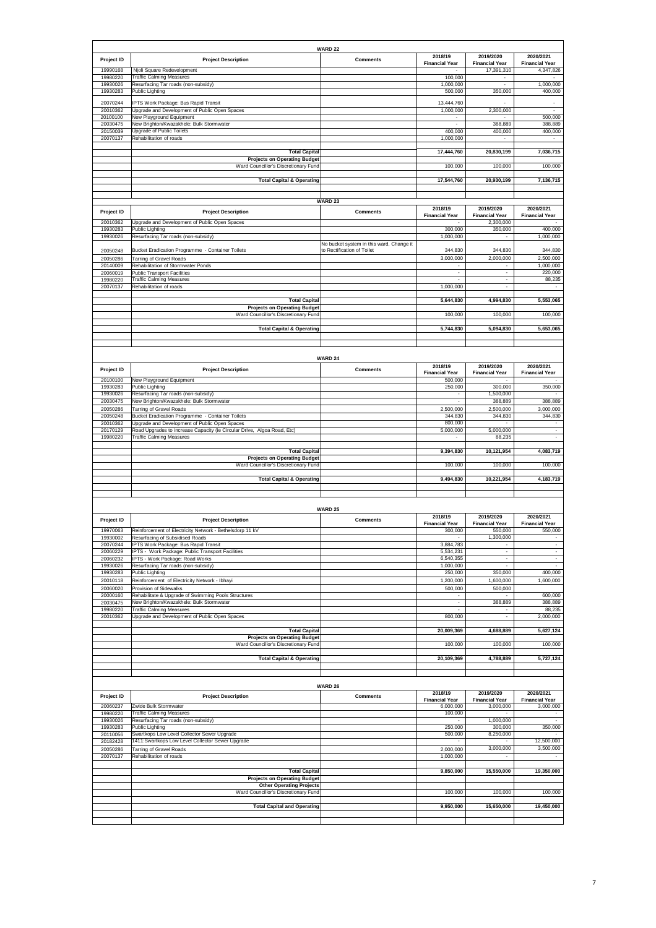|                      |                                                                                                            | WARD 22                                                                |                                  |                                    |                                    |
|----------------------|------------------------------------------------------------------------------------------------------------|------------------------------------------------------------------------|----------------------------------|------------------------------------|------------------------------------|
| Project ID           | <b>Project Description</b>                                                                                 | <b>Comments</b>                                                        | 2018/19<br><b>Financial Year</b> | 2019/2020<br><b>Financial Year</b> | 2020/2021<br><b>Financial Year</b> |
| 19990168             | Njoli Square Redevelopment                                                                                 |                                                                        |                                  | 17,391,310                         | 4,347,826                          |
| 19980220<br>19930026 | <b>Traffic Calming Measures</b><br>Resurfacing Tar roads (non-subsidy)                                     |                                                                        | 100,000<br>1,000,000             | $\sim$                             | 1,000,000                          |
| 19930283             | Public Lighting                                                                                            |                                                                        | 500,000                          | 350,000                            | 400,000                            |
| 20070244             | PTS Work Package: Bus Rapid Transit                                                                        |                                                                        | 13,444,760                       |                                    |                                    |
| 20010362<br>20100100 | Jpgrade and Development of Public Open Spaces<br>New Playground Equipment                                  |                                                                        | 1,000,000                        | 2,300,000                          | 500,000                            |
| 20030475             | New Brighton/Kwazakhele: Bulk Stormwater                                                                   |                                                                        | $\sim$                           | 388,889                            | 388,889                            |
| 20150039<br>20070137 | Upgrade of Public Toilets<br>Rehabilitation of roads                                                       |                                                                        | 400,000<br>1,000,000             | 400,000                            | 400,000                            |
|                      |                                                                                                            |                                                                        |                                  |                                    |                                    |
|                      | <b>Total Capital</b><br><b>Projects on Operating Budget</b>                                                |                                                                        | 17,444,760                       | 20,830,199                         | 7,036,715                          |
|                      | Ward Councillor's Discretionary Fund                                                                       |                                                                        | 100,000                          | 100,000                            | 100,000                            |
|                      | <b>Total Capital &amp; Operating</b>                                                                       |                                                                        | 17,544,760                       | 20,930,199                         | 7,136,715                          |
|                      |                                                                                                            |                                                                        |                                  |                                    |                                    |
|                      |                                                                                                            | <b>WARD 23</b>                                                         | 2018/19                          | 2019/2020                          | 2020/2021                          |
| Project ID           | <b>Project Description</b>                                                                                 | <b>Comments</b>                                                        | <b>Financial Year</b>            | <b>Financial Year</b>              | <b>Financial Year</b>              |
| 20010362<br>19930283 | Upgrade and Development of Public Open Spaces<br>Public Lighting                                           |                                                                        | 300,000                          | 2,300,000<br>350,000               | 400,000                            |
| 19930026             | Resurfacing Tar roads (non-subsidy)                                                                        |                                                                        | 1,000,000                        |                                    | 1,000,000                          |
| 20050248             | Bucket Eradication Programme - Container Toilets                                                           | No bucket system in this ward, Change it<br>to Rectification of Toilet | 344,830                          | 344,830                            | 344,830                            |
| 20050286             | Tarring of Gravel Roads                                                                                    |                                                                        | 3,000,000                        | 2,000,000                          | 2,500,000                          |
| 20140009<br>20060019 | Rehabilitation of Stormwater Ponds<br><b>Public Transport Facilities</b>                                   |                                                                        | $\sim$                           | $\overline{\phantom{a}}$           | 1,000,000<br>220,000               |
| 19980220             | <b>Traffic Calming Measures</b><br>Rehabilitation of roads                                                 |                                                                        | 1,000,000                        | $\overline{\phantom{a}}$<br>$\sim$ | 88,235                             |
| 20070137             |                                                                                                            |                                                                        |                                  |                                    |                                    |
|                      | <b>Total Capital</b><br><b>Projects on Operating Budget</b>                                                |                                                                        | 5,644,830                        | 4,994,830                          | 5,553,065                          |
|                      | Ward Councillor's Discretionary Fund                                                                       |                                                                        | 100,000                          | 100,000                            | 100,000                            |
|                      | <b>Total Capital &amp; Operating</b>                                                                       |                                                                        | 5,744,830                        | 5,094,830                          | 5,653,065                          |
|                      |                                                                                                            |                                                                        |                                  |                                    |                                    |
|                      |                                                                                                            |                                                                        |                                  |                                    |                                    |
|                      |                                                                                                            | <b>WARD 24</b>                                                         |                                  |                                    |                                    |
| Project ID           | <b>Project Description</b>                                                                                 | <b>Comments</b>                                                        | 2018/19<br><b>Financial Year</b> | 2019/2020<br><b>Financial Year</b> | 2020/2021<br><b>Financial Year</b> |
| 20100100             | New Playground Equipment                                                                                   |                                                                        | 500,000                          |                                    |                                    |
| 19930283<br>19930026 | Public Lighting<br>Resurfacing Tar roads (non-subsidy)                                                     |                                                                        | 250,000                          | 300,000<br>1,500,000               | 350,000                            |
| 20030475             | New Brighton/Kwazakhele: Bulk Stormwater                                                                   |                                                                        |                                  | 388,889                            | 388,889                            |
| 20050286<br>20050248 | <b>Tarring of Gravel Roads</b><br>Bucket Eradication Programme - Container Toilets                         |                                                                        | 2,500,000<br>344,830             | 2,500,000<br>344,830               | 3,000,000<br>344,830               |
| 20010362             | Jpgrade and Development of Public Open Spaces                                                              |                                                                        | 800,000                          |                                    |                                    |
| 20170129<br>19980220 | Road Upgrades to increase Capacity (ie Circular Drive, Algoa Road, Etc)<br><b>Traffic Calming Measures</b> |                                                                        | 5,000,000                        | 5,000,000<br>88,235                |                                    |
|                      | <b>Total Capital</b>                                                                                       |                                                                        | 9,394,830                        | 10,121,954                         | 4,083,719                          |
|                      | <b>Projects on Operating Budget</b>                                                                        |                                                                        |                                  |                                    |                                    |
|                      | Ward Councillor's Discretionary Fund                                                                       |                                                                        | 100,000                          | 100,000                            | 100,000                            |
|                      | <b>Total Capital &amp; Operating</b>                                                                       |                                                                        | 9,494,830                        | 10,221,954                         | 4.183.719                          |
|                      |                                                                                                            |                                                                        |                                  |                                    |                                    |
|                      |                                                                                                            | <b>WARD 25</b>                                                         |                                  |                                    |                                    |
| Project ID           | <b>Project Description</b>                                                                                 | <b>Comments</b>                                                        | 2018/19                          | 2019/2020                          | 2020/2021                          |
| 19970063             | Reinforcement of Electricity Network - Bethelsdorp 11 kV                                                   |                                                                        | <b>Financial Year</b><br>300,000 | <b>Financial Year</b><br>550,000   | <b>Financial Year</b><br>550,000   |
| 19930002             | Resurfacing of Subsidised Roads                                                                            |                                                                        |                                  | 1,300,000                          | $\overline{\phantom{a}}$<br>$\sim$ |
| 20070244<br>20060229 | IPTS Work Package: Bus Rapid Transit<br>IPTS - Work Package: Public Transport Facilities                   |                                                                        | 3,884,783<br>5,534,231           | $\tilde{\phantom{a}}$              | $\overline{\phantom{a}}$           |
| 20060232<br>19930026 | IPTS - Work Package: Road Works<br>Resurfacing Tar roads (non-subsidy)                                     |                                                                        | 6,540,355<br>1,000,000           | $\sim$<br>٠                        | $\sim$<br>$\sim$                   |
| 19930283             | Public Lighting                                                                                            |                                                                        | 250,000                          | 350,000                            | 400,000                            |
| 20010118             | Reinforcement of Electricity Network - Ibhayi                                                              |                                                                        | 1,200,000                        | 1,600,000                          | 1,600,000                          |
| 20060020<br>20000160 | Provision of Sidewalks<br>Rehabilitate & Upgrade of Swimming Pools Structures                              |                                                                        | 500,000                          | 500,000                            | 600,000                            |
| 20030475             | New Brighton/Kwazakhele: Bulk Stormwater<br><b>Traffic Calming Measures</b>                                |                                                                        |                                  | 388,889                            | 388,889<br>88,235                  |
| 19980220<br>20010362 | Upgrade and Development of Public Open Spaces                                                              |                                                                        | 800,000                          | ٠                                  | 2,000,000                          |
|                      | <b>Total Capital</b>                                                                                       |                                                                        | 20,009,369                       | 4,688,889                          | 5,627,124                          |
|                      | <b>Projects on Operating Budget</b>                                                                        |                                                                        |                                  |                                    |                                    |
|                      | Ward Councillor's Discretionary Fund                                                                       |                                                                        | 100,000                          | 100,000                            | 100,000                            |
|                      | <b>Total Capital &amp; Operating</b>                                                                       |                                                                        | 20,109,369                       | 4,788,889                          | 5,727,124                          |
|                      |                                                                                                            |                                                                        |                                  |                                    |                                    |
|                      |                                                                                                            | WARD 26                                                                |                                  |                                    |                                    |
| Project ID           | <b>Project Description</b>                                                                                 | <b>Comments</b>                                                        | 2018/19<br><b>Financial Year</b> | 2019/2020<br><b>Financial Year</b> | 2020/2021<br><b>Financial Year</b> |
| 20060237<br>19980220 | Zwide Bulk Stormwater<br><b>Traffic Calming Measures</b>                                                   |                                                                        | 6,000,000<br>100,000             | 3,000,000                          | 3,000,000                          |
| 19930026             | Resurfacing Tar roads (non-subsidy)                                                                        |                                                                        |                                  | 1,000,000                          |                                    |
| 19930283<br>20110056 | Public Lighting<br>Swartkops Low Level Collector Sewer Upgrade                                             |                                                                        | 250,000<br>500,000               | 300,000<br>8,250,000               | 350,000                            |
| 20182428             | 1411: Swartkops Low Level Collector Sewer Upgrade                                                          |                                                                        |                                  |                                    | 12,500,000                         |
| 20050286<br>20070137 | <b>Tarring of Gravel Roads</b><br>Rehabilitation of roads                                                  |                                                                        | 2,000,000<br>1,000,000           | 3,000,000                          | 3,500,000                          |
|                      |                                                                                                            |                                                                        |                                  |                                    |                                    |
|                      | <b>Total Capital</b><br><b>Projects on Operating Budget</b>                                                |                                                                        | 9,850,000                        | 15,550,000                         | 19,350,000                         |
|                      | <b>Other Operating Projects</b>                                                                            |                                                                        |                                  |                                    |                                    |
|                      | Ward Councillor's Discretionary Fund                                                                       |                                                                        | 100,000                          | 100,000                            | 100,000                            |
|                      | <b>Total Capital and Operating</b>                                                                         |                                                                        | 9,950,000                        | 15,650,000                         | 19,450,000                         |
|                      |                                                                                                            |                                                                        |                                  |                                    |                                    |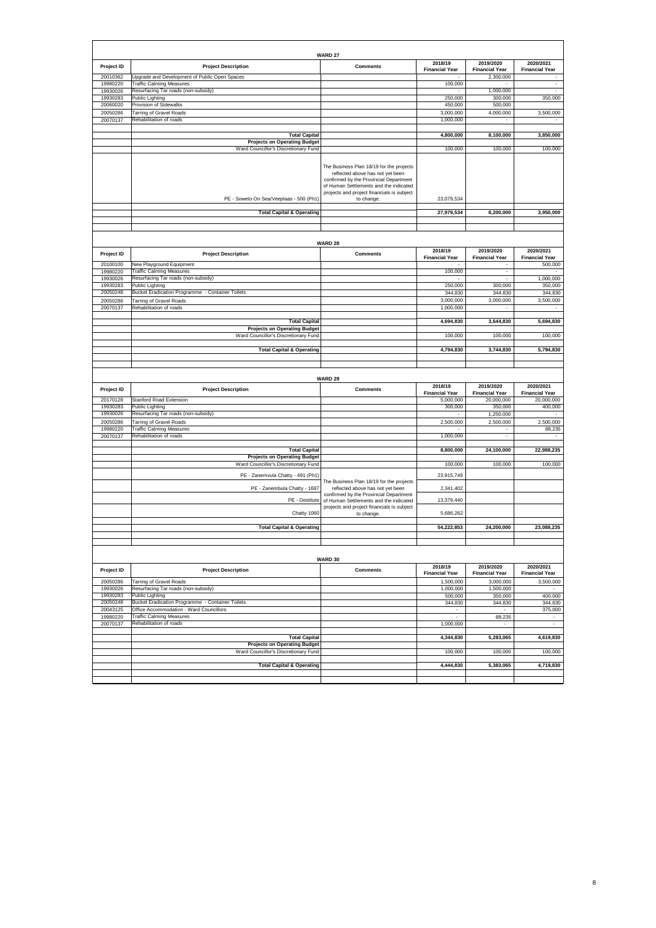|                      |                                                                                  | WARD 27                                                                                                                                                                                                                      |                                  |                                    |                                    |
|----------------------|----------------------------------------------------------------------------------|------------------------------------------------------------------------------------------------------------------------------------------------------------------------------------------------------------------------------|----------------------------------|------------------------------------|------------------------------------|
| Project ID           | <b>Project Description</b>                                                       | <b>Comments</b>                                                                                                                                                                                                              | 2018/19<br><b>Financial Year</b> | 2019/2020<br><b>Financial Year</b> | 2020/2021<br><b>Financial Year</b> |
| 20010362<br>19980220 | Jpgrade and Development of Public Open Spaces<br><b>Traffic Calming Measures</b> |                                                                                                                                                                                                                              | 100,000                          | 2,300,000                          |                                    |
| 19930026             | Resurfacing Tar roads (non-subsidy)                                              |                                                                                                                                                                                                                              | $\overline{\phantom{a}}$         | 1,000,000                          | $\blacksquare$                     |
| 19930283             | Public Lighting                                                                  |                                                                                                                                                                                                                              | 250,000                          | 300,000                            | 350,000                            |
| 20060020             | Provision of Sidewalks<br><b>Tarring of Gravel Roads</b>                         |                                                                                                                                                                                                                              | 450,000<br>3,000,000             | 500,000<br>4,000,000               |                                    |
| 20050286<br>20070137 | Rehabilitation of roads                                                          |                                                                                                                                                                                                                              | 1,000,000                        |                                    | 3,500,000                          |
|                      |                                                                                  |                                                                                                                                                                                                                              |                                  |                                    |                                    |
|                      | <b>Total Capital</b>                                                             |                                                                                                                                                                                                                              | 4,800,000                        | 8,100,000                          | 3,850,000                          |
|                      | <b>Projects on Operating Budget</b>                                              |                                                                                                                                                                                                                              |                                  |                                    |                                    |
|                      | Ward Councillor's Discretionary Fund                                             |                                                                                                                                                                                                                              | 100,000                          | 100,000                            | 100,000                            |
|                      | PE - Soweto On Sea/Veeplaas - 500 (Ph1)                                          | The Business Plan 18/19 for the projects<br>reflected above has not yet been<br>confirmed by the Provincial Department<br>of Human Settlements and the indicated<br>projects and project financials is subject<br>to change. | 23,079,534                       |                                    |                                    |
|                      | <b>Total Capital &amp; Operating</b>                                             |                                                                                                                                                                                                                              | 27,979,534                       | 8,200,000                          | 3,950,000                          |
|                      |                                                                                  |                                                                                                                                                                                                                              |                                  |                                    |                                    |
|                      |                                                                                  |                                                                                                                                                                                                                              |                                  |                                    |                                    |
|                      |                                                                                  | <b>WARD 28</b>                                                                                                                                                                                                               |                                  |                                    |                                    |
| Project ID           | <b>Project Description</b>                                                       | <b>Comments</b>                                                                                                                                                                                                              | 2018/19                          | 2019/2020                          | 2020/2021                          |
|                      |                                                                                  |                                                                                                                                                                                                                              | <b>Financial Year</b>            | <b>Financial Year</b>              | <b>Financial Year</b>              |
| 20100100<br>19980220 | New Playground Equipment<br><b>Traffic Calming Measures</b>                      |                                                                                                                                                                                                                              | 100,000                          |                                    | 500,000                            |
| 19930026             | Resurfacing Tar roads (non-subsidy)                                              |                                                                                                                                                                                                                              |                                  |                                    | 1,000,000                          |
| 19930283             | Public Lighting                                                                  |                                                                                                                                                                                                                              | 250,000                          | 300,000                            | 350,000                            |
| 20050248             | <b>Bucket Eradication Programme - Container Toilets</b>                          |                                                                                                                                                                                                                              | 344,830                          | 344,830                            | 344,830                            |
| 20050286             | <b>Tarring of Gravel Roads</b>                                                   |                                                                                                                                                                                                                              | 3,000,000                        | 3,000,000                          | 3,500,000                          |
| 20070137             | Rehabilitation of roads                                                          |                                                                                                                                                                                                                              | 1,000,000                        | ٠                                  |                                    |
|                      | <b>Total Capital</b>                                                             |                                                                                                                                                                                                                              |                                  |                                    |                                    |
|                      | <b>Projects on Operating Budget</b>                                              |                                                                                                                                                                                                                              | 4,694,830                        | 3,644,830                          | 5,694,830                          |
|                      | Ward Councillor's Discretionary Fund                                             |                                                                                                                                                                                                                              | 100,000                          | 100,000                            | 100,000                            |
|                      |                                                                                  |                                                                                                                                                                                                                              |                                  |                                    |                                    |
|                      | <b>Total Capital &amp; Operating</b>                                             |                                                                                                                                                                                                                              | 4,794,830                        | 3,744,830                          | 5,794,830                          |
|                      |                                                                                  |                                                                                                                                                                                                                              |                                  |                                    |                                    |
|                      |                                                                                  |                                                                                                                                                                                                                              |                                  |                                    |                                    |
|                      |                                                                                  |                                                                                                                                                                                                                              |                                  |                                    |                                    |
|                      |                                                                                  | WARD 29                                                                                                                                                                                                                      |                                  |                                    |                                    |
|                      |                                                                                  |                                                                                                                                                                                                                              | 2018/19                          | 2019/2020                          | 2020/2021                          |
| Project ID           | <b>Project Description</b>                                                       | <b>Comments</b>                                                                                                                                                                                                              | <b>Financial Year</b>            | <b>Financial Year</b>              | <b>Financial Year</b>              |
| 20170128             | Stanford Road Extension                                                          |                                                                                                                                                                                                                              | 5,000,000                        | 20,000,000                         | 20,000,000                         |
| 19930283<br>19930026 | ublic Lighting<br>Resurfacing Tar roads (non-subsidy)                            |                                                                                                                                                                                                                              | 300,000                          | 350,000<br>1,250,000               | 400,000                            |
| 20050286             |                                                                                  |                                                                                                                                                                                                                              | 2,500,000                        | 2,500,000                          | 2,500,000                          |
| 19980220             | <b>Tarring of Gravel Roads</b><br><b>Traffic Calming Measures</b>                |                                                                                                                                                                                                                              |                                  |                                    | 88,235                             |
| 20070137             | Rehabilitation of roads                                                          |                                                                                                                                                                                                                              | 1,000,000                        | ÷                                  |                                    |
|                      |                                                                                  |                                                                                                                                                                                                                              |                                  |                                    |                                    |
|                      | <b>Total Capital</b>                                                             |                                                                                                                                                                                                                              | 8,800,000                        | 24,100,000                         | 22,988,235                         |
|                      | <b>Projects on Operating Budget</b><br>Ward Councillor's Discretionary Fund      |                                                                                                                                                                                                                              | 100,000                          | 100,000                            | 100,000                            |
|                      |                                                                                  |                                                                                                                                                                                                                              |                                  |                                    |                                    |
|                      | PE - Zanemvula Chatty - 491 (Ph1)                                                | The Business Plan 18/19 for the projects                                                                                                                                                                                     | 23,915,749                       |                                    |                                    |
|                      | PE - Zanembula Chatty - 1687                                                     | reflected above has not yet been                                                                                                                                                                                             | 2,341,402                        |                                    |                                    |
|                      | PE - Destitute                                                                   | confirmed by the Provincial Department                                                                                                                                                                                       | 13,379,440                       |                                    |                                    |
|                      |                                                                                  | of Human Settlements and the indicated<br>projects and project financials is subject                                                                                                                                         |                                  |                                    |                                    |
|                      | Chatty 1060                                                                      | to change.                                                                                                                                                                                                                   | 5,686,262                        |                                    |                                    |
|                      |                                                                                  |                                                                                                                                                                                                                              |                                  |                                    |                                    |
|                      | <b>Total Capital &amp; Operating</b>                                             |                                                                                                                                                                                                                              | 54,222,853                       | 24,200,000                         | 23,088,235                         |
|                      |                                                                                  |                                                                                                                                                                                                                              |                                  |                                    |                                    |
|                      |                                                                                  |                                                                                                                                                                                                                              |                                  |                                    |                                    |
|                      |                                                                                  | WARD 30                                                                                                                                                                                                                      |                                  |                                    |                                    |
| Project ID           | <b>Project Description</b>                                                       | <b>Comments</b>                                                                                                                                                                                                              | 2018/19                          | 2019/2020                          | 2020/2021                          |
|                      |                                                                                  |                                                                                                                                                                                                                              | <b>Financial Year</b>            | <b>Financial Year</b>              | <b>Financial Year</b>              |
| 20050286             | Tarring of Gravel Roads                                                          |                                                                                                                                                                                                                              | 1,500,000                        | 3,000,000                          | 3,500,000                          |
| 19930026<br>19930283 | Resurfacing Tar roads (non-subsidy)<br>Public Lighting                           |                                                                                                                                                                                                                              | 1,000,000<br>500,000             | 1,500,000<br>350,000               | 400.000                            |
| 20050248             | Bucket Eradication Programme - Container Toilets                                 |                                                                                                                                                                                                                              | 344,830                          | 344,830                            | 344,830                            |
| 20043125             | Office Accommodation - Ward Councillors                                          |                                                                                                                                                                                                                              | $\sim$                           | $\sim$                             | 375,000                            |
| 19980220             | Traffic Calming Measures                                                         |                                                                                                                                                                                                                              | $\sim$                           | 88,235                             | $\overline{\phantom{a}}$           |
| 20070137             | Rehabilitation of roads                                                          |                                                                                                                                                                                                                              | 1,000,000                        | $\sim$                             | $\mathcal{L}_{\mathcal{A}}$        |
|                      | <b>Total Capital</b>                                                             |                                                                                                                                                                                                                              | 4,344,830                        | 5,283,065                          |                                    |
|                      | <b>Projects on Operating Budget</b>                                              |                                                                                                                                                                                                                              |                                  |                                    | 4,619,830                          |
|                      | Ward Councillor's Discretionary Fund                                             |                                                                                                                                                                                                                              | 100,000                          | 100,000                            | 100,000                            |
|                      |                                                                                  |                                                                                                                                                                                                                              |                                  |                                    |                                    |
|                      | <b>Total Capital &amp; Operating</b>                                             |                                                                                                                                                                                                                              | 4,444,830                        | 5,383,065                          | 4,719,830                          |

8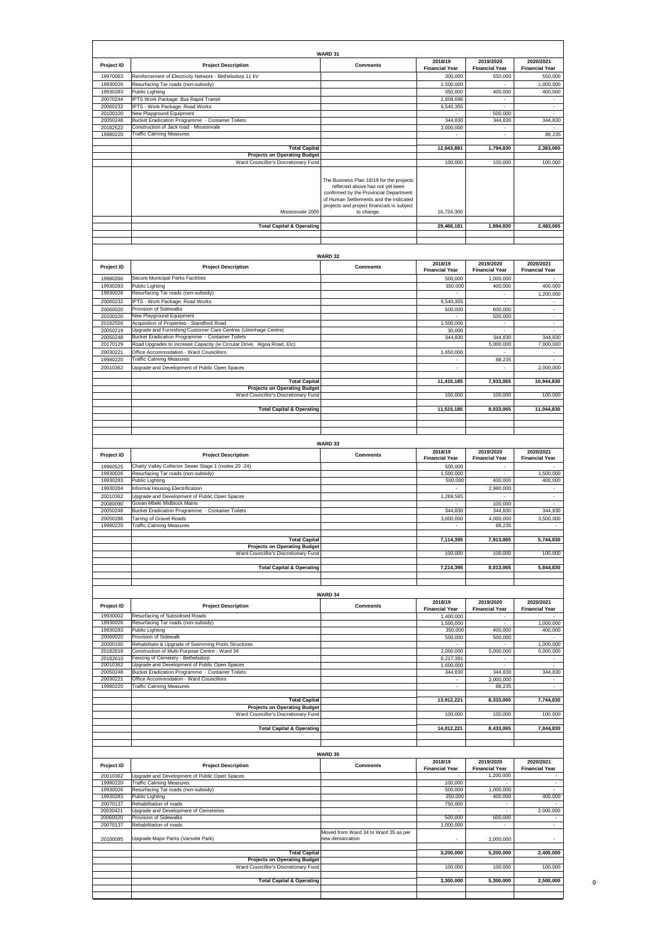| Project ID                                                                                                                                                                                                                                     | <b>Project Description</b>                                                                                         | WARD 31<br><b>Comments</b>                                                                                                                                                                                                   | 2018/19                                              | 2019/2020                                         | 2020/2021                                                                                                                                                                                        |
|------------------------------------------------------------------------------------------------------------------------------------------------------------------------------------------------------------------------------------------------|--------------------------------------------------------------------------------------------------------------------|------------------------------------------------------------------------------------------------------------------------------------------------------------------------------------------------------------------------------|------------------------------------------------------|---------------------------------------------------|--------------------------------------------------------------------------------------------------------------------------------------------------------------------------------------------------|
| 19970063                                                                                                                                                                                                                                       | Reinforcement of Electricity Network - Bethelsdorp 11 kV                                                           |                                                                                                                                                                                                                              | <b>Financial Year</b><br>300,000                     | <b>Financial Year</b><br>550,000                  | <b>Financial Year</b><br>550,000                                                                                                                                                                 |
| 19930026                                                                                                                                                                                                                                       | Resurfacing Tar roads (non-subsidy)                                                                                |                                                                                                                                                                                                                              | 1,500,000                                            |                                                   | 1,000,000                                                                                                                                                                                        |
| 19930283<br>20070244                                                                                                                                                                                                                           | <b>Public Lighting</b><br>IPTS Work Package: Bus Rapid Transit                                                     |                                                                                                                                                                                                                              | 350,000<br>1,608,696                                 | 400,000<br>٠                                      | 400,000                                                                                                                                                                                          |
| 20060232                                                                                                                                                                                                                                       | IPTS - Work Package: Road Works                                                                                    |                                                                                                                                                                                                                              | 6,540,355                                            | $\sim$                                            | $\blacksquare$<br>÷                                                                                                                                                                              |
| 20100100<br>20050248                                                                                                                                                                                                                           | New Playground Equipment<br>Bucket Eradication Programme - Container Toilets                                       |                                                                                                                                                                                                                              | 344,830                                              | 500,000<br>344,830                                | 344,830                                                                                                                                                                                          |
| 20182522<br>19980220                                                                                                                                                                                                                           | Construction of Jack road - Missionvale<br><b>Traffic Calming Measures</b>                                         |                                                                                                                                                                                                                              | 2,000,000                                            | $\overline{\phantom{a}}$<br>$\cdot$               | $\sim$<br>88,235                                                                                                                                                                                 |
|                                                                                                                                                                                                                                                |                                                                                                                    |                                                                                                                                                                                                                              |                                                      |                                                   |                                                                                                                                                                                                  |
|                                                                                                                                                                                                                                                | <b>Total Capital</b><br><b>Projects on Operating Budget</b>                                                        |                                                                                                                                                                                                                              | 12,643,881                                           | 1,794,830                                         | 2,383,065                                                                                                                                                                                        |
|                                                                                                                                                                                                                                                | Ward Councillor's Discretionary Fund                                                                               |                                                                                                                                                                                                                              | 100,000                                              | 100,000                                           | 100,000                                                                                                                                                                                          |
|                                                                                                                                                                                                                                                | Missionvale 2000                                                                                                   | The Business Plan 18/19 for the projects<br>reflected above has not yet been<br>confirmed by the Provincial Department<br>of Human Settlements and the indicated<br>projects and project financials is subject<br>to change. | 16,724,300                                           |                                                   |                                                                                                                                                                                                  |
|                                                                                                                                                                                                                                                | <b>Total Capital &amp; Operating</b>                                                                               |                                                                                                                                                                                                                              | 29,468,181                                           | 1,894,830                                         | 2,483,065                                                                                                                                                                                        |
|                                                                                                                                                                                                                                                |                                                                                                                    |                                                                                                                                                                                                                              |                                                      |                                                   |                                                                                                                                                                                                  |
|                                                                                                                                                                                                                                                |                                                                                                                    |                                                                                                                                                                                                                              |                                                      |                                                   |                                                                                                                                                                                                  |
|                                                                                                                                                                                                                                                |                                                                                                                    | WARD 32                                                                                                                                                                                                                      |                                                      |                                                   |                                                                                                                                                                                                  |
| Project ID                                                                                                                                                                                                                                     | <b>Project Description</b>                                                                                         | <b>Comments</b>                                                                                                                                                                                                              | 2018/19<br><b>Financial Year</b>                     | 2019/2020                                         | 2020/2021<br><b>Financial Year</b>                                                                                                                                                               |
| 19980266                                                                                                                                                                                                                                       | Secure Municipal Parks Facilities                                                                                  |                                                                                                                                                                                                                              | 500,000                                              | <b>Financial Year</b><br>1,000,000                |                                                                                                                                                                                                  |
| 19930283                                                                                                                                                                                                                                       | <b>Public Lighting</b>                                                                                             |                                                                                                                                                                                                                              | 350,000                                              | 400,000                                           | 400,000                                                                                                                                                                                          |
| 19930026<br>20060232                                                                                                                                                                                                                           | Resurfacing Tar roads (non-subsidy)<br>IPTS - Work Package: Road Works                                             |                                                                                                                                                                                                                              | 6,540,355                                            | $\overline{\phantom{a}}$                          | 1,200,000                                                                                                                                                                                        |
| 20060020                                                                                                                                                                                                                                       | Provision of Sidewalks                                                                                             |                                                                                                                                                                                                                              | 500,000                                              | 600,000                                           | $\sim$                                                                                                                                                                                           |
| 20100100                                                                                                                                                                                                                                       | New Playground Equipment                                                                                           |                                                                                                                                                                                                                              |                                                      | 500,000                                           | $\overline{\phantom{a}}$                                                                                                                                                                         |
| 20182556<br>20050219                                                                                                                                                                                                                           | Acquisition of Properties - Standford Road<br>Upgrade and Furnishing Customer Care Centres (Uitenhage Centre)      |                                                                                                                                                                                                                              | 1,500,000<br>30,000                                  | ÷,<br>$\sim$                                      | $\overline{\phantom{a}}$<br>$\epsilon$                                                                                                                                                           |
| 20050248                                                                                                                                                                                                                                       | Bucket Eradication Programme - Container Toilets                                                                   |                                                                                                                                                                                                                              | 344,830                                              | 344,830                                           | 344,830                                                                                                                                                                                          |
| 20170129                                                                                                                                                                                                                                       | Road Upgrades to increase Capacity (ie Circular Drive, Algoa Road, Etc)<br>Office Accommodation - Ward Councillors |                                                                                                                                                                                                                              |                                                      | 5,000,000                                         | 7,000,000<br>$\overline{\phantom{a}}$                                                                                                                                                            |
| 20030221<br>19980220                                                                                                                                                                                                                           | <b>Traffic Calming Measures</b>                                                                                    |                                                                                                                                                                                                                              | 1,650,000                                            | 88,235                                            | $\overline{\phantom{a}}$                                                                                                                                                                         |
| 20010362                                                                                                                                                                                                                                       | Upgrade and Development of Public Open Spaces                                                                      |                                                                                                                                                                                                                              |                                                      |                                                   | 2,000,000                                                                                                                                                                                        |
|                                                                                                                                                                                                                                                | <b>Total Capital</b>                                                                                               |                                                                                                                                                                                                                              | 11,415,185                                           | 7,933,065                                         | 10,944,830                                                                                                                                                                                       |
|                                                                                                                                                                                                                                                | <b>Projects on Operating Budget</b>                                                                                |                                                                                                                                                                                                                              |                                                      |                                                   |                                                                                                                                                                                                  |
|                                                                                                                                                                                                                                                | Ward Councillor's Discretionary Fund                                                                               |                                                                                                                                                                                                                              | 100,000                                              | 100,000                                           | 100,000                                                                                                                                                                                          |
|                                                                                                                                                                                                                                                | <b>Total Capital &amp; Operating</b>                                                                               |                                                                                                                                                                                                                              | 11,515,185                                           | 8,033,065                                         | 11,044,830                                                                                                                                                                                       |
|                                                                                                                                                                                                                                                |                                                                                                                    |                                                                                                                                                                                                                              |                                                      |                                                   |                                                                                                                                                                                                  |
|                                                                                                                                                                                                                                                |                                                                                                                    |                                                                                                                                                                                                                              |                                                      |                                                   |                                                                                                                                                                                                  |
|                                                                                                                                                                                                                                                |                                                                                                                    | WARD 33                                                                                                                                                                                                                      |                                                      |                                                   |                                                                                                                                                                                                  |
| Project ID                                                                                                                                                                                                                                     | <b>Project Description</b>                                                                                         | <b>Comments</b>                                                                                                                                                                                                              | 2018/19<br><b>Financial Year</b>                     | 2019/2020<br><b>Financial Year</b>                | 2020/2021<br><b>Financial Year</b>                                                                                                                                                               |
| 19960525                                                                                                                                                                                                                                       | Chatty Valley Collector Sewer Stage 1 (nodes 20 -24)                                                               |                                                                                                                                                                                                                              | 500,000                                              |                                                   |                                                                                                                                                                                                  |
| 19930026<br>19930283                                                                                                                                                                                                                           | Resurfacing Tar roads (non-subsidy)<br><b>Public Lighting</b>                                                      |                                                                                                                                                                                                                              | 1,500,000<br>500,000                                 | 400,000                                           | 1,500,000<br>400.000                                                                                                                                                                             |
| 19930264                                                                                                                                                                                                                                       | Informal Housing Electrification                                                                                   |                                                                                                                                                                                                                              |                                                      | 2,980,000                                         | $\overline{\phantom{a}}$                                                                                                                                                                         |
| 20010362                                                                                                                                                                                                                                       | Upgrade and Development of Public Open Spaces                                                                      |                                                                                                                                                                                                                              | 1,269,565                                            |                                                   | $\overline{\phantom{a}}$                                                                                                                                                                         |
| 20080090                                                                                                                                                                                                                                       | Govan Mbeki Midblock Mains                                                                                         |                                                                                                                                                                                                                              |                                                      |                                                   |                                                                                                                                                                                                  |
|                                                                                                                                                                                                                                                |                                                                                                                    |                                                                                                                                                                                                                              |                                                      | 100,000                                           | $\blacksquare$                                                                                                                                                                                   |
| 20050248<br>20050286                                                                                                                                                                                                                           | Bucket Eradication Programme - Container Toilets<br><b>Tarring of Gravel Roads</b>                                 |                                                                                                                                                                                                                              | 344,830<br>3,000,000                                 | 344,830<br>4,000,000                              |                                                                                                                                                                                                  |
|                                                                                                                                                                                                                                                | <b>Traffic Calming Measures</b>                                                                                    |                                                                                                                                                                                                                              |                                                      | 88,235                                            |                                                                                                                                                                                                  |
|                                                                                                                                                                                                                                                | <b>Total Capital</b>                                                                                               |                                                                                                                                                                                                                              |                                                      | 7,913,065                                         |                                                                                                                                                                                                  |
| 19980220                                                                                                                                                                                                                                       | <b>Projects on Operating Budget</b>                                                                                |                                                                                                                                                                                                                              | 7,114,395                                            |                                                   |                                                                                                                                                                                                  |
|                                                                                                                                                                                                                                                | Ward Councillor's Discretionary Fund                                                                               |                                                                                                                                                                                                                              | 100,000                                              | 100,000                                           |                                                                                                                                                                                                  |
|                                                                                                                                                                                                                                                | <b>Total Capital &amp; Operating</b>                                                                               |                                                                                                                                                                                                                              | 7,214,395                                            | 8,013,065                                         |                                                                                                                                                                                                  |
|                                                                                                                                                                                                                                                |                                                                                                                    |                                                                                                                                                                                                                              |                                                      |                                                   |                                                                                                                                                                                                  |
|                                                                                                                                                                                                                                                |                                                                                                                    | WARD 34                                                                                                                                                                                                                      |                                                      |                                                   |                                                                                                                                                                                                  |
|                                                                                                                                                                                                                                                | <b>Project Description</b>                                                                                         | <b>Comments</b>                                                                                                                                                                                                              | 2018/19                                              | 2019/2020                                         | 2020/2021                                                                                                                                                                                        |
| Project ID<br>19930002                                                                                                                                                                                                                         | Resurfacing of Subsidised Roads                                                                                    |                                                                                                                                                                                                                              | <b>Financial Year</b>                                | <b>Financial Year</b><br>$\overline{\phantom{a}}$ | <b>Financial Year</b>                                                                                                                                                                            |
|                                                                                                                                                                                                                                                | Resurfacing Tar roads (non-subsidy)                                                                                |                                                                                                                                                                                                                              | 1,400,000<br>1,500,000                               | $\sim$                                            |                                                                                                                                                                                                  |
|                                                                                                                                                                                                                                                | <b>Public Lighting</b>                                                                                             |                                                                                                                                                                                                                              | 350,000                                              | 400,000                                           |                                                                                                                                                                                                  |
|                                                                                                                                                                                                                                                | Provision of Sidewalk<br>Rehabilitate & Upgrade of Swimming Pools Structures                                       |                                                                                                                                                                                                                              | 500,000                                              | 500,000                                           |                                                                                                                                                                                                  |
|                                                                                                                                                                                                                                                | Construction of Multi-Purpose Centre - Ward 34                                                                     |                                                                                                                                                                                                                              | 2,000,000                                            | 5,000,000                                         |                                                                                                                                                                                                  |
|                                                                                                                                                                                                                                                | Fencing of Cemetery - Bethelsdorp<br>Upgrade and Development of Public Open Spaces                                 |                                                                                                                                                                                                                              | 6,217,391<br>1,600,000                               |                                                   |                                                                                                                                                                                                  |
|                                                                                                                                                                                                                                                | Bucket Eradication Programme - Container Toilets                                                                   |                                                                                                                                                                                                                              | 344,830                                              | 344,830                                           |                                                                                                                                                                                                  |
|                                                                                                                                                                                                                                                | Office Accommodation - Ward Councillors<br><b>Traffic Calming Measures</b>                                         |                                                                                                                                                                                                                              | $\overline{\phantom{a}}$<br>$\overline{\phantom{a}}$ | 2,000,000<br>88,235                               | $\overline{\phantom{a}}$<br>$\bar{\phantom{a}}$                                                                                                                                                  |
|                                                                                                                                                                                                                                                |                                                                                                                    |                                                                                                                                                                                                                              |                                                      |                                                   |                                                                                                                                                                                                  |
|                                                                                                                                                                                                                                                | <b>Total Capital</b><br><b>Projects on Operating Budget</b>                                                        |                                                                                                                                                                                                                              | 13,912,221                                           | 8,333,065                                         |                                                                                                                                                                                                  |
|                                                                                                                                                                                                                                                | Ward Councillor's Discretionary Fund                                                                               |                                                                                                                                                                                                                              | 100,000                                              | 100,000                                           |                                                                                                                                                                                                  |
|                                                                                                                                                                                                                                                | <b>Total Capital &amp; Operating</b>                                                                               |                                                                                                                                                                                                                              | 14,012,221                                           | 8,433,065                                         |                                                                                                                                                                                                  |
|                                                                                                                                                                                                                                                |                                                                                                                    |                                                                                                                                                                                                                              |                                                      |                                                   |                                                                                                                                                                                                  |
|                                                                                                                                                                                                                                                |                                                                                                                    |                                                                                                                                                                                                                              |                                                      |                                                   |                                                                                                                                                                                                  |
|                                                                                                                                                                                                                                                |                                                                                                                    | WARD 35                                                                                                                                                                                                                      | 2018/19                                              | 2019/2020                                         | 2020/2021                                                                                                                                                                                        |
|                                                                                                                                                                                                                                                | <b>Project Description</b>                                                                                         | <b>Comments</b>                                                                                                                                                                                                              | <b>Financial Year</b>                                | <b>Financial Year</b>                             | <b>Financial Year</b>                                                                                                                                                                            |
|                                                                                                                                                                                                                                                | Upgrade and Development of Public Open Spaces                                                                      |                                                                                                                                                                                                                              | 100,000                                              | 1,200,000                                         | $\sim$                                                                                                                                                                                           |
|                                                                                                                                                                                                                                                | <b>Traffic Calming Measures</b><br>Resurfacing Tar roads (non-subsidy)                                             |                                                                                                                                                                                                                              | 500,000                                              | 1,000,000                                         |                                                                                                                                                                                                  |
|                                                                                                                                                                                                                                                | Public Lighting                                                                                                    |                                                                                                                                                                                                                              | 350,000                                              | 400,000                                           |                                                                                                                                                                                                  |
|                                                                                                                                                                                                                                                | Rehabilitation of roads<br>Upgrade and Development of Cemeteries                                                   |                                                                                                                                                                                                                              | 750,000                                              |                                                   |                                                                                                                                                                                                  |
|                                                                                                                                                                                                                                                | Provision of Sidewalks                                                                                             |                                                                                                                                                                                                                              | 500,000                                              | 600,000                                           | $\sim$                                                                                                                                                                                           |
|                                                                                                                                                                                                                                                | Rehabilitation of roads                                                                                            | Moved from Ward 34 to Ward 35 as per                                                                                                                                                                                         | 1,000,000                                            | $\sim$                                            | $\blacksquare$                                                                                                                                                                                   |
|                                                                                                                                                                                                                                                | Upgrade Major Parks (Varsvlei Park)                                                                                | new demarcation                                                                                                                                                                                                              |                                                      | 2,000,000                                         |                                                                                                                                                                                                  |
|                                                                                                                                                                                                                                                | <b>Total Capital</b>                                                                                               |                                                                                                                                                                                                                              | 3,200,000                                            | 5,200,000                                         |                                                                                                                                                                                                  |
|                                                                                                                                                                                                                                                | <b>Projects on Operating Budget</b>                                                                                |                                                                                                                                                                                                                              |                                                      |                                                   | 344,830<br>3,500,000<br>5,744,830<br>100,000<br>5,844,830<br>1,000,000<br>400,000<br>1,000,000<br>5,000,000<br>344,830<br>7,744,830<br>100,000<br>7,844,830<br>400,000<br>2,000,000<br>2,400,000 |
|                                                                                                                                                                                                                                                | Ward Councillor's Discretionary Fund                                                                               |                                                                                                                                                                                                                              | 100,000                                              | 100,000                                           | 100,000                                                                                                                                                                                          |
| 19930026<br>19930283<br>20060020<br>20000160<br>20182618<br>20182610<br>20010362<br>20050248<br>20030221<br>19980220<br>Project ID<br>20010362<br>19980220<br>19930026<br>19930283<br>20070137<br>20030421<br>20060020<br>20070137<br>20100095 | <b>Total Capital &amp; Operating</b>                                                                               |                                                                                                                                                                                                                              | 3,300,000                                            | 5,300,000                                         | 2,500,000                                                                                                                                                                                        |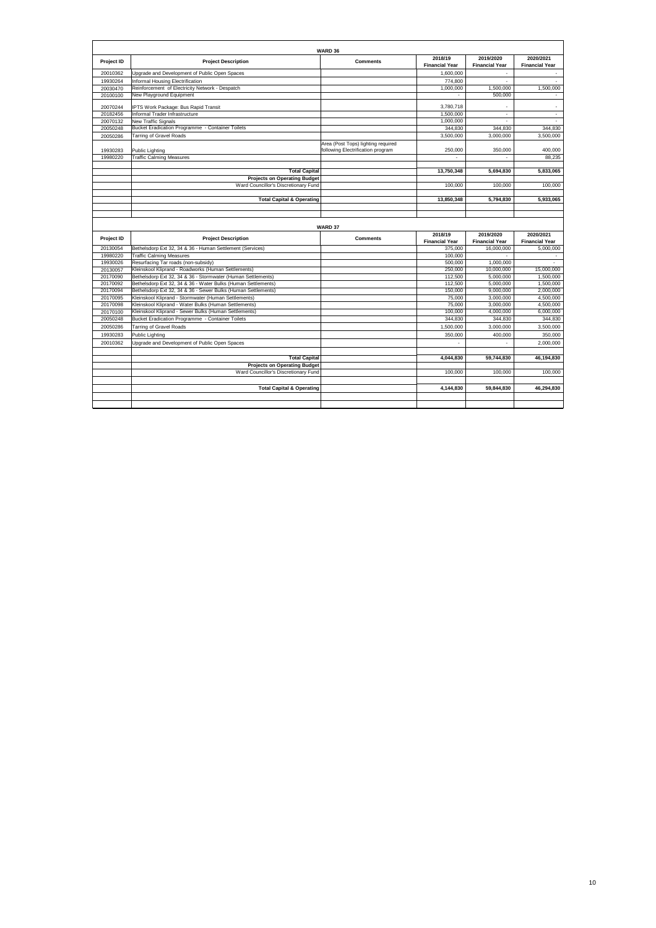| 1,600,000<br>20010362<br>Upgrade and Development of Public Open Spaces<br>774,800<br>Informal Housing Electrification<br>19930264<br>$\sim$<br>Reinforcement of Electricity Network - Despatch<br>1.000.000<br>1,500,000<br>20030470<br>New Playground Equipment<br>500,000<br>20100100<br>20070244<br>IPTS Work Package: Bus Rapid Transit<br>3,780,718<br>$\sim$<br>Informal Trader Infrastructure<br>1,500,000<br>20182456<br>$\overline{\phantom{a}}$<br>1,000,000<br>20070132<br>New Traffic Signals<br>20050248<br>Bucket Eradication Programme - Container Toilets<br>344,830<br>344,830<br>20050286<br>Tarring of Gravel Roads<br>3.500.000<br>3,000,000<br>Area (Post Tops) lighting required<br>following Electrification program<br>250,000<br>350,000<br>19930283<br>Public Lighting<br><b>Traffic Calming Measures</b><br>19980220<br>$\sim$<br>$\sim$<br><b>Total Capital</b><br>13.750.348<br>5,694,830<br><b>Projects on Operating Budget</b><br>Ward Councillor's Discretionary Fund<br>100,000<br>100,000<br><b>Total Capital &amp; Operating</b><br>13,850,348<br>5,794,830<br>WARD 37<br>2018/19<br>2019/2020<br>Project ID<br><b>Project Description</b><br><b>Comments</b><br><b>Financial Year</b><br><b>Financial Year</b><br>20130054<br>Bethelsdorp Ext 32, 34 & 36 - Human Settlement (Services)<br>375,000<br>16,000,000<br><b>Traffic Calming Measures</b><br>19980220<br>100,000<br>$\sim$<br>Resurfacing Tar roads (non-subsidy)<br>19930026<br>500.000<br>1,000,000<br>Kleinskool Kliprand - Roadworks (Human Settlements)<br>20130057<br>250,000<br>10.000.000<br>20170090<br>Bethelsdorp Ext 32, 34 & 36 - Stormwater (Human Settlements)<br>112,500<br>5,000,000<br>20170092<br>Bethelsdorp Ext 32, 34 & 36 - Water Bulks (Human Settlements)<br>112,500<br>5,000,000<br>20170094<br>Bethelsdorp Ext 32, 34 & 36 - Sewer Bulks (Human Settlements)<br>150,000<br>9,000,000<br>Kleinskool Kliprand - Stormwater (Human Settlements)<br>75,000<br>20170095<br>3,000,000<br>Kleinskool Kliprand - Water Bulks (Human Settlements)<br>75,000<br>3,000,000<br>20170098<br>Kleinskool Kliprand - Sewer Bulks (Human Settlements)<br>100,000<br>4,000,000<br>20170100<br>Bucket Eradication Programme - Container Toilets<br>20050248<br>344.830<br>344,830<br>1,500,000<br>20050286<br>3,000,000<br><b>Tarring of Gravel Roads</b><br>350,000<br>400,000<br>19930283<br>Public Lighting<br>20010362<br>Upgrade and Development of Public Open Spaces<br><b>Total Capital</b><br>4,044,830<br>59,744,830<br><b>Projects on Operating Budget</b><br>Ward Councillor's Discretionary Fund<br>100,000<br>100,000 | Project ID | <b>Project Description</b> | <b>Comments</b> | 2018/19<br><b>Financial Year</b> | 2019/2020<br><b>Financial Year</b> | 2020/2021<br><b>Financial Year</b>                                                                                                                                            |
|-------------------------------------------------------------------------------------------------------------------------------------------------------------------------------------------------------------------------------------------------------------------------------------------------------------------------------------------------------------------------------------------------------------------------------------------------------------------------------------------------------------------------------------------------------------------------------------------------------------------------------------------------------------------------------------------------------------------------------------------------------------------------------------------------------------------------------------------------------------------------------------------------------------------------------------------------------------------------------------------------------------------------------------------------------------------------------------------------------------------------------------------------------------------------------------------------------------------------------------------------------------------------------------------------------------------------------------------------------------------------------------------------------------------------------------------------------------------------------------------------------------------------------------------------------------------------------------------------------------------------------------------------------------------------------------------------------------------------------------------------------------------------------------------------------------------------------------------------------------------------------------------------------------------------------------------------------------------------------------------------------------------------------------------------------------------------------------------------------------------------------------------------------------------------------------------------------------------------------------------------------------------------------------------------------------------------------------------------------------------------------------------------------------------------------------------------------------------------------------------------------------------------------------------------------------------------------------------------------------------------------------------|------------|----------------------------|-----------------|----------------------------------|------------------------------------|-------------------------------------------------------------------------------------------------------------------------------------------------------------------------------|
|                                                                                                                                                                                                                                                                                                                                                                                                                                                                                                                                                                                                                                                                                                                                                                                                                                                                                                                                                                                                                                                                                                                                                                                                                                                                                                                                                                                                                                                                                                                                                                                                                                                                                                                                                                                                                                                                                                                                                                                                                                                                                                                                                                                                                                                                                                                                                                                                                                                                                                                                                                                                                                           |            |                            |                 |                                  |                                    | $\overline{\phantom{a}}$                                                                                                                                                      |
|                                                                                                                                                                                                                                                                                                                                                                                                                                                                                                                                                                                                                                                                                                                                                                                                                                                                                                                                                                                                                                                                                                                                                                                                                                                                                                                                                                                                                                                                                                                                                                                                                                                                                                                                                                                                                                                                                                                                                                                                                                                                                                                                                                                                                                                                                                                                                                                                                                                                                                                                                                                                                                           |            |                            |                 |                                  |                                    | $\sim$                                                                                                                                                                        |
|                                                                                                                                                                                                                                                                                                                                                                                                                                                                                                                                                                                                                                                                                                                                                                                                                                                                                                                                                                                                                                                                                                                                                                                                                                                                                                                                                                                                                                                                                                                                                                                                                                                                                                                                                                                                                                                                                                                                                                                                                                                                                                                                                                                                                                                                                                                                                                                                                                                                                                                                                                                                                                           |            |                            |                 |                                  |                                    | 1,500,000                                                                                                                                                                     |
|                                                                                                                                                                                                                                                                                                                                                                                                                                                                                                                                                                                                                                                                                                                                                                                                                                                                                                                                                                                                                                                                                                                                                                                                                                                                                                                                                                                                                                                                                                                                                                                                                                                                                                                                                                                                                                                                                                                                                                                                                                                                                                                                                                                                                                                                                                                                                                                                                                                                                                                                                                                                                                           |            |                            |                 |                                  |                                    | $\sim$                                                                                                                                                                        |
|                                                                                                                                                                                                                                                                                                                                                                                                                                                                                                                                                                                                                                                                                                                                                                                                                                                                                                                                                                                                                                                                                                                                                                                                                                                                                                                                                                                                                                                                                                                                                                                                                                                                                                                                                                                                                                                                                                                                                                                                                                                                                                                                                                                                                                                                                                                                                                                                                                                                                                                                                                                                                                           |            |                            |                 |                                  |                                    | $\sim$                                                                                                                                                                        |
|                                                                                                                                                                                                                                                                                                                                                                                                                                                                                                                                                                                                                                                                                                                                                                                                                                                                                                                                                                                                                                                                                                                                                                                                                                                                                                                                                                                                                                                                                                                                                                                                                                                                                                                                                                                                                                                                                                                                                                                                                                                                                                                                                                                                                                                                                                                                                                                                                                                                                                                                                                                                                                           |            |                            |                 |                                  |                                    | $\blacksquare$                                                                                                                                                                |
|                                                                                                                                                                                                                                                                                                                                                                                                                                                                                                                                                                                                                                                                                                                                                                                                                                                                                                                                                                                                                                                                                                                                                                                                                                                                                                                                                                                                                                                                                                                                                                                                                                                                                                                                                                                                                                                                                                                                                                                                                                                                                                                                                                                                                                                                                                                                                                                                                                                                                                                                                                                                                                           |            |                            |                 |                                  |                                    |                                                                                                                                                                               |
|                                                                                                                                                                                                                                                                                                                                                                                                                                                                                                                                                                                                                                                                                                                                                                                                                                                                                                                                                                                                                                                                                                                                                                                                                                                                                                                                                                                                                                                                                                                                                                                                                                                                                                                                                                                                                                                                                                                                                                                                                                                                                                                                                                                                                                                                                                                                                                                                                                                                                                                                                                                                                                           |            |                            |                 |                                  |                                    | 344.830                                                                                                                                                                       |
|                                                                                                                                                                                                                                                                                                                                                                                                                                                                                                                                                                                                                                                                                                                                                                                                                                                                                                                                                                                                                                                                                                                                                                                                                                                                                                                                                                                                                                                                                                                                                                                                                                                                                                                                                                                                                                                                                                                                                                                                                                                                                                                                                                                                                                                                                                                                                                                                                                                                                                                                                                                                                                           |            |                            |                 |                                  |                                    | 3,500,000                                                                                                                                                                     |
|                                                                                                                                                                                                                                                                                                                                                                                                                                                                                                                                                                                                                                                                                                                                                                                                                                                                                                                                                                                                                                                                                                                                                                                                                                                                                                                                                                                                                                                                                                                                                                                                                                                                                                                                                                                                                                                                                                                                                                                                                                                                                                                                                                                                                                                                                                                                                                                                                                                                                                                                                                                                                                           |            |                            |                 |                                  |                                    | 400,000                                                                                                                                                                       |
|                                                                                                                                                                                                                                                                                                                                                                                                                                                                                                                                                                                                                                                                                                                                                                                                                                                                                                                                                                                                                                                                                                                                                                                                                                                                                                                                                                                                                                                                                                                                                                                                                                                                                                                                                                                                                                                                                                                                                                                                                                                                                                                                                                                                                                                                                                                                                                                                                                                                                                                                                                                                                                           |            |                            |                 |                                  |                                    | 88.235                                                                                                                                                                        |
|                                                                                                                                                                                                                                                                                                                                                                                                                                                                                                                                                                                                                                                                                                                                                                                                                                                                                                                                                                                                                                                                                                                                                                                                                                                                                                                                                                                                                                                                                                                                                                                                                                                                                                                                                                                                                                                                                                                                                                                                                                                                                                                                                                                                                                                                                                                                                                                                                                                                                                                                                                                                                                           |            |                            |                 |                                  |                                    |                                                                                                                                                                               |
|                                                                                                                                                                                                                                                                                                                                                                                                                                                                                                                                                                                                                                                                                                                                                                                                                                                                                                                                                                                                                                                                                                                                                                                                                                                                                                                                                                                                                                                                                                                                                                                                                                                                                                                                                                                                                                                                                                                                                                                                                                                                                                                                                                                                                                                                                                                                                                                                                                                                                                                                                                                                                                           |            |                            |                 |                                  |                                    | 5,833,065                                                                                                                                                                     |
|                                                                                                                                                                                                                                                                                                                                                                                                                                                                                                                                                                                                                                                                                                                                                                                                                                                                                                                                                                                                                                                                                                                                                                                                                                                                                                                                                                                                                                                                                                                                                                                                                                                                                                                                                                                                                                                                                                                                                                                                                                                                                                                                                                                                                                                                                                                                                                                                                                                                                                                                                                                                                                           |            |                            |                 |                                  |                                    |                                                                                                                                                                               |
|                                                                                                                                                                                                                                                                                                                                                                                                                                                                                                                                                                                                                                                                                                                                                                                                                                                                                                                                                                                                                                                                                                                                                                                                                                                                                                                                                                                                                                                                                                                                                                                                                                                                                                                                                                                                                                                                                                                                                                                                                                                                                                                                                                                                                                                                                                                                                                                                                                                                                                                                                                                                                                           |            |                            |                 |                                  |                                    | 100,000                                                                                                                                                                       |
|                                                                                                                                                                                                                                                                                                                                                                                                                                                                                                                                                                                                                                                                                                                                                                                                                                                                                                                                                                                                                                                                                                                                                                                                                                                                                                                                                                                                                                                                                                                                                                                                                                                                                                                                                                                                                                                                                                                                                                                                                                                                                                                                                                                                                                                                                                                                                                                                                                                                                                                                                                                                                                           |            |                            |                 |                                  |                                    |                                                                                                                                                                               |
|                                                                                                                                                                                                                                                                                                                                                                                                                                                                                                                                                                                                                                                                                                                                                                                                                                                                                                                                                                                                                                                                                                                                                                                                                                                                                                                                                                                                                                                                                                                                                                                                                                                                                                                                                                                                                                                                                                                                                                                                                                                                                                                                                                                                                                                                                                                                                                                                                                                                                                                                                                                                                                           |            |                            |                 |                                  |                                    | 5,933,065                                                                                                                                                                     |
|                                                                                                                                                                                                                                                                                                                                                                                                                                                                                                                                                                                                                                                                                                                                                                                                                                                                                                                                                                                                                                                                                                                                                                                                                                                                                                                                                                                                                                                                                                                                                                                                                                                                                                                                                                                                                                                                                                                                                                                                                                                                                                                                                                                                                                                                                                                                                                                                                                                                                                                                                                                                                                           |            |                            |                 |                                  |                                    |                                                                                                                                                                               |
|                                                                                                                                                                                                                                                                                                                                                                                                                                                                                                                                                                                                                                                                                                                                                                                                                                                                                                                                                                                                                                                                                                                                                                                                                                                                                                                                                                                                                                                                                                                                                                                                                                                                                                                                                                                                                                                                                                                                                                                                                                                                                                                                                                                                                                                                                                                                                                                                                                                                                                                                                                                                                                           |            |                            |                 |                                  |                                    | 2020/2021                                                                                                                                                                     |
|                                                                                                                                                                                                                                                                                                                                                                                                                                                                                                                                                                                                                                                                                                                                                                                                                                                                                                                                                                                                                                                                                                                                                                                                                                                                                                                                                                                                                                                                                                                                                                                                                                                                                                                                                                                                                                                                                                                                                                                                                                                                                                                                                                                                                                                                                                                                                                                                                                                                                                                                                                                                                                           |            |                            |                 |                                  |                                    | <b>Financial Year</b>                                                                                                                                                         |
|                                                                                                                                                                                                                                                                                                                                                                                                                                                                                                                                                                                                                                                                                                                                                                                                                                                                                                                                                                                                                                                                                                                                                                                                                                                                                                                                                                                                                                                                                                                                                                                                                                                                                                                                                                                                                                                                                                                                                                                                                                                                                                                                                                                                                                                                                                                                                                                                                                                                                                                                                                                                                                           |            |                            |                 |                                  |                                    |                                                                                                                                                                               |
|                                                                                                                                                                                                                                                                                                                                                                                                                                                                                                                                                                                                                                                                                                                                                                                                                                                                                                                                                                                                                                                                                                                                                                                                                                                                                                                                                                                                                                                                                                                                                                                                                                                                                                                                                                                                                                                                                                                                                                                                                                                                                                                                                                                                                                                                                                                                                                                                                                                                                                                                                                                                                                           |            |                            |                 |                                  |                                    |                                                                                                                                                                               |
|                                                                                                                                                                                                                                                                                                                                                                                                                                                                                                                                                                                                                                                                                                                                                                                                                                                                                                                                                                                                                                                                                                                                                                                                                                                                                                                                                                                                                                                                                                                                                                                                                                                                                                                                                                                                                                                                                                                                                                                                                                                                                                                                                                                                                                                                                                                                                                                                                                                                                                                                                                                                                                           |            |                            |                 |                                  |                                    |                                                                                                                                                                               |
|                                                                                                                                                                                                                                                                                                                                                                                                                                                                                                                                                                                                                                                                                                                                                                                                                                                                                                                                                                                                                                                                                                                                                                                                                                                                                                                                                                                                                                                                                                                                                                                                                                                                                                                                                                                                                                                                                                                                                                                                                                                                                                                                                                                                                                                                                                                                                                                                                                                                                                                                                                                                                                           |            |                            |                 |                                  |                                    |                                                                                                                                                                               |
|                                                                                                                                                                                                                                                                                                                                                                                                                                                                                                                                                                                                                                                                                                                                                                                                                                                                                                                                                                                                                                                                                                                                                                                                                                                                                                                                                                                                                                                                                                                                                                                                                                                                                                                                                                                                                                                                                                                                                                                                                                                                                                                                                                                                                                                                                                                                                                                                                                                                                                                                                                                                                                           |            |                            |                 |                                  |                                    |                                                                                                                                                                               |
|                                                                                                                                                                                                                                                                                                                                                                                                                                                                                                                                                                                                                                                                                                                                                                                                                                                                                                                                                                                                                                                                                                                                                                                                                                                                                                                                                                                                                                                                                                                                                                                                                                                                                                                                                                                                                                                                                                                                                                                                                                                                                                                                                                                                                                                                                                                                                                                                                                                                                                                                                                                                                                           |            |                            |                 |                                  |                                    |                                                                                                                                                                               |
|                                                                                                                                                                                                                                                                                                                                                                                                                                                                                                                                                                                                                                                                                                                                                                                                                                                                                                                                                                                                                                                                                                                                                                                                                                                                                                                                                                                                                                                                                                                                                                                                                                                                                                                                                                                                                                                                                                                                                                                                                                                                                                                                                                                                                                                                                                                                                                                                                                                                                                                                                                                                                                           |            |                            |                 |                                  |                                    |                                                                                                                                                                               |
|                                                                                                                                                                                                                                                                                                                                                                                                                                                                                                                                                                                                                                                                                                                                                                                                                                                                                                                                                                                                                                                                                                                                                                                                                                                                                                                                                                                                                                                                                                                                                                                                                                                                                                                                                                                                                                                                                                                                                                                                                                                                                                                                                                                                                                                                                                                                                                                                                                                                                                                                                                                                                                           |            |                            |                 |                                  |                                    |                                                                                                                                                                               |
|                                                                                                                                                                                                                                                                                                                                                                                                                                                                                                                                                                                                                                                                                                                                                                                                                                                                                                                                                                                                                                                                                                                                                                                                                                                                                                                                                                                                                                                                                                                                                                                                                                                                                                                                                                                                                                                                                                                                                                                                                                                                                                                                                                                                                                                                                                                                                                                                                                                                                                                                                                                                                                           |            |                            |                 |                                  |                                    |                                                                                                                                                                               |
|                                                                                                                                                                                                                                                                                                                                                                                                                                                                                                                                                                                                                                                                                                                                                                                                                                                                                                                                                                                                                                                                                                                                                                                                                                                                                                                                                                                                                                                                                                                                                                                                                                                                                                                                                                                                                                                                                                                                                                                                                                                                                                                                                                                                                                                                                                                                                                                                                                                                                                                                                                                                                                           |            |                            |                 |                                  |                                    |                                                                                                                                                                               |
|                                                                                                                                                                                                                                                                                                                                                                                                                                                                                                                                                                                                                                                                                                                                                                                                                                                                                                                                                                                                                                                                                                                                                                                                                                                                                                                                                                                                                                                                                                                                                                                                                                                                                                                                                                                                                                                                                                                                                                                                                                                                                                                                                                                                                                                                                                                                                                                                                                                                                                                                                                                                                                           |            |                            |                 |                                  |                                    |                                                                                                                                                                               |
|                                                                                                                                                                                                                                                                                                                                                                                                                                                                                                                                                                                                                                                                                                                                                                                                                                                                                                                                                                                                                                                                                                                                                                                                                                                                                                                                                                                                                                                                                                                                                                                                                                                                                                                                                                                                                                                                                                                                                                                                                                                                                                                                                                                                                                                                                                                                                                                                                                                                                                                                                                                                                                           |            |                            |                 |                                  |                                    |                                                                                                                                                                               |
|                                                                                                                                                                                                                                                                                                                                                                                                                                                                                                                                                                                                                                                                                                                                                                                                                                                                                                                                                                                                                                                                                                                                                                                                                                                                                                                                                                                                                                                                                                                                                                                                                                                                                                                                                                                                                                                                                                                                                                                                                                                                                                                                                                                                                                                                                                                                                                                                                                                                                                                                                                                                                                           |            |                            |                 |                                  |                                    |                                                                                                                                                                               |
|                                                                                                                                                                                                                                                                                                                                                                                                                                                                                                                                                                                                                                                                                                                                                                                                                                                                                                                                                                                                                                                                                                                                                                                                                                                                                                                                                                                                                                                                                                                                                                                                                                                                                                                                                                                                                                                                                                                                                                                                                                                                                                                                                                                                                                                                                                                                                                                                                                                                                                                                                                                                                                           |            |                            |                 |                                  |                                    |                                                                                                                                                                               |
|                                                                                                                                                                                                                                                                                                                                                                                                                                                                                                                                                                                                                                                                                                                                                                                                                                                                                                                                                                                                                                                                                                                                                                                                                                                                                                                                                                                                                                                                                                                                                                                                                                                                                                                                                                                                                                                                                                                                                                                                                                                                                                                                                                                                                                                                                                                                                                                                                                                                                                                                                                                                                                           |            |                            |                 |                                  |                                    |                                                                                                                                                                               |
|                                                                                                                                                                                                                                                                                                                                                                                                                                                                                                                                                                                                                                                                                                                                                                                                                                                                                                                                                                                                                                                                                                                                                                                                                                                                                                                                                                                                                                                                                                                                                                                                                                                                                                                                                                                                                                                                                                                                                                                                                                                                                                                                                                                                                                                                                                                                                                                                                                                                                                                                                                                                                                           |            |                            |                 |                                  |                                    | 5.000.000<br>$\sim$<br>15,000,000<br>1,500,000<br>1,500,000<br>2,000,000<br>4.500.000<br>4,500,000<br>6,000,000<br>344,830<br>3,500,000<br>350,000<br>2,000,000<br>46,194,830 |
| 4,144,830<br>59,844,830<br><b>Total Capital &amp; Operating</b>                                                                                                                                                                                                                                                                                                                                                                                                                                                                                                                                                                                                                                                                                                                                                                                                                                                                                                                                                                                                                                                                                                                                                                                                                                                                                                                                                                                                                                                                                                                                                                                                                                                                                                                                                                                                                                                                                                                                                                                                                                                                                                                                                                                                                                                                                                                                                                                                                                                                                                                                                                           |            |                            |                 |                                  |                                    |                                                                                                                                                                               |
|                                                                                                                                                                                                                                                                                                                                                                                                                                                                                                                                                                                                                                                                                                                                                                                                                                                                                                                                                                                                                                                                                                                                                                                                                                                                                                                                                                                                                                                                                                                                                                                                                                                                                                                                                                                                                                                                                                                                                                                                                                                                                                                                                                                                                                                                                                                                                                                                                                                                                                                                                                                                                                           |            |                            |                 |                                  |                                    | 100,000<br>46,294,830                                                                                                                                                         |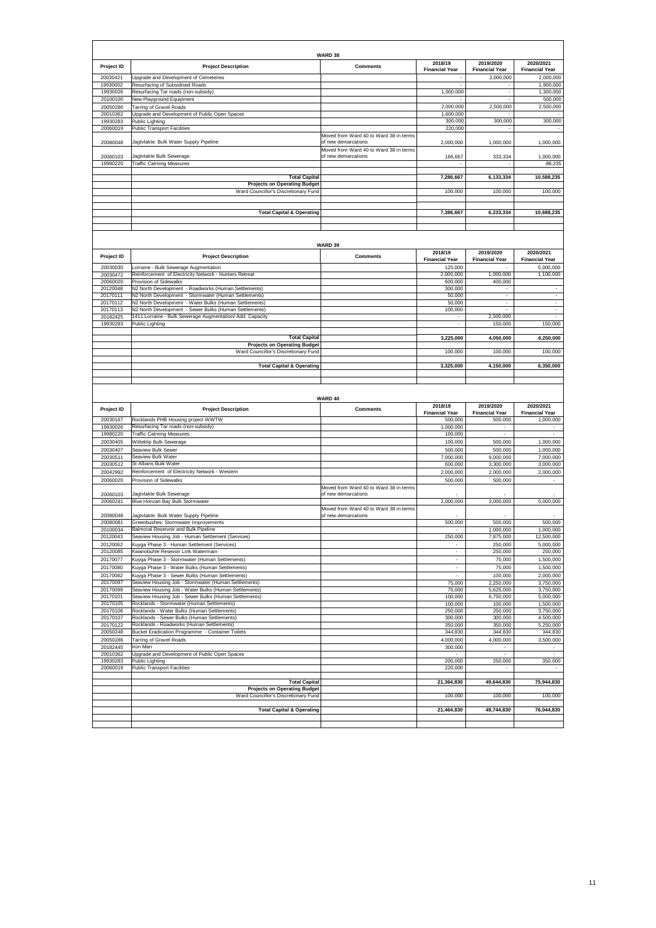| Project ID           | <b>Project Description</b>                                                                      | WARD 38<br><b>Comments</b>             | 2018/19<br><b>Financial Year</b> | 2019/2020<br><b>Financial Year</b> | 2020/2021<br><b>Financial Year</b> |
|----------------------|-------------------------------------------------------------------------------------------------|----------------------------------------|----------------------------------|------------------------------------|------------------------------------|
| 20030421             | Upgrade and Development of Cemeteries                                                           |                                        |                                  | 2,000,000                          | 2,000,000                          |
| 19930002             | Resurfacing of Subsidised Roads                                                                 |                                        |                                  |                                    | 1,900,000                          |
| 19930026             | Resurfacing Tar roads (non-subsidy)                                                             |                                        | 1,000,000                        | $\overline{\phantom{a}}$           | 1,300,000                          |
| 20100100             | New Playground Equipment                                                                        |                                        |                                  |                                    | 500,000                            |
| 20050286             | Tarring of Gravel Roads                                                                         |                                        | 2,000,000                        | 2,500,000                          | 2,500,000                          |
| 20010362             | Upgrade and Development of Public Open Spaces                                                   |                                        | 1,600,000                        |                                    |                                    |
| 19930283             | Public Lighting                                                                                 |                                        | 300,000                          | 300,000                            | 300,000                            |
| 20060019             | <b>Public Transport Facilities</b>                                                              |                                        | 220,000                          |                                    |                                    |
|                      |                                                                                                 | Moved from Ward 40 to Ward 38 in terms |                                  |                                    |                                    |
| 20080048             | Jagtvlakte: Bulk Water Supply Pipeline                                                          | of new demarcations                    | 2,000,000                        | 1,000,000                          | 1,000,000                          |
|                      |                                                                                                 | Moved from Ward 40 to Ward 38 in terms |                                  |                                    |                                    |
| 20060103             | Jagtvlakte Bulk Sewerage                                                                        | of new demarcations                    | 166,667                          | 333,334                            | 1,000,000                          |
| 19980220             | <b>Traffic Calming Measures</b>                                                                 |                                        |                                  |                                    | 88,235                             |
|                      |                                                                                                 |                                        |                                  |                                    |                                    |
|                      | <b>Total Capital</b>                                                                            |                                        | 7,286,667                        | 6,133,334                          | 10,588,235                         |
|                      | <b>Projects on Operating Budget</b><br>Ward Councillor's Discretionary Fund                     |                                        | 100,000                          | 100,000                            | 100,000                            |
|                      |                                                                                                 |                                        |                                  |                                    |                                    |
|                      |                                                                                                 |                                        |                                  |                                    |                                    |
|                      | <b>Total Capital &amp; Operating</b>                                                            |                                        | 7,386,667                        | 6,233,334                          | 10,688,235                         |
|                      |                                                                                                 |                                        |                                  |                                    |                                    |
|                      |                                                                                                 |                                        |                                  |                                    |                                    |
|                      |                                                                                                 |                                        |                                  |                                    |                                    |
|                      |                                                                                                 |                                        |                                  |                                    |                                    |
|                      |                                                                                                 | WARD 39                                | 2018/19                          | 2019/2020                          | 2020/2021                          |
| Project ID           | <b>Project Description</b>                                                                      | <b>Comments</b>                        | <b>Financial Year</b>            | <b>Financial Year</b>              | <b>Financial Year</b>              |
|                      |                                                                                                 |                                        | 125,000                          |                                    | 5,000,000                          |
| 20030030<br>20030472 | Lorraine - Bulk Sewerage Augmentation<br>Reinforcement of Electricity Network - Hunters Retreat |                                        | 2,000,000                        | 1,000,000                          | 1,100,000                          |
| 20060020             | Provision of Sidewalks                                                                          |                                        | 600,000                          | 400,000                            |                                    |
| 20120048             | N2 North Development - Roadworks (Human Settlements)                                            |                                        | 300,000                          | $\overline{\phantom{a}}$           |                                    |
| 20170111             | N2 North Development - Stormwater (Human Settlements)                                           |                                        | 50,000                           | $\epsilon$                         | $\sim$                             |
| 20170112             | N2 North Development - Water Bulks (Human Settlements)                                          |                                        | 50,000                           | ä,                                 | $\mathcal{L}$                      |
| 20170113             | N2 North Development - Sewer Bulks (Human Settlements)                                          |                                        | 100,000                          |                                    | ÷                                  |
| 20182425             | 1411: Lorraine - Bulk Sewerage Augmentation/ Add. Capacity                                      |                                        |                                  | 2,500,000                          |                                    |
| 19930283             | Public Lighting                                                                                 |                                        |                                  | 150,000                            | 150,000                            |
|                      |                                                                                                 |                                        |                                  |                                    |                                    |
|                      | <b>Total Capital</b>                                                                            |                                        | 3,225,000                        | 4,050,000                          | 6,250,000                          |
|                      | <b>Projects on Operating Budget</b>                                                             |                                        |                                  |                                    |                                    |
|                      | Ward Councillor's Discretionary Fund                                                            |                                        | 100,000                          | 100,000                            | 100,000                            |
|                      | <b>Total Capital &amp; Operating</b>                                                            |                                        | 3,325,000                        | 4,150,000                          | 6,350,000                          |
|                      |                                                                                                 |                                        |                                  |                                    |                                    |
|                      |                                                                                                 |                                        |                                  |                                    |                                    |
|                      |                                                                                                 |                                        |                                  |                                    |                                    |
|                      |                                                                                                 |                                        |                                  |                                    |                                    |
|                      |                                                                                                 |                                        |                                  |                                    |                                    |
|                      |                                                                                                 | WARD 40                                |                                  |                                    |                                    |
| Project ID           | <b>Project Description</b>                                                                      | <b>Comments</b>                        | 2018/19                          | 2019/2020                          | 2020/2021                          |
|                      |                                                                                                 |                                        | <b>Financial Year</b>            | <b>Financial Year</b>              | <b>Financial Year</b>              |
| 20030167             | Rocklands PHB Housing project WWTW                                                              |                                        | 500,000                          | 500,000                            | 1,000,000                          |
| 19930026             | Resurfacing Tar roads (non-subsidy)<br><b>Traffic Calming Measures</b>                          |                                        | 1,000,000                        | $\sim$                             |                                    |
| 19980220             |                                                                                                 |                                        | 100,000                          |                                    |                                    |
| 20030405             | Witteklip Bulk Sewerage<br>Seaview Bulk Sewer                                                   |                                        | 100,000                          | 500,000                            | 1,000,000                          |
| 20030407             | Seaview Bulk Water                                                                              |                                        | 500,000                          | 500,000                            | 1,000,000                          |
| 20030511             | St Albans Bulk Water                                                                            |                                        | 7,000,000                        | 9,000,000                          | 7,000,000                          |
| 20030512             |                                                                                                 |                                        | 600,000                          | 3,300,000                          | 3,000,000                          |
| 20042992<br>20060020 | Reinforcement of Electricity Network - Western<br>Provision of Sidewalks                        |                                        | 2,000,000<br>500,000             | 2,000,000<br>500,000               | 2,000,000                          |
|                      |                                                                                                 | Moved from Ward 40 to Ward 38 in terms |                                  |                                    |                                    |
| 20060103             | Jagtvlakte Bulk Sewerage                                                                        | of new demarcations                    |                                  |                                    |                                    |
| 20060241             | Blue Horizan Bay Bulk Stormwater                                                                |                                        | 2,000,000                        | 3,000,000                          | 5,000,000                          |
|                      |                                                                                                 | Moved from Ward 40 to Ward 38 in terms |                                  |                                    |                                    |
| 20080048             | Jagtvlakte: Bulk Water Supply Pipeline                                                          | of new demarcations                    |                                  |                                    |                                    |
| 20080081             | Greenbushes: Stormwater Improvements                                                            |                                        | 500,000                          | 500,000                            | 500,000                            |
| 20100034             | Balmoral Reservoir and Bulk Pipeline                                                            |                                        |                                  | 1,000,000                          | 1,000,000                          |
| 20120043             | Seaview Housing Job - Human Settlement (Services)                                               |                                        | 250,000                          | 7,875,000                          | 12,500,000                         |
| 20120062             | Kuyga Phase 3 - Human Settlement (Services)                                                     |                                        |                                  | 250,000                            | 5,000,000                          |
| 20120085             | Kwanobuhle Resevoir Link Watermain                                                              |                                        |                                  | 250,000                            | 250,000                            |
| 20170077             | Kuyga Phase 3 - Stormwater (Human Settlements)                                                  |                                        | $\sim$                           | 75,000                             | 1,500,000                          |
| 20170080             | Kuyga Phase 3 - Water Bulks (Human Settlements)                                                 |                                        | ä,                               | 75,000                             | 1,500,000                          |
| 20170082             | Kuyga Phase 3 - Sewer Bulks (Human Settlements)                                                 |                                        |                                  | 100,000                            | 2,000,000                          |
| 20170097             | Seaview Housing Job - Stormwater (Human Settlements)                                            |                                        | 75,000                           | 2,250,000                          | 3,750,000                          |
| 20170099             | Seaview Housing Job - Water Bulks (Human Settlements)                                           |                                        | 75,000                           | 5,625,000                          | 3,750,000                          |
| 20170101             | Seaview Housing Job - Sewer Bulks (Human Settlements)                                           |                                        | 100,000                          | 6,750,000                          | 5,000,000<br>1,500,000             |
| 20170105<br>20170106 | Rocklands - Stormwater (Human Settlements)<br>Rocklands - Water Bulks (Human Settlements)       |                                        | 100,000<br>250,000               | 100,000<br>250,000                 | 3,750,000                          |
| 20170107             | Rocklands - Sewer Bulks (Human Settlements)                                                     |                                        | 300,000                          | 300,000                            | 4,500,000                          |
| 20170122             | Rocklands - Roadworks (Human Settlements)                                                       |                                        | 350,000                          | 350,000                            | 5,250,000                          |
| 20050248             | Bucket Eradication Programme - Container Toilets                                                |                                        | 344,830                          | 344,830                            | 344,830                            |
| 20050286             | <b>Tarring of Gravel Roads</b>                                                                  |                                        | 4,000,000                        | 4,000,000                          | 3,500,000                          |
| 20182445             | Iron Man                                                                                        |                                        | 300,000                          |                                    |                                    |
| 20010362             | Upgrade and Development of Public Open Spaces                                                   |                                        |                                  |                                    |                                    |
| 19930283             | Public Lighting                                                                                 |                                        | 200,000                          | 250,000                            | 350,000                            |
| 20060019             | <b>Public Transport Facilities</b>                                                              |                                        | 220,000                          |                                    |                                    |
|                      |                                                                                                 |                                        |                                  |                                    |                                    |
|                      | <b>Total Capital</b>                                                                            |                                        | 21,364,830                       | 49,644,830                         | 75,944,830                         |
|                      | <b>Projects on Operating Budget</b>                                                             |                                        |                                  |                                    |                                    |
|                      | Ward Councillor's Discretionary Fund                                                            |                                        | 100,000                          | 100,000                            | 100,000                            |
|                      | <b>Total Capital &amp; Operating</b>                                                            |                                        | 21,464,830                       | 49,744,830                         | 76,044,830                         |
|                      |                                                                                                 |                                        |                                  |                                    |                                    |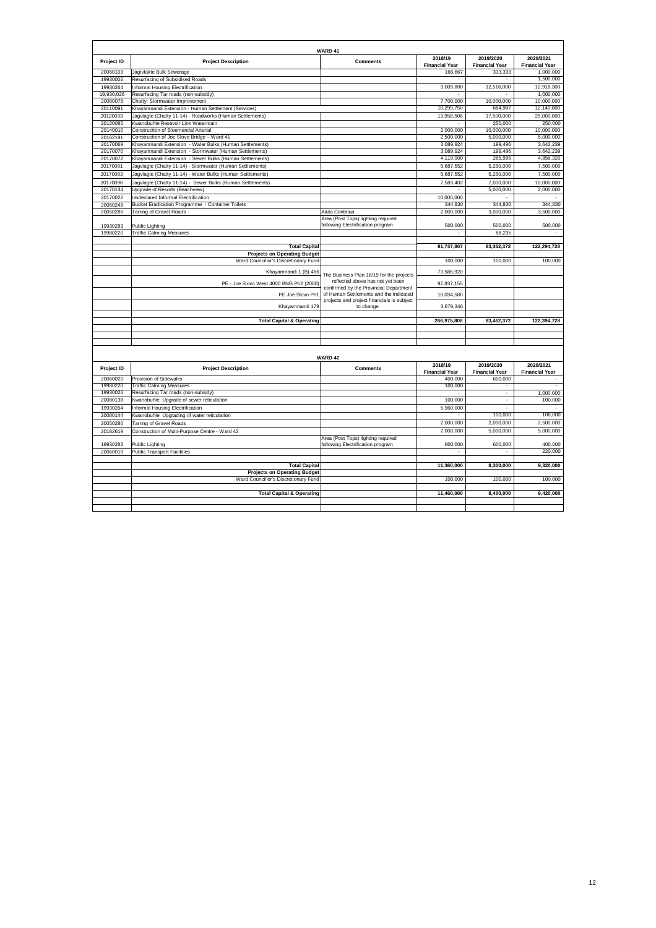|                      |                                                                                                                                                                | WARD 41                                                                 |                                  |                                    |                                    |
|----------------------|----------------------------------------------------------------------------------------------------------------------------------------------------------------|-------------------------------------------------------------------------|----------------------------------|------------------------------------|------------------------------------|
| Project ID           | <b>Project Description</b>                                                                                                                                     | <b>Comments</b>                                                         | 2018/19<br><b>Financial Year</b> | 2019/2020<br><b>Financial Year</b> | 2020/2021<br><b>Financial Year</b> |
| 20060103             | Jagtvlakte Bulk Sewerage                                                                                                                                       |                                                                         | 166,667                          | 333.333                            | 1.000.000                          |
| 19930002             | Resurfacing of Subsidised Roads                                                                                                                                |                                                                         |                                  |                                    | 1,500,000                          |
| 19930264             | nformal Housing Electrification                                                                                                                                |                                                                         | 3,009,800                        | 12,516,000                         | 12,918,300                         |
| 19,930,026           | Resurfacing Tar roads (non-subsidy)                                                                                                                            |                                                                         |                                  | ÷.                                 | 1,000,000                          |
| 20080078             | Chatty: Stormwater Improvement                                                                                                                                 |                                                                         | 7,700,000                        | 10,000,000                         | 10,000,000                         |
| 20110091             | Khayamnandi Extension - Human Settlement (Services)                                                                                                            |                                                                         | 10,299,750                       | 664,987                            | 12,140,800                         |
| 20120033             | Jagvlagte (Chatty 11-14) - Roadworks (Human Settlements)                                                                                                       |                                                                         | 13,958,506                       | 17,500,000                         | 25,000,000                         |
| 20120085             | Kwanobuhle Resevoir Link Watermain                                                                                                                             |                                                                         |                                  | 250,000                            | 250,000                            |
| 20140010             | Construction of Bloemendal Arterial                                                                                                                            |                                                                         | 2,000,000                        | 10,000,000                         | 10,000,000                         |
| 20162191             | Construction of Joe Slovo Bridge - Ward 41                                                                                                                     |                                                                         | 2,500,000                        | 5,000,000                          | 5,000,000                          |
| 20170069             | Khayamnandi Extension - Water Bulks (Human Settlements)                                                                                                        |                                                                         | 3,089,924                        | 199,496                            | 3,642,239                          |
| 20170070             | Khayamnandi Extension - Stormwater (Human Settlements)                                                                                                         |                                                                         | 3,089,924                        | 199,496                            | 3,642,239                          |
| 20170072             | Khayamnandi Extension - Sewer Bulks (Human Settlements)                                                                                                        |                                                                         | 4,119,900                        | 265,995                            | 4,856,320                          |
| 20170091             | Jagvlagte (Chatty 11-14) - Stormwater (Human Settlements)                                                                                                      |                                                                         | 5,687,552                        | 5.250.000                          | 7.500.000                          |
| 20170093             | Jagvlagte (Chatty 11-14) - Water Bulks (Human Settlements)                                                                                                     |                                                                         | 5,687,552                        | 5,250,000                          | 7,500,000                          |
| 20170096             | Jagvlagte (Chatty 11-14) - Sewer Bulks (Human Settlements)                                                                                                     |                                                                         | 7.583.402                        | 7.000.000                          | 10.000.000                         |
| 20170134             | Upgrade of Resorts (Beachview)                                                                                                                                 |                                                                         |                                  | 5,000,000                          | 2,000,000                          |
| 20170022             | <b>Jndeclared Informal Electrification</b>                                                                                                                     |                                                                         | 10,000,000                       |                                    |                                    |
| 20050248             | Bucket Eradication Programme - Container Toilets                                                                                                               |                                                                         | 344,830                          | 344,830                            | 344,830                            |
| 20050286             | Tarring of Gravel Roads                                                                                                                                        | Aluta Continua                                                          | 2,000,000                        | 3,000,000                          | 3,500,000                          |
|                      |                                                                                                                                                                | Area (Post Tops) lighting required                                      |                                  |                                    |                                    |
| 19930283             | ublic Lighting                                                                                                                                                 | following Electrification program                                       | 500,000                          | 500,000                            | 500,000                            |
| 19980220             | <b>Traffic Calming Measures</b>                                                                                                                                |                                                                         | $\overline{\phantom{a}}$         | 88,235                             |                                    |
|                      |                                                                                                                                                                |                                                                         |                                  |                                    |                                    |
|                      | <b>Total Capital</b>                                                                                                                                           |                                                                         | 81,737,807                       | 83,362,372                         | 122,294,728                        |
|                      | <b>Projects on Operating Budget</b>                                                                                                                            |                                                                         |                                  |                                    |                                    |
|                      | Ward Councillor's Discretionary Fund                                                                                                                           |                                                                         | 100,000                          | 100,000                            | 100,000                            |
|                      |                                                                                                                                                                |                                                                         |                                  |                                    |                                    |
|                      | Khayamnandi 1 (B) 466                                                                                                                                          | The Business Plan 18/19 for the projects                                | 73,586,920                       |                                    |                                    |
|                      | PE - Joe Slovo West 4000 BNG Ph2 (2000)                                                                                                                        | reflected above has not yet been                                        | 97.837.155                       |                                    |                                    |
|                      |                                                                                                                                                                | confirmed by the Provincial Department                                  |                                  |                                    |                                    |
|                      | PE Joe Slovo Ph1                                                                                                                                               | of Human Settlements and the indicated                                  | 10,034,580                       |                                    |                                    |
|                      | Khayamnandi 179                                                                                                                                                | projects and project financials is subject<br>to change.                | 3,679,346                        |                                    |                                    |
|                      |                                                                                                                                                                |                                                                         |                                  |                                    |                                    |
|                      | <b>Total Capital &amp; Operating</b>                                                                                                                           |                                                                         | 266,975,808                      | 83,462,372                         | 122,394,728                        |
|                      |                                                                                                                                                                |                                                                         |                                  |                                    |                                    |
|                      |                                                                                                                                                                |                                                                         |                                  |                                    |                                    |
|                      |                                                                                                                                                                |                                                                         |                                  |                                    |                                    |
|                      |                                                                                                                                                                |                                                                         |                                  |                                    |                                    |
|                      |                                                                                                                                                                | WARD 42                                                                 |                                  |                                    |                                    |
|                      |                                                                                                                                                                |                                                                         | 2018/19                          | 2019/2020                          | 2020/2021                          |
| Project ID           | <b>Project Description</b>                                                                                                                                     | <b>Comments</b>                                                         | <b>Financial Year</b>            | <b>Financial Year</b>              | <b>Financial Year</b>              |
| 20060020             | Provision of Sidewalks                                                                                                                                         |                                                                         | 400,000                          | 600,000                            |                                    |
| 19980220             | <b>Traffic Calming Measures</b>                                                                                                                                |                                                                         | 100,000                          |                                    |                                    |
| 19930026             | Resurfacing Tar roads (non-subsidy)                                                                                                                            |                                                                         |                                  | $\overline{a}$                     | 1.000.000                          |
| 20080138             | <wanobuhle: of="" reticulation<="" sewer="" td="" upgrade=""><td></td><td>100,000</td><td><math display="inline">\sim</math></td><td>100,000</td></wanobuhle:> |                                                                         | 100,000                          | $\sim$                             | 100,000                            |
| 19930264             | nformal Housing Electrification                                                                                                                                |                                                                         | 5,960,000                        | ÷.                                 |                                    |
| 20080144             | (wanobuhle: Upgrading of water reticulation                                                                                                                    |                                                                         |                                  | 100,000                            | 100,000                            |
|                      |                                                                                                                                                                |                                                                         | 2,000,000                        | 2,000,000                          | 2,500,000                          |
| 20050286             | <b>Tarring of Gravel Roads</b>                                                                                                                                 |                                                                         |                                  |                                    |                                    |
| 20182619             | Construction of Multi-Purpose Centre - Ward 42                                                                                                                 |                                                                         | 2,000,000                        | 5,000,000                          | 5,000,000                          |
|                      |                                                                                                                                                                | Area (Post Tops) lighting required<br>following Electrification program | 800,000                          | 600,000                            |                                    |
| 19930283<br>20060019 | Public Lighting                                                                                                                                                |                                                                         |                                  |                                    | 400,000<br>220,000                 |
|                      | <b>Public Transport Facilities</b>                                                                                                                             |                                                                         |                                  |                                    |                                    |
|                      | <b>Total Capital</b>                                                                                                                                           |                                                                         | 11,360,000                       | 8,300,000                          | 9,320,000                          |
|                      | <b>Projects on Operating Budget</b>                                                                                                                            |                                                                         |                                  |                                    |                                    |
|                      | Ward Councillor's Discretionary Fund                                                                                                                           |                                                                         | 100,000                          | 100,000                            | 100,000                            |
|                      |                                                                                                                                                                |                                                                         |                                  |                                    |                                    |
|                      | <b>Total Capital &amp; Operating</b>                                                                                                                           |                                                                         | 11,460,000                       | 8,400,000                          | 9,420,000                          |
|                      |                                                                                                                                                                |                                                                         |                                  |                                    |                                    |
|                      |                                                                                                                                                                |                                                                         |                                  |                                    |                                    |
|                      |                                                                                                                                                                |                                                                         |                                  |                                    |                                    |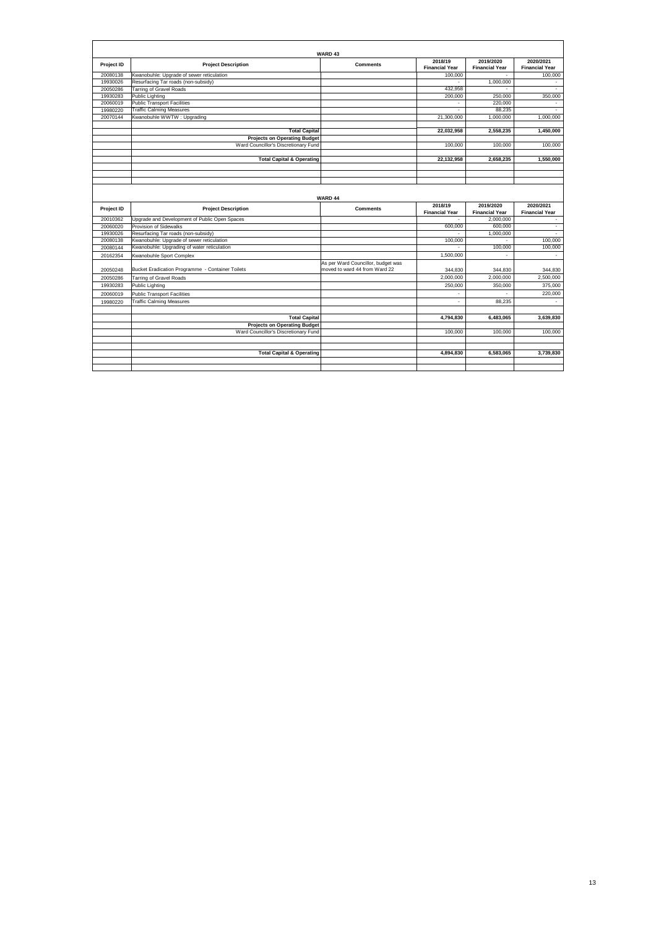|            | WARD <sub>43</sub>                               |                                    |                                  |                                    |                                    |  |
|------------|--------------------------------------------------|------------------------------------|----------------------------------|------------------------------------|------------------------------------|--|
| Project ID | <b>Project Description</b>                       | <b>Comments</b>                    | 2018/19<br><b>Financial Year</b> | 2019/2020<br><b>Financial Year</b> | 2020/2021<br><b>Financial Year</b> |  |
| 20080138   | Kwanobuhle: Upgrade of sewer reticulation        |                                    | 100,000                          |                                    | 100,000                            |  |
| 19930026   | Resurfacing Tar roads (non-subsidy)              |                                    | $\sim$                           | 1,000,000                          | $\overline{\phantom{a}}$           |  |
| 20050286   | Tarring of Gravel Roads                          |                                    | 432.958                          | ÷                                  | ÷                                  |  |
| 19930283   | <b>Public Lighting</b>                           |                                    | 200.000                          | 250,000                            | 350,000                            |  |
| 20060019   | <b>Public Transport Facilities</b>               |                                    |                                  | 220,000                            |                                    |  |
| 19980220   | <b>Traffic Calming Measures</b>                  |                                    |                                  | 88.235                             |                                    |  |
| 20070144   | Kwanobuhle WWTW: Upgrading                       |                                    | 21,300,000                       | 1,000,000                          | 1.000.000                          |  |
|            |                                                  |                                    |                                  |                                    |                                    |  |
|            | <b>Total Capital</b>                             |                                    | 22.032.958                       | 2.558.235                          | 1.450.000                          |  |
|            | <b>Projects on Operating Budget</b>              |                                    |                                  |                                    |                                    |  |
|            | Ward Councillor's Discretionary Fund             |                                    | 100,000                          | 100,000                            | 100,000                            |  |
|            | <b>Total Capital &amp; Operating</b>             |                                    | 22,132,958                       | 2,658,235                          | 1.550.000                          |  |
|            |                                                  |                                    |                                  |                                    |                                    |  |
|            |                                                  |                                    |                                  |                                    |                                    |  |
|            |                                                  |                                    |                                  |                                    |                                    |  |
|            |                                                  | WARD 44                            |                                  |                                    |                                    |  |
|            |                                                  |                                    | 2018/19                          | 2019/2020                          | 2020/2021                          |  |
|            |                                                  |                                    |                                  |                                    |                                    |  |
| Project ID | <b>Project Description</b>                       | <b>Comments</b>                    | <b>Financial Year</b>            | <b>Financial Year</b>              | <b>Financial Year</b>              |  |
| 20010362   | Upgrade and Development of Public Open Spaces    |                                    | $\sim$                           | 2,000,000                          | ÷.                                 |  |
| 20060020   | Provision of Sidewalks                           |                                    | 600.000                          | 600,000                            | $\sim$                             |  |
| 19930026   | Resurfacing Tar roads (non-subsidy)              |                                    |                                  | 1.000.000                          |                                    |  |
| 20080138   | Kwanobuhle: Upgrade of sewer reticulation        |                                    | 100,000                          | $\overline{a}$                     | 100,000                            |  |
| 20080144   | Kwanobuhle: Upgrading of water reticulation      |                                    |                                  | 100,000                            | 100,000                            |  |
| 20162354   | Kwanobuhle Sport Complex                         |                                    | 1.500.000                        |                                    |                                    |  |
|            |                                                  | As per Ward Councillor, budget was |                                  |                                    |                                    |  |
| 20050248   | Bucket Eradication Programme - Container Toilets | moved to ward 44 from Ward 22      | 344.830                          | 344.830                            | 344.830                            |  |
| 20050286   | <b>Tarring of Gravel Roads</b>                   |                                    | 2.000.000                        | 2.000.000                          | 2.500.000                          |  |
| 19930283   | Public Lighting                                  |                                    | 250,000                          | 350,000                            | 375,000                            |  |
| 20060019   | <b>Public Transport Facilities</b>               |                                    | ÷                                |                                    | 220,000                            |  |
| 19980220   | <b>Traffic Calming Measures</b>                  |                                    | ٠                                | 88,235                             |                                    |  |
|            |                                                  |                                    |                                  |                                    |                                    |  |
|            | <b>Total Capital</b>                             |                                    | 4.794.830                        | 6.483.065                          | 3.639.830                          |  |
|            | <b>Projects on Operating Budget</b>              |                                    |                                  |                                    |                                    |  |
|            | Ward Councillor's Discretionary Fund             |                                    | 100,000                          | 100,000                            | 100,000                            |  |
|            |                                                  |                                    |                                  |                                    |                                    |  |
|            |                                                  |                                    |                                  |                                    |                                    |  |
|            | <b>Total Capital &amp; Operating</b>             |                                    | 4,894,830                        | 6,583,065                          | 3.739.830                          |  |
|            |                                                  |                                    |                                  |                                    |                                    |  |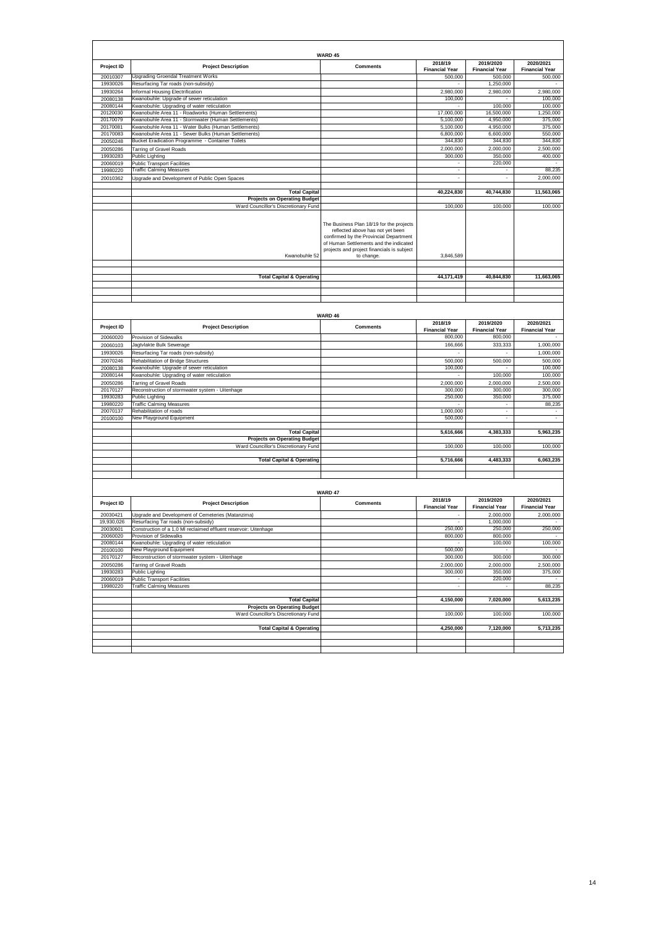|            |                                                                             | WARD 45                                                                                                                                                                                                                      |                                  |                                    |                                                           |
|------------|-----------------------------------------------------------------------------|------------------------------------------------------------------------------------------------------------------------------------------------------------------------------------------------------------------------------|----------------------------------|------------------------------------|-----------------------------------------------------------|
| Project ID | <b>Project Description</b>                                                  | <b>Comments</b>                                                                                                                                                                                                              | 2018/19<br><b>Financial Year</b> | 2019/2020<br><b>Financial Year</b> | 2020/2021<br><b>Financial Year</b>                        |
| 20010307   | Upgrading Groendal Treatment Works                                          |                                                                                                                                                                                                                              | 500,000                          | 500,000                            | 500,000                                                   |
| 19930026   | Resurfacing Tar roads (non-subsidy)                                         |                                                                                                                                                                                                                              |                                  | 1,250,000                          |                                                           |
| 19930264   | Informal Housing Electrification                                            |                                                                                                                                                                                                                              | 2,980,000                        | 2,980,000                          | 2,980,000                                                 |
| 20080138   | Kwanobuhle: Upgrade of sewer reticulation                                   |                                                                                                                                                                                                                              | 100,000                          |                                    | 100,000                                                   |
| 20080144   | Kwanobuhle: Upgrading of water reticulation                                 |                                                                                                                                                                                                                              |                                  | 100,000                            | 100,000                                                   |
| 20120030   | Kwanobuhle Area 11 - Roadworks (Human Settlements)                          |                                                                                                                                                                                                                              | 17,000,000                       | 16,500,000                         | 1,250,000                                                 |
| 20170079   | Kwanobuhle Area 11 - Stormwater (Human Settlements)                         |                                                                                                                                                                                                                              | 5,100,000                        | 4,950,000                          | 375,000                                                   |
| 20170081   | Kwanobuhle Area 11 - Water Bulks (Human Settlements)                        |                                                                                                                                                                                                                              | 5,100,000                        | 4,950,000                          | 375,000                                                   |
| 20170083   | Kwanobuhle Area 11 - Sewer Bulks (Human Settlements)                        |                                                                                                                                                                                                                              | 6,800,000                        | 6,600,000                          | 550,000                                                   |
| 20050248   | Bucket Eradication Programme - Container Toilets                            |                                                                                                                                                                                                                              | 344,830                          | 344,830                            | 344,830                                                   |
| 20050286   | <b>Tarring of Gravel Roads</b>                                              |                                                                                                                                                                                                                              | 2,000,000                        | 2,000,000                          | 2,500,000                                                 |
| 19930283   | Public Lighting                                                             |                                                                                                                                                                                                                              | 300,000                          | 350,000                            | 400,000                                                   |
| 20060019   | <b>Public Transport Facilities</b>                                          |                                                                                                                                                                                                                              |                                  | 220,000                            |                                                           |
| 19980220   | <b>Traffic Calming Measures</b>                                             |                                                                                                                                                                                                                              | $\cdot$                          | $\overline{\phantom{a}}$           | 88,235                                                    |
| 20010362   | Upgrade and Development of Public Open Spaces                               |                                                                                                                                                                                                                              | $\bar{z}$                        | $\sim$                             | 2,000,000                                                 |
|            |                                                                             |                                                                                                                                                                                                                              |                                  |                                    |                                                           |
|            | <b>Total Capital</b>                                                        |                                                                                                                                                                                                                              | 40,224,830                       | 40,744,830                         | 11,563,065                                                |
|            | <b>Projects on Operating Budget</b>                                         |                                                                                                                                                                                                                              |                                  |                                    |                                                           |
|            |                                                                             |                                                                                                                                                                                                                              |                                  | 100,000                            | 100,000                                                   |
|            | Ward Councillor's Discretionary Fund                                        |                                                                                                                                                                                                                              | 100,000                          |                                    |                                                           |
|            | Kwanobuhle 52                                                               | The Business Plan 18/19 for the projects<br>reflected above has not yet been<br>confirmed by the Provincial Department<br>of Human Settlements and the indicated<br>projects and project financials is subject<br>to change. | 3,846,589                        |                                    |                                                           |
|            |                                                                             |                                                                                                                                                                                                                              |                                  |                                    |                                                           |
|            | <b>Total Capital &amp; Operating</b>                                        |                                                                                                                                                                                                                              | 44,171,419                       | 40,844,830                         | 11,663,065                                                |
|            |                                                                             |                                                                                                                                                                                                                              |                                  |                                    |                                                           |
|            |                                                                             |                                                                                                                                                                                                                              |                                  |                                    |                                                           |
|            |                                                                             |                                                                                                                                                                                                                              |                                  |                                    |                                                           |
|            |                                                                             | WARD 46                                                                                                                                                                                                                      |                                  |                                    |                                                           |
| Project ID | <b>Project Description</b>                                                  | <b>Comments</b>                                                                                                                                                                                                              | 2018/19<br><b>Financial Year</b> | 2019/2020<br><b>Financial Year</b> | 2020/2021<br><b>Financial Year</b>                        |
| 20060020   | Provision of Sidewalks                                                      |                                                                                                                                                                                                                              | 800,000                          | 800,000                            |                                                           |
| 20060103   | Jagtvlakte Bulk Sewerage                                                    |                                                                                                                                                                                                                              |                                  |                                    | 1,000,000                                                 |
|            |                                                                             |                                                                                                                                                                                                                              |                                  |                                    |                                                           |
|            |                                                                             |                                                                                                                                                                                                                              | 166,666                          | 333,333                            |                                                           |
| 19930026   | Resurfacing Tar roads (non-subsidy)                                         |                                                                                                                                                                                                                              |                                  |                                    |                                                           |
| 20070246   | Rehabilitation of Bridge Structures                                         |                                                                                                                                                                                                                              | 500,000                          | 500,000                            |                                                           |
| 20080138   | Kwanobuhle: Upgrade of sewer reticulation                                   |                                                                                                                                                                                                                              | 100,000                          |                                    |                                                           |
| 20080144   | Kwanobuhle: Upgrading of water reticulation                                 |                                                                                                                                                                                                                              |                                  | 100,000                            |                                                           |
| 20050286   | Tarring of Gravel Roads                                                     |                                                                                                                                                                                                                              | 2,000,000                        | 2,000,000                          | 2,500,000                                                 |
| 20170127   | Reconstruction of stormwater system - Uitenhage                             |                                                                                                                                                                                                                              | 300,000                          | 300,000                            | 500,000<br>100,000<br>300,000                             |
| 19930283   | Public Lighting                                                             |                                                                                                                                                                                                                              | 250,000                          | 350,000                            |                                                           |
| 19980220   | <b>Traffic Calming Measures</b>                                             |                                                                                                                                                                                                                              |                                  |                                    |                                                           |
| 20070137   | Rehabilitation of roads                                                     |                                                                                                                                                                                                                              | 1,000,000                        |                                    | 375,000<br>88,235<br>$\overline{\phantom{a}}$             |
| 20100100   | New Playground Equipment                                                    |                                                                                                                                                                                                                              | 500,000                          | $\overline{\phantom{a}}$           | $\sim$                                                    |
|            |                                                                             |                                                                                                                                                                                                                              |                                  |                                    |                                                           |
|            | <b>Total Capital</b>                                                        |                                                                                                                                                                                                                              | 5,616,666                        | 4,383,333                          |                                                           |
|            |                                                                             |                                                                                                                                                                                                                              |                                  |                                    |                                                           |
|            | <b>Projects on Operating Budget</b><br>Ward Councillor's Discretionary Fund |                                                                                                                                                                                                                              | 100,000                          | 100,000                            |                                                           |
|            |                                                                             |                                                                                                                                                                                                                              |                                  |                                    |                                                           |
|            | <b>Total Capital &amp; Operating</b>                                        |                                                                                                                                                                                                                              | 5,716,666                        | 4,483,333                          |                                                           |
|            |                                                                             |                                                                                                                                                                                                                              |                                  |                                    |                                                           |
|            |                                                                             |                                                                                                                                                                                                                              |                                  |                                    |                                                           |
|            |                                                                             |                                                                                                                                                                                                                              |                                  |                                    | 1,000,000<br>100,000<br>5,963,235<br>100,000<br>6,063,235 |
|            |                                                                             | WARD 47                                                                                                                                                                                                                      |                                  |                                    |                                                           |
| Project ID | <b>Project Description</b>                                                  | <b>Comments</b>                                                                                                                                                                                                              | 2018/19                          | 2019/2020                          | 2020/2021                                                 |
|            |                                                                             |                                                                                                                                                                                                                              | <b>Financial Year</b>            | <b>Financial Year</b>              | <b>Financial Year</b>                                     |
| 20030421   | Upgrade and Development of Cemeteries (Matanzima)                           |                                                                                                                                                                                                                              | $\sim$                           | 2.000.000                          | 2,000,000                                                 |
| 19,930,026 | Resurfacing Tar roads (non-subsidy)                                         |                                                                                                                                                                                                                              | ÷.                               | 1,000,000                          |                                                           |
| 20030601   | Construction of a 1,0 MI reclaimed effluent reservoir: Uitenhage            |                                                                                                                                                                                                                              | 250,000                          | 250,000                            | 250,000                                                   |
| zuubuuzu   | Provision of Sidewalks                                                      |                                                                                                                                                                                                                              | 800,000                          | 800,000                            |                                                           |
| 20080144   | Kwanobuhle: Upgrading of water reticulation                                 |                                                                                                                                                                                                                              |                                  | 100,000                            | 100,000                                                   |
| 20100100   | New Playground Equipment                                                    |                                                                                                                                                                                                                              | 500,000                          |                                    | $\overline{\phantom{a}}$                                  |
| 20170127   | Reconstruction of stormwater system - Uitenhage                             |                                                                                                                                                                                                                              | 300,000                          | 300,000                            | 300,000                                                   |
| 20050286   | <b>Tarring of Gravel Roads</b>                                              |                                                                                                                                                                                                                              | 2,000,000                        | 2,000,000                          | 2,500,000                                                 |
| 19930283   | <b>Public Lighting</b>                                                      |                                                                                                                                                                                                                              | 300,000                          | 350,000                            | 375,000                                                   |
| 20060019   | <b>Public Transport Facilities</b>                                          |                                                                                                                                                                                                                              |                                  | 220,000                            |                                                           |
| 19980220   |                                                                             |                                                                                                                                                                                                                              |                                  |                                    |                                                           |
|            | <b>Traffic Calming Measures</b>                                             |                                                                                                                                                                                                                              |                                  |                                    |                                                           |
|            | <b>Total Capital</b>                                                        |                                                                                                                                                                                                                              | 4,150,000                        | 7,020,000                          |                                                           |
|            | <b>Projects on Operating Budget</b>                                         |                                                                                                                                                                                                                              |                                  |                                    |                                                           |
|            | Ward Councillor's Discretionary Fund                                        |                                                                                                                                                                                                                              | 100,000                          | 100,000                            | 88,235<br>5,613,235<br>100,000                            |
|            |                                                                             |                                                                                                                                                                                                                              |                                  |                                    |                                                           |
|            | <b>Total Capital &amp; Operating</b>                                        |                                                                                                                                                                                                                              | 4,250,000                        | 7,120,000                          | 5,713,235                                                 |
|            |                                                                             |                                                                                                                                                                                                                              |                                  |                                    |                                                           |
|            |                                                                             |                                                                                                                                                                                                                              |                                  |                                    |                                                           |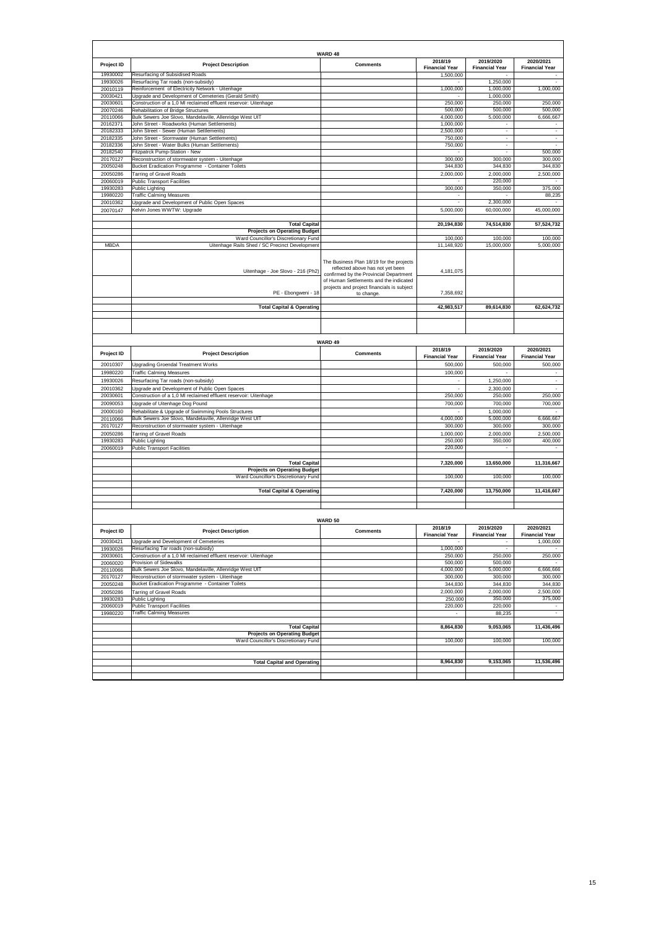|                      |                                                                                                         | WARD 48                                                                      |                                  |                                    |                                                                                |
|----------------------|---------------------------------------------------------------------------------------------------------|------------------------------------------------------------------------------|----------------------------------|------------------------------------|--------------------------------------------------------------------------------|
| Project ID           | <b>Project Description</b>                                                                              | <b>Comments</b>                                                              | 2018/19<br><b>Financial Year</b> | 2019/2020<br><b>Financial Year</b> | 2020/2021<br><b>Financial Year</b>                                             |
| 19930002             | Resurfacing of Subsidised Roads                                                                         |                                                                              | 1,500,000                        |                                    |                                                                                |
| 19930026             | Resurfacing Tar roads (non-subsidy)                                                                     |                                                                              |                                  | 1,250,000                          |                                                                                |
| 20010119             | Reinforcement of Electricity Network - Uitenhage                                                        |                                                                              | 1,000,000                        | 1,000,000                          | 1,000,000                                                                      |
| 20030421<br>20030601 | Upgrade and Development of Cemeteries (Gerald Smith)                                                    |                                                                              |                                  | 1,000,000                          |                                                                                |
| 20070246             | Construction of a 1,0 MI reclaimed effluent reservoir: Uitenhage<br>Rehabilitation of Bridge Structures |                                                                              | 250,000<br>500,000               | 250,000<br>500,000                 | 250,000<br>500,000                                                             |
| 20110066             | Bulk Sewers Joe Slovo, Mandelaville, Allenridge West UIT                                                |                                                                              | 4,000,000                        | 5,000,000                          | 6,666,667                                                                      |
| 20162371             | John Street - Roadworks (Human Settlements)                                                             |                                                                              | 1,000,000                        |                                    |                                                                                |
| 20182333             | John Street - Sewer (Human Settlements)                                                                 |                                                                              | 2,500,000                        |                                    |                                                                                |
| 20182335             | John Street - Stormwater (Human Settlements)                                                            |                                                                              | 750,000                          | $\overline{\phantom{a}}$           | $\overline{\phantom{a}}$                                                       |
| 20182336             | John Street - Water Bulks (Human Settlements)                                                           |                                                                              | 750,000                          |                                    |                                                                                |
| 20182540             | Fitzpatrck Pump-Station - New                                                                           |                                                                              |                                  |                                    | 500,000                                                                        |
| 20170127             | Reconstruction of stormwater system - Uitenhage                                                         |                                                                              | 300,000                          | 300,000                            | 300,000                                                                        |
| 20050248             | Bucket Eradication Programme - Container Toilets                                                        |                                                                              | 344,830                          | 344,830                            | 344,830                                                                        |
| 20050286             | Tarring of Gravel Roads                                                                                 |                                                                              | 2,000,000                        | 2,000,000                          | 2,500,000                                                                      |
| 20060019             | <b>Public Transport Facilities</b>                                                                      |                                                                              |                                  | 220,000                            |                                                                                |
| 19930283             | Public Lighting                                                                                         |                                                                              | 300,000                          | 350,000                            | 375,000                                                                        |
| 19980220             | <b>Traffic Calming Measures</b>                                                                         |                                                                              |                                  |                                    | 88,235                                                                         |
| 20010362             | Jpgrade and Development of Public Open Spaces                                                           |                                                                              | ٠                                | 2,300,000                          |                                                                                |
| 20070147             | Kelvin Jones WWTW: Upgrade                                                                              |                                                                              | 5,000,000                        | 60,000,000                         | 45,000,000                                                                     |
|                      |                                                                                                         |                                                                              |                                  |                                    |                                                                                |
|                      | <b>Total Capital</b><br><b>Projects on Operating Budget</b>                                             |                                                                              | 20,194,830                       | 74,514,830                         | 57,524,732                                                                     |
|                      | Ward Councillor's Discretionary Fund                                                                    |                                                                              | 100,000                          | 100,000                            | 100,000                                                                        |
| <b>MBDA</b>          | Uitenhage Rails Shed / SC Precinct Development                                                          |                                                                              | 11,148,920                       | 15,000,000                         | 5,000,000                                                                      |
|                      |                                                                                                         |                                                                              |                                  |                                    |                                                                                |
|                      |                                                                                                         |                                                                              |                                  |                                    |                                                                                |
|                      |                                                                                                         | The Business Plan 18/19 for the projects<br>reflected above has not yet been |                                  |                                    |                                                                                |
|                      | Uitenhage - Joe Slovo - 216 (Ph2)                                                                       | confirmed by the Provincial Department                                       | 4,181,075                        |                                    |                                                                                |
|                      |                                                                                                         | of Human Settlements and the indicated                                       |                                  |                                    |                                                                                |
|                      |                                                                                                         | projects and project financials is subject                                   |                                  |                                    |                                                                                |
|                      | PE - Ebongweni - 18                                                                                     | to change                                                                    | 7,358,692                        |                                    |                                                                                |
|                      |                                                                                                         |                                                                              |                                  |                                    |                                                                                |
|                      | <b>Total Capital &amp; Operating</b>                                                                    |                                                                              | 42,983,517                       | 89,614,830                         | 62,624,732                                                                     |
|                      |                                                                                                         |                                                                              |                                  |                                    |                                                                                |
|                      |                                                                                                         |                                                                              |                                  |                                    |                                                                                |
|                      |                                                                                                         |                                                                              |                                  |                                    |                                                                                |
|                      |                                                                                                         | WARD 49                                                                      |                                  |                                    |                                                                                |
|                      |                                                                                                         |                                                                              | 2018/19                          | 2019/2020                          | 2020/2021                                                                      |
| Project ID           | <b>Project Description</b>                                                                              | <b>Comments</b>                                                              | <b>Financial Year</b>            | <b>Financial Year</b>              | <b>Financial Year</b>                                                          |
|                      |                                                                                                         |                                                                              |                                  |                                    |                                                                                |
|                      |                                                                                                         |                                                                              |                                  |                                    |                                                                                |
| 20010307             | Upgrading Groendal Treatment Works                                                                      |                                                                              | 500,000                          | 500,000                            | 500,000                                                                        |
| 19980220             | <b>Traffic Calming Measures</b>                                                                         |                                                                              | 100,000                          |                                    |                                                                                |
| 19930026             | Resurfacing Tar roads (non-subsidy)                                                                     |                                                                              | ÷,                               | 1,250,000                          | $\overline{\phantom{a}}$                                                       |
| 20010362             | Upgrade and Development of Public Open Spaces                                                           |                                                                              |                                  | 2,300,000                          |                                                                                |
| 20030601             | Construction of a 1,0 MI reclaimed effluent reservoir: Uitenhage                                        |                                                                              | 250,000                          | 250,000                            | 250,000                                                                        |
| 20090053             | Upgrade of Uitenhage Dog Pound                                                                          |                                                                              | 700,000                          | 700,000                            | 700,000                                                                        |
| 20000160             | Rehabilitate & Upgrade of Swimming Pools Structures                                                     |                                                                              |                                  | 1,000,000                          | $\sim$                                                                         |
| 20110066             | Bulk Sewers Joe Slovo, Mandelaville, Allenridge West UIT                                                |                                                                              | 4,000,000                        | 5,000,000                          | 6,666,667                                                                      |
| 20170127             | Reconstruction of stormwater system - Uitenhage                                                         |                                                                              | 300,000                          | 300,000                            | 300,000                                                                        |
| 20050286             | <b>Tarring of Gravel Roads</b>                                                                          |                                                                              | 1,000,000                        | 2,000,000                          | 2,500,000                                                                      |
| 19930283             | Public Lighting                                                                                         |                                                                              | 250,000                          | 350,000                            | 400,000                                                                        |
| 20060019             | <b>Public Transport Facilities</b>                                                                      |                                                                              | 220,000                          |                                    |                                                                                |
|                      |                                                                                                         |                                                                              |                                  |                                    |                                                                                |
|                      | <b>Total Capital</b>                                                                                    |                                                                              | 7,320,000                        | 13,650,000                         | 11,316,667                                                                     |
|                      | <b>Projects on Operating Budget</b>                                                                     |                                                                              |                                  |                                    |                                                                                |
|                      | Ward Councillor's Discretionary Fund                                                                    |                                                                              | 100,000                          | 100,000                            |                                                                                |
|                      | <b>Total Capital &amp; Operating</b>                                                                    |                                                                              | 7,420,000                        | 13.750.000                         | 11,416,667                                                                     |
|                      |                                                                                                         |                                                                              |                                  |                                    |                                                                                |
|                      |                                                                                                         |                                                                              |                                  |                                    | 100,000                                                                        |
|                      |                                                                                                         |                                                                              |                                  |                                    |                                                                                |
|                      |                                                                                                         | WARD 50                                                                      |                                  |                                    |                                                                                |
|                      |                                                                                                         |                                                                              | 2018/19                          | 2019/2020                          | 2020/2021                                                                      |
| Project ID           | <b>Project Description</b>                                                                              | <b>Comments</b>                                                              |                                  |                                    | ıcıaı<br>r ear                                                                 |
| 20030421             | Jpgrade and Development of Cemeteries                                                                   |                                                                              |                                  |                                    | 1,000,000                                                                      |
| 19930026             | Resurfacing Tar roads (non-subsidy)                                                                     |                                                                              | 1,000,000                        |                                    | $\overline{\phantom{a}}$                                                       |
| 20030601             | Construction of a 1,0 MI reclaimed effluent reservoir: Uitenhage                                        |                                                                              | 250,000                          | 250,000                            |                                                                                |
| 20060020             | Provision of Sidewalks                                                                                  |                                                                              | 500,000                          | 500,000                            | $\sim$                                                                         |
| 20110066             | Bulk Sewers Joe Slovo, Mandelaville, Allenridge West UIT                                                |                                                                              | 4,000,000                        | 5,000,000                          |                                                                                |
| 20170127             | Reconstruction of stormwater system - Uitenhage                                                         |                                                                              | 300,000                          | 300,000                            |                                                                                |
| 20050248             | Bucket Eradication Programme - Container Toilets                                                        |                                                                              | 344,830                          | 344,830                            |                                                                                |
| 20050286             | <b>Tarring of Gravel Roads</b>                                                                          |                                                                              | 2,000,000                        | 2,000,000                          | 2,500,000                                                                      |
| 19930283             | Public Lighting                                                                                         |                                                                              | 250,000                          | 350,000                            |                                                                                |
| 20060019             | <b>Public Transport Facilities</b>                                                                      |                                                                              | 220,000                          | 220,000                            | $\sim$                                                                         |
| 19980220             | <b>Traffic Calming Measures</b>                                                                         |                                                                              |                                  | 88,235                             | $\sim$                                                                         |
|                      |                                                                                                         |                                                                              |                                  |                                    |                                                                                |
|                      | <b>Total Capital</b>                                                                                    |                                                                              | 8,864,830                        | 9,053,065                          | 11,436,496                                                                     |
|                      | <b>Projects on Operating Budget</b>                                                                     |                                                                              |                                  |                                    |                                                                                |
|                      | Ward Councillor's Discretionary Fund                                                                    |                                                                              | 100,000                          | 100,000                            |                                                                                |
|                      |                                                                                                         |                                                                              |                                  |                                    |                                                                                |
|                      | <b>Total Capital and Operating</b>                                                                      |                                                                              | 8,964,830                        | 9,153,065                          | 250,000<br>6,666,666<br>300,000<br>344,830<br>375,000<br>100,000<br>11,536,496 |
|                      |                                                                                                         |                                                                              |                                  |                                    |                                                                                |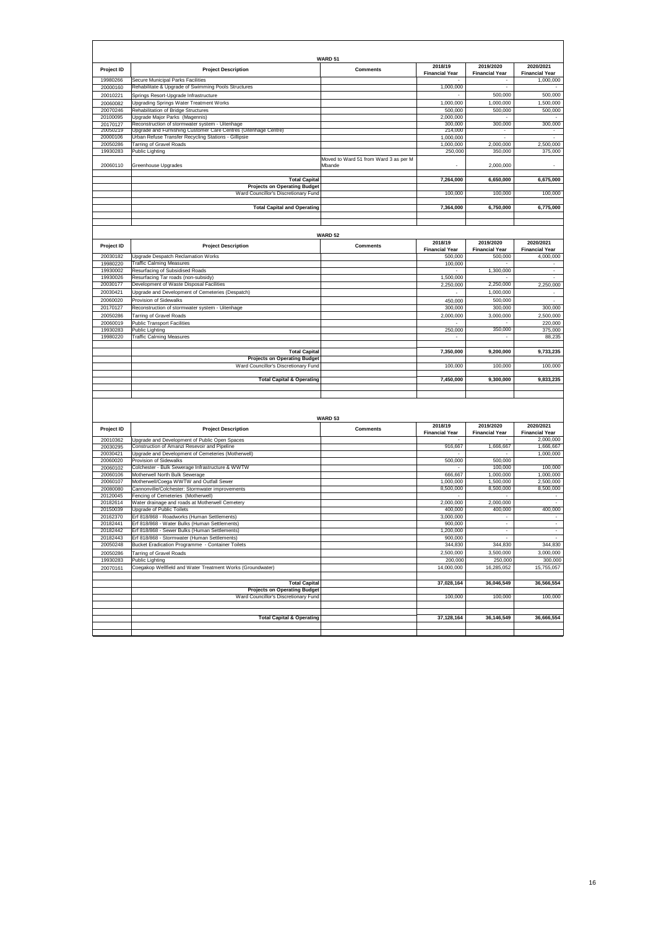|                      |                                                                                                                    | <b>WARD 51</b>                                  |                                  |                                    |                                    |
|----------------------|--------------------------------------------------------------------------------------------------------------------|-------------------------------------------------|----------------------------------|------------------------------------|------------------------------------|
| Project ID           | <b>Project Description</b>                                                                                         | <b>Comments</b>                                 | 2018/19                          | 2019/2020                          | 2020/2021                          |
| 19980266             | Secure Municipal Parks Facilities                                                                                  |                                                 | <b>Financial Year</b>            | <b>Financial Year</b>              | <b>Financial Year</b><br>1,000,000 |
| 20000160             | Rehabilitate & Upgrade of Swimming Pools Structures                                                                |                                                 | 1,000,000                        | $\hat{\phantom{a}}$                |                                    |
| 20010221             | Springs Resort-Upgrade Infrastructure                                                                              |                                                 |                                  | 500,000                            | 500,000                            |
| 20060082             | Upgrading Springs Water Treatment Works                                                                            |                                                 | 1,000,000                        | 1.000.000                          | 1,500,000                          |
| 20070246             | Rehabilitation of Bridge Structures                                                                                |                                                 | 500,000                          | 500,000                            | 500,000                            |
| 20100095             | Upgrade Major Parks (Magennis)                                                                                     |                                                 | 2,000,000                        |                                    |                                    |
| 20170127<br>20050219 | Reconstruction of stormwater system - Uitenhage<br>Upgrade and Furnishing Customer Care Centres (Uitenhage Centre) |                                                 | 300,000<br>214,000               | 300,000                            | 300,000                            |
| 20000106             | Urban Refuse Transfer Recycling Stations - Gillipsie                                                               |                                                 | 1,000,000                        | ÷,                                 |                                    |
| 20050286             | Tarring of Gravel Roads                                                                                            |                                                 | 1,000,000                        | 2,000,000                          | 2,500,000                          |
| 19930283             | Public Lighting                                                                                                    |                                                 | 250,000                          | 350,000                            | 375,000                            |
| 20060110             | Greenhouse Upgrades                                                                                                | Moved to Ward 51 from Ward 3 as per M<br>Mbande |                                  | 2,000,000                          |                                    |
|                      |                                                                                                                    |                                                 |                                  |                                    |                                    |
|                      | <b>Total Capital</b>                                                                                               |                                                 | 7,264,000                        | 6,650,000                          | 6,675,000                          |
|                      | <b>Projects on Operating Budget</b>                                                                                |                                                 |                                  |                                    |                                    |
|                      | Ward Councillor's Discretionary Fund                                                                               |                                                 | 100,000                          | 100,000                            | 100,000                            |
|                      | <b>Total Capital and Operating</b>                                                                                 |                                                 | 7,364,000                        | 6,750,000                          | 6,775,000                          |
|                      |                                                                                                                    |                                                 |                                  |                                    |                                    |
|                      |                                                                                                                    |                                                 |                                  |                                    |                                    |
|                      |                                                                                                                    |                                                 |                                  |                                    |                                    |
|                      |                                                                                                                    | <b>WARD 52</b>                                  |                                  |                                    |                                    |
| Project ID           | <b>Project Description</b>                                                                                         | <b>Comments</b>                                 | 2018/19<br><b>Financial Year</b> | 2019/2020<br><b>Financial Year</b> | 2020/2021<br><b>Financial Year</b> |
| 20030182             | Upgrade Despatch Reclamation Works                                                                                 |                                                 | 500,000                          | 500,000                            | 4.000.000                          |
| 19980220             | <b>Traffic Calming Measures</b>                                                                                    |                                                 | 100,000                          |                                    |                                    |
| 19930002             | Resurfacing of Subsidised Roads                                                                                    |                                                 |                                  | 1,300,000                          |                                    |
| 19930026             | Resurfacing Tar roads (non-subsidy)                                                                                |                                                 | 1,500,000                        |                                    |                                    |
| 20030177             | Development of Waste Disposal Facilities                                                                           |                                                 | 2,250,000                        | 2,250,000                          | 2,250,000                          |
| 20030421             | Upgrade and Development of Cemeteries (Despatch)                                                                   |                                                 |                                  | 1,000,000                          | $\blacksquare$                     |
| 20060020<br>20170127 | Provision of Sidewalks<br>Reconstruction of stormwater system - Uitenhage                                          |                                                 | 450,000<br>300,000               | 500,000<br>300,000                 |                                    |
| 20050286             | <b>Tarring of Gravel Roads</b>                                                                                     |                                                 | 2,000,000                        | 3,000,000                          | 300,000<br>2,500,000               |
| 20060019             | <b>Public Transport Facilities</b>                                                                                 |                                                 |                                  |                                    | 220,000                            |
| 19930283             | Public Lighting                                                                                                    |                                                 | 250,000                          | 350,000                            | 375,000                            |
| 19980220             | <b>Traffic Calming Measures</b>                                                                                    |                                                 |                                  |                                    | 88,235                             |
|                      |                                                                                                                    |                                                 |                                  |                                    |                                    |
|                      | <b>Total Capital</b>                                                                                               |                                                 | 7,350,000                        | 9,200,000                          | 9,733,235                          |
|                      | <b>Projects on Operating Budget</b>                                                                                |                                                 | 100,000                          |                                    |                                    |
|                      | Ward Councillor's Discretionary Fund                                                                               |                                                 |                                  | 100,000                            | 100,000                            |
|                      | <b>Total Capital &amp; Operating</b>                                                                               |                                                 | 7,450,000                        | 9,300,000                          | 9,833,235                          |
|                      |                                                                                                                    |                                                 |                                  |                                    |                                    |
|                      |                                                                                                                    |                                                 |                                  |                                    |                                    |
|                      |                                                                                                                    |                                                 |                                  |                                    |                                    |
|                      |                                                                                                                    | WARD 53                                         |                                  |                                    |                                    |
|                      |                                                                                                                    |                                                 | 2018/19                          | 2019/2020                          | 2020/2021                          |
| Project ID           | <b>Project Description</b>                                                                                         | <b>Comments</b>                                 | <b>Financial Year</b>            | <b>Financial Year</b>              | <b>Financial Year</b>              |
| 20010362             | Upgrade and Development of Public Open Spaces                                                                      |                                                 |                                  |                                    | 2,000,000                          |
| 20030295             | Construction of Amanzi Resevoir and Pipeline                                                                       |                                                 | 916,667                          | 1,666,667                          | 1,666,667                          |
| 20030421<br>20060020 | Upgrade and Development of Cemeteries (Motherwell)<br>Provision of Sidewalks                                       |                                                 | 500,000                          | 500,000                            | 1,000,000                          |
| 20060102             | Colchester - Bulk Sewerage Infrastructure & WWTW                                                                   |                                                 |                                  | 100,000                            | 100,000                            |
| 20060106             | Motherwell North Bulk Sewerage                                                                                     |                                                 | 666,667                          | 1,000,000                          | 1,000,000                          |
| 20060107             | Motherwell/Coega WWTW and Outfall Sewer                                                                            |                                                 | 1,000,000                        | 1,500,000                          | 2,500,000                          |
| 20080080             | Cannonville/Colchester: Stormwater improvements                                                                    |                                                 | 8,500,000                        | 8,500,000                          | 8,500,000                          |
| 20120045             | Fencing of Cemeteries (Motherwell)                                                                                 |                                                 |                                  |                                    |                                    |
| 20182614<br>20150039 | Water drainage and roads at Motherwell Cemetery<br>Upgrade of Public Toilets                                       |                                                 | 2,000,000<br>400,000             | 2,000,000<br>400.000               | 400,000                            |
| 20162370             | Erf 818/868 - Roadworks (Human Settlements)                                                                        |                                                 | 3,000,000                        | $\overline{\phantom{a}}$           | ٠                                  |
| 20182441             | Erf 818/868 - Water Bulks (Human Settlements)                                                                      |                                                 | 900,000                          | $\overline{\phantom{a}}$           | $\sim$                             |
| 20182442             | Erf 818/868 - Sewer Bulks (Human Settlements)                                                                      |                                                 | 1,200,000                        | $\sim$                             | $\sim$                             |
| 20182443             | Erf 818/868 - Stormwater (Human Settlements)                                                                       |                                                 | 900,000                          |                                    |                                    |
| 20050248             | Bucket Eradication Programme - Container Toilets                                                                   |                                                 | 344,830                          | 344,830                            | 344,830                            |
| 20050286             | <b>Tarring of Gravel Roads</b>                                                                                     |                                                 | 2,500,000                        | 3,500,000                          | 3,000,000                          |
| 19930283             | Public Lighting                                                                                                    |                                                 | 200,000                          | 250,000                            | 300,000                            |
| 20070161             | Coegakop Wellfield and Water Treatment Works (Groundwater)                                                         |                                                 | 14,000,000                       | 16,285,052                         | 15,755,057                         |
|                      | <b>Total Capital</b>                                                                                               |                                                 | 37,028,164                       | 36,046,549                         | 36,566,554                         |
|                      | <b>Projects on Operating Budget</b>                                                                                |                                                 |                                  |                                    |                                    |
|                      | Ward Councillor's Discretionary Fund                                                                               |                                                 | 100,000                          | 100,000                            | 100,000                            |
|                      |                                                                                                                    |                                                 |                                  |                                    |                                    |
|                      |                                                                                                                    |                                                 |                                  |                                    |                                    |
|                      | <b>Total Capital &amp; Operating</b>                                                                               |                                                 | 37,128,164                       | 36,146,549                         | 36,666,554                         |
|                      |                                                                                                                    |                                                 |                                  |                                    |                                    |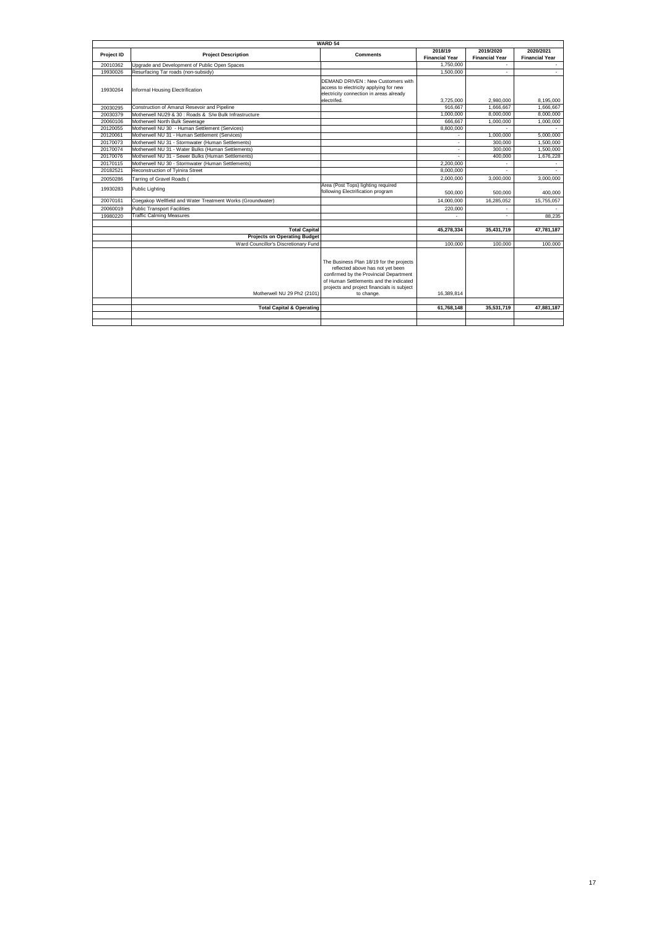|            | WARD 54                                                    |                                                                                                                                                                                                                              |                          |                          |                       |  |
|------------|------------------------------------------------------------|------------------------------------------------------------------------------------------------------------------------------------------------------------------------------------------------------------------------------|--------------------------|--------------------------|-----------------------|--|
|            |                                                            | <b>Comments</b>                                                                                                                                                                                                              | 2018/19                  | 2019/2020                | 2020/2021             |  |
| Project ID | <b>Project Description</b>                                 |                                                                                                                                                                                                                              | <b>Financial Year</b>    | <b>Financial Year</b>    | <b>Financial Year</b> |  |
| 20010362   | Upgrade and Development of Public Open Spaces              |                                                                                                                                                                                                                              | 1.750.000                |                          | $\sim$                |  |
| 19930026   | Resurfacing Tar roads (non-subsidy)                        |                                                                                                                                                                                                                              | 1.500.000                | $\overline{\phantom{a}}$ |                       |  |
| 19930264   | Informal Housing Electrification                           | DEMAND DRIVEN: New Customers with<br>access to electricity applying for new<br>electricity connection in areas already<br>electrifed.                                                                                        | 3.725.000                | 2.980.000                | 8.195.000             |  |
| 20030295   | Construction of Amanzi Resevoir and Pipeline               |                                                                                                                                                                                                                              | 916.667                  | 1.666.667                | 1,666,667             |  |
| 20030379   | Motherwell NU29 & 30 : Roads & S/w Bulk Infrastructure     |                                                                                                                                                                                                                              | 1.000.000                | 8.000.000                | 8.000.000             |  |
| 20060106   | Motherwell North Bulk Sewerage                             |                                                                                                                                                                                                                              | 666.667                  | 1,000,000                | 1,000,000             |  |
| 20120055   | Motherwell NU 30 - Human Settlement (Services)             |                                                                                                                                                                                                                              | 8.800.000                |                          |                       |  |
| 20120061   | Motherwell NU 31 - Human Settlement (Services)             |                                                                                                                                                                                                                              |                          | 1,000,000                | 5.000.000             |  |
| 20170073   | Motherwell NU 31 - Stormwater (Human Settlements)          |                                                                                                                                                                                                                              | ٠                        | 300,000                  | 1.500.000             |  |
| 20170074   | Motherwell NU 31 - Water Bulks (Human Settlements)         |                                                                                                                                                                                                                              | $\blacksquare$           | 300,000                  | 1,500,000             |  |
| 20170076   | Motherwell NU 31 - Sewer Bulks (Human Settlements)         |                                                                                                                                                                                                                              | ä,                       | 400,000                  | 1,676,228             |  |
| 20170115   | Motherwell NU 30 - Stormwater (Human Settlements)          |                                                                                                                                                                                                                              | 2,200,000                |                          |                       |  |
| 20182521   | Reconstruction of Tyinira Street                           |                                                                                                                                                                                                                              | 8,000,000                |                          |                       |  |
| 20050286   | Tarring of Gravel Roads                                    |                                                                                                                                                                                                                              | 2.000.000                | 3.000.000                | 3.000.000             |  |
| 19930283   | <b>Public Lighting</b>                                     | Area (Post Tops) lighting required                                                                                                                                                                                           |                          |                          |                       |  |
|            |                                                            | following Electrification program                                                                                                                                                                                            | 500,000                  | 500.000                  | 400.000               |  |
| 20070161   | Coegakop Wellfield and Water Treatment Works (Groundwater) |                                                                                                                                                                                                                              | 14.000.000               | 16.285.052               | 15,755,057            |  |
| 20060019   | <b>Public Transport Facilities</b>                         |                                                                                                                                                                                                                              | 220,000                  |                          |                       |  |
| 19980220   | <b>Traffic Calming Measures</b>                            |                                                                                                                                                                                                                              | $\overline{\phantom{a}}$ |                          | 88.235                |  |
|            |                                                            |                                                                                                                                                                                                                              |                          |                          |                       |  |
|            | <b>Total Capital</b>                                       |                                                                                                                                                                                                                              | 45.278.334               | 35.431.719               | 47,781,187            |  |
|            | <b>Projects on Operating Budget</b>                        |                                                                                                                                                                                                                              |                          |                          |                       |  |
|            | Ward Councillor's Discretionary Fund                       |                                                                                                                                                                                                                              | 100,000                  | 100,000                  | 100,000               |  |
|            | Motherwell NU 29 Ph2 (2101)                                | The Business Plan 18/19 for the projects<br>reflected above has not vet been<br>confirmed by the Provincial Department<br>of Human Settlements and the indicated<br>projects and project financials is subject<br>to change. | 16.389.814               |                          |                       |  |
|            | <b>Total Capital &amp; Operating</b>                       |                                                                                                                                                                                                                              | 61,768,148               | 35,531,719               | 47,881,187            |  |
|            |                                                            |                                                                                                                                                                                                                              |                          |                          |                       |  |
|            |                                                            |                                                                                                                                                                                                                              |                          |                          |                       |  |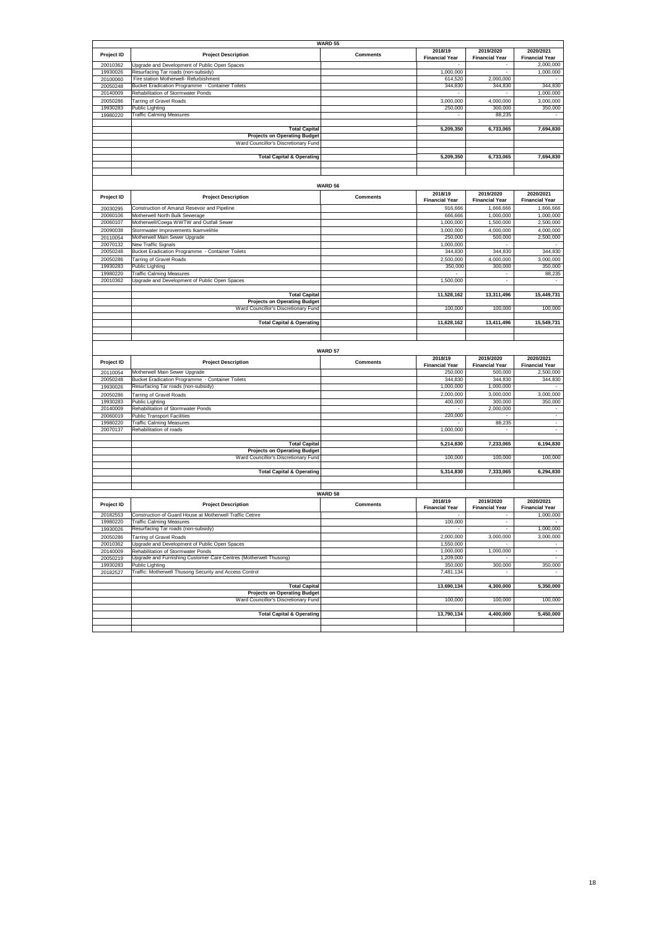|            |                                                                   | <b>WARD 55</b>  |                       |                          |                       |
|------------|-------------------------------------------------------------------|-----------------|-----------------------|--------------------------|-----------------------|
|            |                                                                   |                 | 2018/19               | 2019/2020                | 2020/2021             |
| Project ID | <b>Project Description</b>                                        | <b>Comments</b> | <b>Financial Year</b> | <b>Financial Year</b>    | <b>Financial Year</b> |
| 20010362   | Upgrade and Development of Public Open Spaces                     |                 |                       |                          | 2,000,000             |
| 19930026   | Resurfacing Tar roads (non-subsidy)                               |                 | 1,000,000             | ÷,                       | 1,000,000             |
| 20100060   | Fire station Motherwell- Refurbishment                            |                 | 614,520               | 2,000,000                |                       |
| 20050248   | Bucket Eradication Programme - Container Toilets                  |                 | 344,830               | 344,830                  | 344,830               |
|            |                                                                   |                 |                       |                          |                       |
| 20140009   | Rehabilitation of Stormwater Ponds                                |                 |                       |                          | 1,000,000             |
| 20050286   | Tarring of Gravel Roads                                           |                 | 3,000,000             | 4,000,000                | 3,000,000             |
| 19930283   | Public Lighting                                                   |                 | 250,000               | 300,000                  | 350,000               |
| 19980220   | <b>Traffic Calming Measures</b>                                   |                 |                       | 88,235                   |                       |
|            |                                                                   |                 |                       |                          |                       |
|            | <b>Total Capital</b>                                              |                 | 5,209,350             | 6,733,065                | 7,694,830             |
|            | <b>Projects on Operating Budget</b>                               |                 |                       |                          |                       |
|            | Ward Councillor's Discretionary Fund                              |                 |                       |                          |                       |
|            |                                                                   |                 |                       |                          |                       |
|            |                                                                   |                 |                       |                          |                       |
|            | <b>Total Capital &amp; Operating</b>                              |                 | 5,209,350             | 6,733,065                | 7,694,830             |
|            |                                                                   |                 |                       |                          |                       |
|            |                                                                   |                 |                       |                          |                       |
|            |                                                                   |                 |                       |                          |                       |
|            |                                                                   | <b>WARD 56</b>  |                       |                          |                       |
|            |                                                                   |                 | 2018/19               | 2019/2020                | 2020/2021             |
| Project ID | <b>Project Description</b>                                        | <b>Comments</b> |                       |                          |                       |
|            |                                                                   |                 | <b>Financial Year</b> | <b>Financial Year</b>    | <b>Financial Year</b> |
| 20030295   | Construction of Amanzi Resevoir and Pipeline                      |                 | 916,666               | 1,666,666                | 1,666,666             |
| 20060106   | Motherwell North Bulk Sewerage                                    |                 | 666,666               | 1,000,000                | 1,000,000             |
| 20060107   | Motherwell/Coega WWTW and Outfall Sewer                           |                 | 1,000,000             | 1,500,000                |                       |
|            |                                                                   |                 |                       |                          | 2,500,000             |
| 20090038   | Stormwater Improvements Ikamvelihle                               |                 | 3,000,000             | 4,000,000                | 4,000,000             |
| 20110054   | Motherwell Main Sewer Upgrade                                     |                 | 250,000               | 500,000                  | 2,500,000             |
| 20070132   | New Traffic Signals                                               |                 | 1,000,000             |                          |                       |
| 20050248   | Bucket Eradication Programme - Container Toilets                  |                 | 344,830               | 344,830                  | 344,830               |
|            |                                                                   |                 |                       |                          |                       |
| 20050286   | <b>Tarring of Gravel Roads</b>                                    |                 | 2,500,000             | 4,000,000                | 3,000,000             |
| 19930283   | <b>Public Lighting</b>                                            |                 | 350,000               | 300,000                  | 350,000               |
| 19980220   | <b>Traffic Calming Measures</b>                                   |                 |                       |                          | 88,235                |
| 20010362   | Upgrade and Development of Public Open Spaces                     |                 | 1,500,000             | $\omega$                 |                       |
|            |                                                                   |                 |                       |                          |                       |
|            | <b>Total Capital</b>                                              |                 | 11,528,162            | 13,311,496               | 15,449,731            |
|            | <b>Projects on Operating Budget</b>                               |                 |                       |                          |                       |
|            | Ward Councillor's Discretionary Fund                              |                 |                       |                          |                       |
|            |                                                                   |                 | 100,000               | 100,000                  | 100,000               |
|            |                                                                   |                 |                       |                          |                       |
|            | <b>Total Capital &amp; Operating</b>                              |                 | 11,628,162            | 13,411,496               | 15,549,731            |
|            |                                                                   |                 |                       |                          |                       |
|            |                                                                   |                 |                       |                          |                       |
|            |                                                                   |                 |                       |                          |                       |
|            |                                                                   |                 |                       |                          |                       |
|            |                                                                   |                 |                       |                          |                       |
|            |                                                                   | WARD 57         |                       |                          |                       |
| Project ID | <b>Project Description</b>                                        | <b>Comments</b> | 2018/19               | 2019/2020                | 2020/2021             |
|            |                                                                   |                 | <b>Financial Year</b> | <b>Financial Year</b>    | <b>Financial Year</b> |
| 20110054   | Motherwell Main Sewer Upgrade                                     |                 | 250,000               | 500,000                  | 2,500,000             |
| 20050248   | Bucket Eradication Programme - Container Toilets                  |                 | 344,830               | 344,830                  | 344,830               |
| 19930026   | Resurfacing Tar roads (non-subsidy)                               |                 | 1,000,000             | 1,000,000                |                       |
|            |                                                                   |                 |                       |                          |                       |
| 20050286   | Tarring of Gravel Roads                                           |                 | 2,000,000             | 3,000,000                | 3,000,000             |
| 19930283   | Public Lighting                                                   |                 | 400,000               | 300,000                  | 350,000               |
| 20140009   | Rehabilitation of Stormwater Ponds                                |                 |                       | 2,000,000                |                       |
| 20060019   | <b>Public Transport Facilities</b>                                |                 | 220,000               |                          |                       |
| 19980220   | <b>Traffic Calming Measures</b>                                   |                 |                       | 88,235                   | $\sim$                |
|            | Rehabilitation of roads                                           |                 | 1,000,000             |                          |                       |
| 20070137   |                                                                   |                 |                       |                          |                       |
|            |                                                                   |                 |                       |                          |                       |
|            | <b>Total Capital</b>                                              |                 | 5,214,830             | 7,233,065                | 6,194,830             |
|            | <b>Projects on Operating Budget</b>                               |                 |                       |                          |                       |
|            | Ward Councillor's Discretionary Fund                              |                 | 100,000               | 100,000                  | 100,000               |
|            |                                                                   |                 |                       |                          |                       |
|            | <b>Total Capital &amp; Operating</b>                              |                 | 5,314,830             | 7,333,065                | 6.294.830             |
|            |                                                                   |                 |                       |                          |                       |
|            |                                                                   |                 |                       |                          |                       |
|            |                                                                   | WARD 58         |                       |                          |                       |
|            |                                                                   |                 |                       |                          |                       |
| Project ID | <b>Project Description</b>                                        | <b>Comments</b> | 2018/19               | 2019/2020                | 2020/2021             |
|            |                                                                   |                 | <b>Financial Year</b> | <b>Financial Year</b>    | <b>Financial Year</b> |
| 20182553   | Construction of Guard House at Motherwell Traffic Cetnre          |                 |                       |                          | 1,000,000             |
| 19980220   | <b>Traffic Calming Measures</b>                                   |                 | 100,000               |                          |                       |
| 19930026   | Resurfacing Tar roads (non-subsidy)                               |                 |                       | $\overline{\phantom{a}}$ | 1,000,000             |
|            |                                                                   |                 | 2,000,000             | 3,000,000                | 3,000,000             |
| 20050286   | <b>Tarring of Gravel Roads</b>                                    |                 |                       |                          |                       |
| 20010362   | Upgrade and Development of Public Open Spaces                     |                 | 1,550,000             |                          |                       |
| 20140009   | Rehabilitation of Stormwater Ponds                                |                 | 1,000,000             | 1,000,000                | $\sim$                |
| 20050219   | Upgrade and Furnishing Customer Care Centres (Motherwell Thusong) |                 | 1,209,000             |                          |                       |
| 19930283   | Public Lighting                                                   |                 | 350,000               | 300,000                  | 350,000               |
| 20182527   | Traffic: Motherwell Thusong Security and Access Control           |                 | 7,481,134             |                          |                       |
|            |                                                                   |                 |                       |                          |                       |
|            |                                                                   |                 |                       |                          |                       |
|            | <b>Total Capital</b>                                              |                 | 13,690,134            | 4,300,000                | 5,350,000             |
|            | <b>Projects on Operating Budget</b>                               |                 |                       |                          |                       |
|            | Ward Councillor's Discretionary Fund                              |                 | 100,000               | 100,000                  | 100,000               |
|            |                                                                   |                 |                       |                          |                       |
|            | <b>Total Capital &amp; Operating</b>                              |                 | 13,790,134            | 4,400,000                | 5,450,000             |
|            |                                                                   |                 |                       |                          |                       |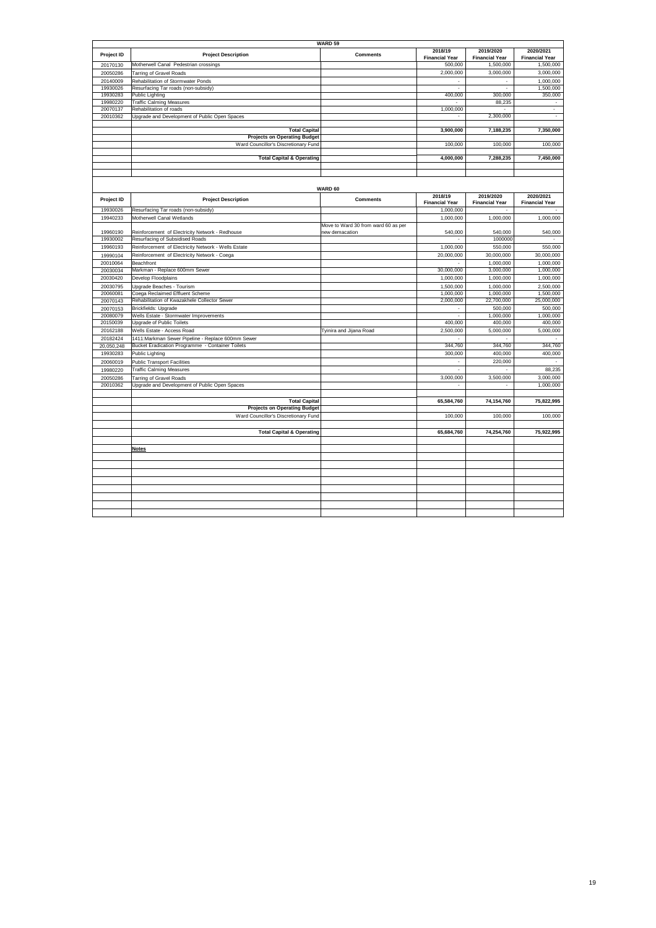|            |                                                             | <b>WARD 59</b>                      |                                  |                                    |                                    |
|------------|-------------------------------------------------------------|-------------------------------------|----------------------------------|------------------------------------|------------------------------------|
| Project ID | <b>Project Description</b>                                  | <b>Comments</b>                     | 2018/19<br><b>Financial Year</b> | 2019/2020<br><b>Financial Year</b> | 2020/2021<br><b>Financial Year</b> |
| 20170130   | Motherwell Canal Pedestrian crossings                       |                                     | 500,000                          | 1,500,000                          | 1,500,000                          |
| 20050286   | <b>Tarring of Gravel Roads</b>                              |                                     | 2,000,000                        | 3,000,000                          | 3,000,000                          |
| 20140009   | Rehabilitation of Stormwater Ponds                          |                                     |                                  |                                    | 1,000,000                          |
| 19930026   | Resurfacing Tar roads (non-subsidy)                         |                                     | L.                               | ÷,                                 | 1,500,000                          |
| 19930283   | <b>Public Lighting</b>                                      |                                     | 400,000                          | 300,000                            | 350,000                            |
| 19980220   | <b>Traffic Calming Measures</b>                             |                                     |                                  | 88,235                             |                                    |
| 20070137   | Rehabilitation of roads                                     |                                     | 1,000,000                        |                                    | $\sim$                             |
| 20010362   | Upgrade and Development of Public Open Spaces               |                                     |                                  | 2,300,000                          |                                    |
|            |                                                             |                                     |                                  |                                    |                                    |
|            | <b>Total Capital</b><br><b>Projects on Operating Budget</b> |                                     | 3,900,000                        | 7,188,235                          | 7,350,000                          |
|            | Ward Councillor's Discretionary Fund                        |                                     | 100,000                          | 100,000                            | 100,000                            |
|            |                                                             |                                     |                                  |                                    |                                    |
|            | <b>Total Capital &amp; Operating</b>                        |                                     | 4,000,000                        | 7,288,235                          | 7,450,000                          |
|            |                                                             |                                     |                                  |                                    |                                    |
|            |                                                             |                                     |                                  |                                    |                                    |
|            |                                                             | WARD 60                             |                                  |                                    |                                    |
| Project ID | <b>Project Description</b>                                  | <b>Comments</b>                     | 2018/19                          | 2019/2020                          | 2020/2021                          |
|            |                                                             |                                     | <b>Financial Year</b>            | <b>Financial Year</b>              | <b>Financial Year</b>              |
| 19930026   | Resurfacing Tar roads (non-subsidy)                         |                                     | 1,000,000                        |                                    |                                    |
| 19940233   | Motherwell Canal Wetlands                                   |                                     | 1,000,000                        | 1,000,000                          | 1,000,000                          |
|            |                                                             | Move to Ward 30 from ward 60 as per |                                  |                                    |                                    |
| 19960190   | Reinforcement of Electricity Network - Redhouse             | new demacation                      | 540,000                          | 540,000                            | 540,000                            |
| 19930002   | Resurfacing of Subsidised Roads                             |                                     |                                  | 1000000                            |                                    |
| 19960193   | Reinforcement of Electricity Network - Wells Estate         |                                     | 1,000,000                        | 550,000                            | 550,000                            |
| 19990104   | Reinforcement of Electricity Network - Coega                |                                     | 20,000,000                       | 30,000,000                         | 30,000,000                         |
| 20010064   | Beachfront                                                  |                                     |                                  | 1,000,000                          | 1,000,000                          |
| 20030034   | Markman - Replace 600mm Sewer                               |                                     | 30,000,000                       | 3,000,000                          | 1,000,000                          |
| 20030420   | Develop Floodplains                                         |                                     | 1,000,000                        | 1,000,000                          | 1,000,000                          |
| 20030795   | Upgrade Beaches - Tourism                                   |                                     | 1,500,000                        | 1,000,000                          | 2,500,000                          |
| 20060081   | Coega Reclaimed Effluent Scheme                             |                                     | 1,000,000                        | 1,000,000                          | 1,500,000                          |
| 20070143   | Rehabilitation of Kwazakhele Collector Sewer                |                                     | 2,000,000                        | 22,700,000                         | 25,000,000                         |
| 20070153   | <b>Brickfields: Upgrade</b>                                 |                                     | ÷.                               | 500,000                            | 500,000                            |
| 20080079   | Wells Estate - Stormwater Improvements                      |                                     | ÷                                | 1,000,000                          | 1,000,000                          |
| 20150039   | Upgrade of Public Toilets                                   |                                     | 400,000                          | 400,000                            | 400,000                            |
| 20162188   | Wells Estate - Access Road                                  | Tyinira and Jijana Road             | 2,500,000                        | 5,000,000                          | 5,000,000                          |
| 20182424   | 1411: Markman Sewer Pipeline - Replace 600mm Sewer          |                                     |                                  |                                    |                                    |
| 20,050,248 | Bucket Eradication Programme - Container Toilets            |                                     | 344,760                          | 344,760                            | 344,760                            |
| 19930283   | Public Lighting                                             |                                     | 300,000                          | 400,000                            | 400,000                            |
| 20060019   | <b>Public Transport Facilities</b>                          |                                     | ÷,                               | 220,000                            |                                    |
| 19980220   | <b>Traffic Calming Measures</b>                             |                                     |                                  |                                    | 88,235                             |
| 20050286   | <b>Tarring of Gravel Roads</b>                              |                                     | 3,000,000                        | 3,500,000                          | 3,000,000                          |
| 20010362   | Upgrade and Development of Public Open Spaces               |                                     |                                  | ÷.                                 | 1,000,000                          |
|            |                                                             |                                     |                                  |                                    |                                    |
|            | <b>Total Capital</b>                                        |                                     | 65,584,760                       | 74,154,760                         | 75,822,995                         |
|            | <b>Projects on Operating Budget</b>                         |                                     |                                  |                                    |                                    |
|            | Ward Councillor's Discretionary Fund                        |                                     | 100,000                          | 100,000                            | 100,000                            |
|            |                                                             |                                     |                                  |                                    |                                    |
|            | <b>Total Capital &amp; Operating</b>                        |                                     | 65,684,760                       | 74,254,760                         | 75,922,995                         |
|            |                                                             |                                     |                                  |                                    |                                    |
|            | <b>Notes</b>                                                |                                     |                                  |                                    |                                    |
|            |                                                             |                                     |                                  |                                    |                                    |
|            |                                                             |                                     |                                  |                                    |                                    |
|            |                                                             |                                     |                                  |                                    |                                    |
|            |                                                             |                                     |                                  |                                    |                                    |
|            |                                                             |                                     |                                  |                                    |                                    |
|            |                                                             |                                     |                                  |                                    |                                    |
|            |                                                             |                                     |                                  |                                    |                                    |
|            |                                                             |                                     |                                  |                                    |                                    |
|            |                                                             |                                     |                                  |                                    |                                    |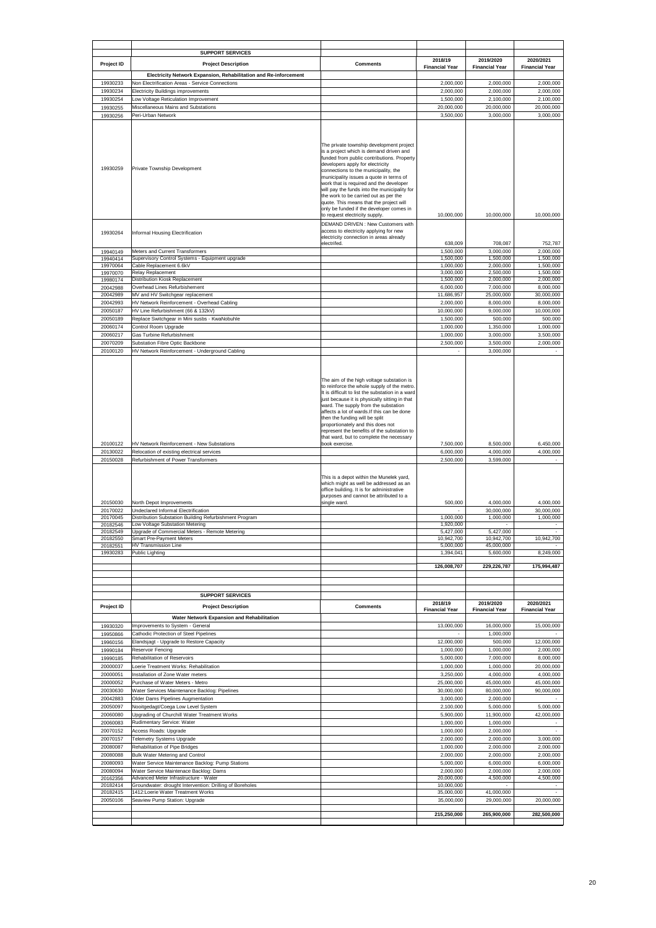|                                              | <b>SUPPORT SERVICES</b>                                                                                                                                     |                                                                                                                                                                                                                                                                                                                                                                                                                                                                                                                                                                                                                          |                                                |                                                               |                                                  |
|----------------------------------------------|-------------------------------------------------------------------------------------------------------------------------------------------------------------|--------------------------------------------------------------------------------------------------------------------------------------------------------------------------------------------------------------------------------------------------------------------------------------------------------------------------------------------------------------------------------------------------------------------------------------------------------------------------------------------------------------------------------------------------------------------------------------------------------------------------|------------------------------------------------|---------------------------------------------------------------|--------------------------------------------------|
| Project ID                                   | <b>Project Description</b>                                                                                                                                  | <b>Comments</b>                                                                                                                                                                                                                                                                                                                                                                                                                                                                                                                                                                                                          | 2018/19                                        | 2019/2020                                                     | 2020/2021                                        |
|                                              | Electricity Network Expansion, Rehabilitation and Re-inforcement                                                                                            |                                                                                                                                                                                                                                                                                                                                                                                                                                                                                                                                                                                                                          | <b>Financial Year</b>                          | <b>Financial Year</b>                                         | <b>Financial Year</b>                            |
| 19930233                                     | Non Electrification Areas - Service Connections                                                                                                             |                                                                                                                                                                                                                                                                                                                                                                                                                                                                                                                                                                                                                          | 2,000,000                                      | 2,000,000                                                     | 2,000,000                                        |
| 19930234                                     | Electricity Buildings improvements                                                                                                                          |                                                                                                                                                                                                                                                                                                                                                                                                                                                                                                                                                                                                                          | 2,000,000                                      | 2,000,000                                                     | 2,000,000                                        |
| 19930254<br>19930255                         | ow Voltage Reticulation Improvement<br>Miscellaneous Mains and Substations                                                                                  |                                                                                                                                                                                                                                                                                                                                                                                                                                                                                                                                                                                                                          | 1,500,000<br>20,000,000                        | 2,100,000<br>20,000,000                                       | 2,100,000<br>20,000,000                          |
| 19930256                                     | Peri-Urban Network                                                                                                                                          |                                                                                                                                                                                                                                                                                                                                                                                                                                                                                                                                                                                                                          | 3,500,000                                      | 3,000,000                                                     | 3,000,000                                        |
| 19930259                                     | Private Township Development                                                                                                                                | The private township development project<br>is a project which is demand driven and<br>funded from public contributions. Property<br>developers apply for electricity<br>connections to the municipality, the<br>municipality issues a quote in terms of<br>work that is required and the developer<br>will pay the funds into the municipality for<br>the work to be carried out as per the<br>quote. This means that the project will<br>only be funded if the developer comes in<br>to request electricity supply.                                                                                                    | 10,000,000                                     | 10,000,000                                                    | 10,000,000                                       |
| 19930264                                     | Informal Housing Electrification                                                                                                                            | DEMAND DRIVEN : New Customers with<br>access to electricity applying for new<br>electricity connection in areas already                                                                                                                                                                                                                                                                                                                                                                                                                                                                                                  |                                                |                                                               |                                                  |
| 19940149                                     | Meters and Current Transformers                                                                                                                             | electrifed.                                                                                                                                                                                                                                                                                                                                                                                                                                                                                                                                                                                                              | 638,009<br>1,500,000                           | 708,087<br>3,000,000                                          | 752,787<br>2,000,000                             |
| 19940414                                     | Supervisory Control Systems - Equipment upgrade                                                                                                             |                                                                                                                                                                                                                                                                                                                                                                                                                                                                                                                                                                                                                          | 1,500,000                                      | 1.500.000                                                     | 1,500,000                                        |
| 19970064                                     | Cable Replacement 6.6kV<br>Relay Replacement                                                                                                                |                                                                                                                                                                                                                                                                                                                                                                                                                                                                                                                                                                                                                          | 1,000,000<br>3,000,000                         | 2,000,000                                                     | 1,500,000                                        |
| 19970070<br>19980174                         | Distribution Kiosk Replacement                                                                                                                              |                                                                                                                                                                                                                                                                                                                                                                                                                                                                                                                                                                                                                          | 1,500,000                                      | 2,500,000<br>2,000,000                                        | 1,500,000<br>2,000,000                           |
| 20042988                                     | Overhead Lines Refurbishement                                                                                                                               |                                                                                                                                                                                                                                                                                                                                                                                                                                                                                                                                                                                                                          | 6,000,000                                      | 7,000,000                                                     | 8,000,000                                        |
| 20042989<br>20042993                         | MV and HV Switchgear replacement<br>HV Network Reinforcement - Overhead Cabling                                                                             |                                                                                                                                                                                                                                                                                                                                                                                                                                                                                                                                                                                                                          | 11,686,957<br>2,000,000                        | 25,000,000<br>8,000,000                                       | 30,000,000<br>8,000,000                          |
| 20050187                                     | HV Line Refurbishment (66 & 132kV)                                                                                                                          |                                                                                                                                                                                                                                                                                                                                                                                                                                                                                                                                                                                                                          | 10,000,000                                     | 9,000,000                                                     | 10,000,000                                       |
| 20050189                                     | Replace Switchgear in Mini susbs - KwaNobuhle                                                                                                               |                                                                                                                                                                                                                                                                                                                                                                                                                                                                                                                                                                                                                          | 1,500,000                                      | 500,000                                                       | 500,000                                          |
| 20060174                                     | Control Room Upgrade<br>Gas Turbine Refurbishment                                                                                                           |                                                                                                                                                                                                                                                                                                                                                                                                                                                                                                                                                                                                                          | 1,000,000<br>1,000,000                         | 1,350,000<br>3,000,000                                        | 1,000,000<br>3,500,000                           |
| 20060217<br>20070209                         | Substation Fibre Optic Backbone                                                                                                                             |                                                                                                                                                                                                                                                                                                                                                                                                                                                                                                                                                                                                                          | 2,500,000                                      | 3,500,000                                                     | 2,000,000                                        |
| 20100120                                     | HV Network Reinforcement - Underground Cabling                                                                                                              |                                                                                                                                                                                                                                                                                                                                                                                                                                                                                                                                                                                                                          |                                                | 3,000,000                                                     |                                                  |
| 20100122<br>20130022<br>20150028<br>20150030 | HV Network Reinforcement - New Substations<br>Relocation of existing electrical services<br>Refurbishment of Power Transformers<br>North Depot Improvements | to reinforce the whole supply of the metro.<br>It is difficult to list the substation in a ward<br>just because it is physically sitting in that<br>ward. The supply from the substation<br>affects a lot of wards. If this can be done<br>then the funding will be split<br>proportionately and this does not<br>represent the benefits of the substation to<br>that ward, but to complete the necessary<br>book exercise.<br>This is a depot within the Munelek yard,<br>which might as well be addressed as an<br>office building. It is for administrative<br>purposes and cannot be attributed to a<br>single ward. | 7,500,000<br>6,000,000<br>2,500,000<br>500,000 | 8,500,000<br>4,000,000<br>3,599,000<br>4,000,000              | 6,450,000<br>4,000,000<br>4,000,000              |
| 20170022<br>20170045                         | Undeclared Informal Electrification<br>Distribution Substation Building Refurbishment Program                                                               |                                                                                                                                                                                                                                                                                                                                                                                                                                                                                                                                                                                                                          | 1,000,000                                      | 30,000,000<br>1,000,000                                       | 30,000,000<br>1,000,000                          |
| 20182546                                     | ow Voltage Substation Metering                                                                                                                              |                                                                                                                                                                                                                                                                                                                                                                                                                                                                                                                                                                                                                          | 1,920,000                                      |                                                               |                                                  |
| 20182549<br>20182550                         | Jpgrade of Commercial Meters - Remote Metering<br>Smart Pre-Payment Meters                                                                                  |                                                                                                                                                                                                                                                                                                                                                                                                                                                                                                                                                                                                                          | 5,427,000<br>10,942,700                        | 5,427,000<br>10,942,700                                       | $\omega$<br>10,942,700                           |
| 20182551<br>19930283                         | HV Transmission Line<br>Public Lighting                                                                                                                     |                                                                                                                                                                                                                                                                                                                                                                                                                                                                                                                                                                                                                          | 5,000,000<br>1,394,041                         | 45,000,000<br>5,600,000                                       | 8,249,000                                        |
|                                              |                                                                                                                                                             |                                                                                                                                                                                                                                                                                                                                                                                                                                                                                                                                                                                                                          | 126,008,707                                    | 229,226,787                                                   | 175,994,487                                      |
|                                              | <b>SUPPORT SERVICES</b>                                                                                                                                     |                                                                                                                                                                                                                                                                                                                                                                                                                                                                                                                                                                                                                          |                                                |                                                               |                                                  |
| Project ID<br>19930320<br>19950866           | <b>Project Description</b><br>Water Network Expansion and Rehabilitation<br>Improvements to System - General<br>Cathodic Protection of Steel Pipelines      | <b>Comments</b>                                                                                                                                                                                                                                                                                                                                                                                                                                                                                                                                                                                                          | 2018/19<br><b>Financial Year</b><br>13,000,000 | 2019/2020<br><b>Financial Year</b><br>16,000,000<br>1,000,000 | 2020/2021<br><b>Financial Year</b><br>15,000,000 |
| 19960156                                     | Elandsjagt - Upgrade to Restore Capacity                                                                                                                    |                                                                                                                                                                                                                                                                                                                                                                                                                                                                                                                                                                                                                          | 12,000,000                                     | 500,000                                                       | 12,000,000                                       |
| 19990184<br>19990185                         | Reservoir Fencing<br>Rehabilitation of Reservoirs                                                                                                           |                                                                                                                                                                                                                                                                                                                                                                                                                                                                                                                                                                                                                          | 1,000,000<br>5,000,000                         | 1,000,000<br>7,000,000                                        | 2,000,000<br>8,000,000                           |
| 20000037                                     | oerie Treatment Works: Rehabilitation                                                                                                                       |                                                                                                                                                                                                                                                                                                                                                                                                                                                                                                                                                                                                                          | 1,000,000                                      | 1,000,000                                                     | 20,000,000                                       |
| 20000051                                     | nstallation of Zone Water meters                                                                                                                            |                                                                                                                                                                                                                                                                                                                                                                                                                                                                                                                                                                                                                          | 3,250,000                                      | 4,000,000                                                     | 4,000,000                                        |
| 20000052<br>20030630                         | Purchase of Water Meters - Metro<br>Water Services Maintenance Backlog: Pipelines                                                                           |                                                                                                                                                                                                                                                                                                                                                                                                                                                                                                                                                                                                                          | 25,000,000<br>30,000,000                       | 45,000,000<br>80,000,000                                      | 45,000,000<br>90,000,000                         |
| 20042883                                     | Older Dams Pipelines Augmentation                                                                                                                           |                                                                                                                                                                                                                                                                                                                                                                                                                                                                                                                                                                                                                          | 3,000,000                                      | 2,000,000                                                     | $\blacksquare$                                   |
| 20050097                                     | Nooitgedagt/Coega Low Level System                                                                                                                          |                                                                                                                                                                                                                                                                                                                                                                                                                                                                                                                                                                                                                          | 2,100,000                                      | 5,000,000                                                     | 5,000,000                                        |
| 20060080<br>20060083                         | Upgrading of Churchill Water Treatment Works<br>Rudimentary Service: Water                                                                                  |                                                                                                                                                                                                                                                                                                                                                                                                                                                                                                                                                                                                                          | 5,900,000<br>1,000,000                         | 11,900,000<br>1,000,000                                       | 42,000,000                                       |
| 20070152                                     | <b>Access Roads: Upgrade</b>                                                                                                                                |                                                                                                                                                                                                                                                                                                                                                                                                                                                                                                                                                                                                                          | 1,000,000                                      | 2,000,000                                                     |                                                  |
| 20070157                                     | <b>Telemetry Systems Upgrade</b>                                                                                                                            |                                                                                                                                                                                                                                                                                                                                                                                                                                                                                                                                                                                                                          | 2,000,000                                      | 2,000,000                                                     | 3,000,000                                        |
| 20080087                                     | Rehabilitation of Pipe Bridges<br><b>Bulk Water Metering and Control</b>                                                                                    |                                                                                                                                                                                                                                                                                                                                                                                                                                                                                                                                                                                                                          | 1,000,000<br>2,000,000                         | 2,000,000<br>2,000,000                                        | 2,000,000<br>2,000,000                           |
| 20080088<br>20080093                         | Water Service Maintenance Backlog: Pump Stations                                                                                                            |                                                                                                                                                                                                                                                                                                                                                                                                                                                                                                                                                                                                                          | 5,000,000                                      | 6,000,000                                                     | 6,000,000                                        |
| 20080094                                     | Water Service Maintenace Backlog: Dams                                                                                                                      |                                                                                                                                                                                                                                                                                                                                                                                                                                                                                                                                                                                                                          | 2,000,000                                      | 2,000,000                                                     | 2,000,000                                        |
| 20162356<br>20182414                         | Advanced Meter Infrastructure - Water<br>Groundwater: drought Intervention: Drilling of Boreholes                                                           |                                                                                                                                                                                                                                                                                                                                                                                                                                                                                                                                                                                                                          | 20,000,000<br>10,000,000                       | 4,500,000                                                     | 4,500,000                                        |
| 20182415                                     | 1412:Loerie Water Treatment Works                                                                                                                           |                                                                                                                                                                                                                                                                                                                                                                                                                                                                                                                                                                                                                          | 35,000,000                                     | 41,000,000                                                    |                                                  |
| 20050106                                     | Seaview Pump Station: Upgrade                                                                                                                               |                                                                                                                                                                                                                                                                                                                                                                                                                                                                                                                                                                                                                          | 35,000,000                                     | 29,000,000                                                    | 20,000,000                                       |
|                                              |                                                                                                                                                             |                                                                                                                                                                                                                                                                                                                                                                                                                                                                                                                                                                                                                          | 215,250,000                                    | 265,900,000                                                   | 282,500,000                                      |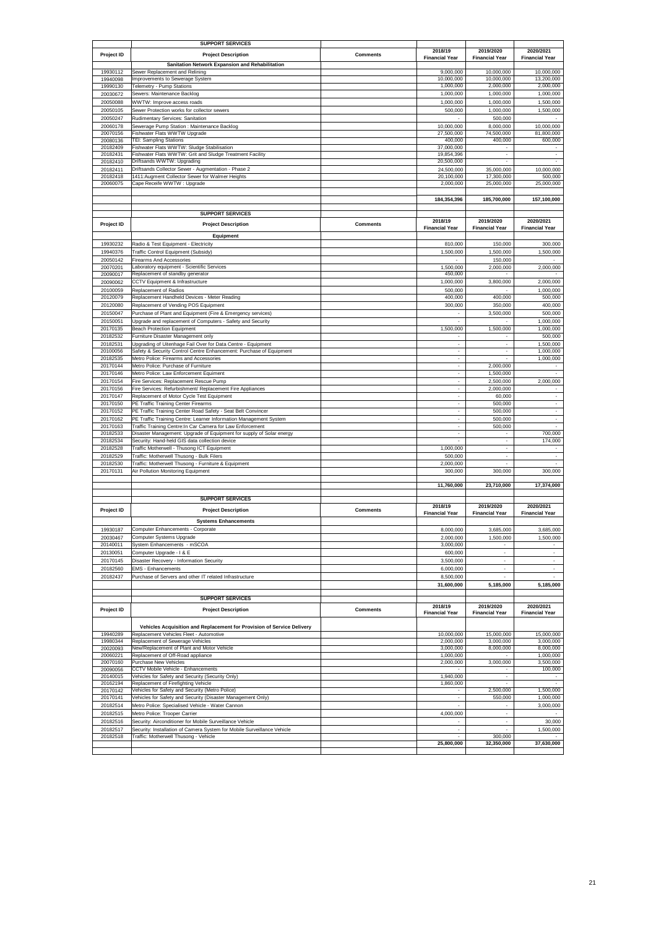|                      | <b>SUPPORT SERVICES</b>                                                                                |                 |                                  |                          |                          |
|----------------------|--------------------------------------------------------------------------------------------------------|-----------------|----------------------------------|--------------------------|--------------------------|
|                      |                                                                                                        |                 | 2018/19                          | 2019/2020                | 2020/2021                |
| Project ID           | <b>Project Description</b>                                                                             | <b>Comments</b> | <b>Financial Year</b>            | <b>Financial Year</b>    | <b>Financial Year</b>    |
|                      | Sanitation Network Expansion and Rehabilitation                                                        |                 |                                  |                          |                          |
| 19930112             | Sewer Replacement and Relining                                                                         |                 | 9,000,000                        | 10,000,000               | 10,000,000               |
| 19940098             | mprovements to Sewerage System                                                                         |                 | 10,000,000                       | 10,000,000               | 13,200,000               |
| 19990130             | Telemetry - Pump Stations                                                                              |                 | 1,000,000                        | 2,000,000                | 2,000,000                |
| 20030672             | Sewers: Maintenance Backlog                                                                            |                 | 1,000,000                        | 1,000,000                | 1,000,000                |
| 20050088             | WWTW: Improve access roads                                                                             |                 | 1,000,000                        | 1,000,000                | 1,500,000                |
| 20050105             | Sewer Protection works for collector sewers                                                            |                 | 500,000                          | 1,000,000                | 1,500,000                |
| 20050247             | Rudimentary Services: Sanitation                                                                       |                 |                                  | 500,000                  |                          |
| 20060178             | Sewerage Pump Station : Maintenance Backlog                                                            |                 | 10,000,000                       | 8,000,000                | 10,000,000               |
|                      | Fishwater Flats WWTW Upgrade                                                                           |                 | 27,500,000                       | 74,500,000               | 81,800,000               |
| 20070156<br>20080136 | <b>TEI: Sampling Stations</b>                                                                          |                 | 400,000                          | 400,000                  | 600,000                  |
| 20182409             | ishwater Flats WWTW: Sludge Stabilisation                                                              |                 | 37,000,000                       |                          |                          |
| 20182431             | Fishwater Flats WWTW: Grit and Sludge Treatment Facility                                               |                 | 19,854,396                       |                          |                          |
| 20182410             | Driftsands WWTW: Upgrading                                                                             |                 | 20,500,000                       | $\sim$                   |                          |
| 20182411             |                                                                                                        |                 |                                  |                          |                          |
|                      | Driftsands Collector Sewer - Augmentation - Phase 2<br>1411:Augment Collector Sewer for Walmer Heights |                 | 24,500,000<br>20,100,000         | 35,000,000<br>17,300,000 | 10,000,000               |
| 20182418<br>20060075 |                                                                                                        |                 |                                  |                          | 500,000                  |
|                      | Cape Receife WWTW: Upgrade                                                                             |                 | 2,000,000                        | 25,000,000               | 25,000,000               |
|                      |                                                                                                        |                 |                                  |                          |                          |
|                      |                                                                                                        |                 | 184,354,396                      | 185,700,000              | 157,100,000              |
|                      |                                                                                                        |                 |                                  |                          |                          |
|                      | <b>SUPPORT SERVICES</b>                                                                                |                 |                                  |                          |                          |
| Project ID           | <b>Project Description</b>                                                                             | <b>Comments</b> | 2018/19                          | 2019/2020                | 2020/2021                |
|                      |                                                                                                        |                 | <b>Financial Year</b>            | <b>Financial Year</b>    | <b>Financial Year</b>    |
|                      | Equipment                                                                                              |                 |                                  |                          |                          |
| 19930232             | Radio & Test Equipment - Electricity                                                                   |                 | 810,000                          | 150,000                  | 300,000                  |
| 19940376             | Traffic Control Equipment (Subsidy                                                                     |                 | 1,500,000                        | 1,500,000                | 1,500,000                |
| 20050142             | Firearms And Accessories                                                                               |                 |                                  | 150,000                  |                          |
| 20070201             | aboratory equipment - Scientific Services                                                              |                 | 1,500,000                        | 2,000,000                | 2,000,000                |
| 20090017             | Replacement of standby generator                                                                       |                 | 450,000                          |                          |                          |
| 20090062             | CCTV Equipment & Infrastructure                                                                        |                 | 1,000,000                        | 3,800,000                | 2,000,000                |
| 20100059             | Replacement of Radios                                                                                  |                 | 500,000                          |                          | 1,000,000                |
| 20120079             | Replacement Handheld Devices - Meter Reading                                                           |                 | 400,000                          | 400,000                  | 500,000                  |
|                      | Replacement of Vending POS Equipment                                                                   |                 |                                  |                          | 400,000                  |
| 20120080             |                                                                                                        |                 | 300,000                          | 350,000                  |                          |
| 20150047             | Purchase of Plant and Equipment (Fire & Emergency services)                                            |                 | $\overline{\phantom{a}}$         | 3,500,000                | 500,000                  |
| 20150051             | Jpgrade and replacement of Computers - Safety and Security                                             |                 | $\sim$                           |                          | 1,000,000                |
| 20170135             | <b>Beach Protection Equipment</b>                                                                      |                 | 1,500,000                        | 1,500,000                | 1,000,000                |
| 20182532             | Furniture Disaster Management only                                                                     |                 |                                  |                          | 500,000                  |
| 20182531             | Jpgrading of Uitenhage Fail Over for Data Centre - Equipment                                           |                 | $\sim$                           | $\overline{\phantom{a}}$ | 1,500,000                |
| 20100056             | Safety & Security Control Centre Enhancement: Purchase of Equipment                                    |                 | $\sim$                           | $\sim$                   | 1,000,000                |
| 20182535             | Metro Police: Firearms and Accessories                                                                 |                 | ÷.                               | $\overline{a}$           | 1,000,000                |
| 20170144             | Metro Police: Purchase of Furniture                                                                    |                 |                                  | 2,000,000                |                          |
| 20170146             | Metro Police: Law Enforcement Equiment                                                                 |                 | $\overline{\phantom{a}}$         | 1,500,000                | $\overline{\phantom{a}}$ |
| 20170154             | Fire Services: Replacement Rescue Pump                                                                 |                 | $\mathbf{r}$                     | 2,500,000                | 2,000,000                |
| 20170156             | Fire Services: Refurbishment/ Replacement Fire Appliances                                              |                 | $\overline{\phantom{a}}$         | 2,000,000                |                          |
| 20170147             | Replacement of Motor Cycle Test Equipment                                                              |                 | $\sim$                           | 60,000                   | $\overline{\phantom{a}}$ |
| 20170150             | PE Traffic Training Center Firearms                                                                    |                 | $\sim$                           | 500,000                  | $\sim$                   |
| 20170152             | PE Traffic Training Center Road Safety - Seat Belt Convincer                                           |                 | $\sim$                           | 500,000                  | $\overline{\phantom{a}}$ |
| 20170162             |                                                                                                        |                 |                                  | 500,000                  |                          |
|                      | PE Traffic Training Centre: Learner Information Management System                                      |                 | $\overline{\phantom{a}}$         |                          | $\overline{\phantom{a}}$ |
| 20170163             | Traffic Training Centre:In Car Camera for Law Enforcement                                              |                 | $\overline{\phantom{a}}$         | 500,000                  |                          |
| 20182533             | Disaster Management: Upgrade of Equipment for supply of Solar energy                                   |                 | $\sim$                           | $\sim$                   | 700,000                  |
| 20182534             | Security: Hand-held GIS data collection device                                                         |                 |                                  |                          | 174,000                  |
| 20182528             | Fraffic Motherwell - Thusong ICT Equipment                                                             |                 | 1,000,000                        | $\overline{\phantom{a}}$ |                          |
| 20182529             | Fraffic: Motherwell Thusong - Bulk Filers                                                              |                 | 500,000                          | $\overline{\phantom{a}}$ | $\overline{\phantom{a}}$ |
| 20182530             | Traffic: Motherwell Thusong - Furniture & Equipment                                                    |                 | 2,000,000                        | $\sim$                   |                          |
| 20170131             | Air Pollution Monitoring Equipment                                                                     |                 | 300,000                          | 300,000                  | 300,000                  |
|                      |                                                                                                        |                 |                                  |                          |                          |
|                      |                                                                                                        |                 | 11,760,000                       | 23,710,000               | 17,374,000               |
|                      |                                                                                                        |                 |                                  |                          |                          |
|                      | <b>SUPPORT SERVICES</b>                                                                                |                 |                                  |                          |                          |
| Project ID           | <b>Project Description</b>                                                                             | Comments        | 2018/19                          | 2019/2020                | 2020/2021                |
|                      |                                                                                                        |                 | <b>Financial Year</b>            | <b>Financial Year</b>    | <b>Financial Year</b>    |
|                      | <b>Systems Enhancements</b>                                                                            |                 |                                  |                          |                          |
| 19930187             | Computer Enhancements - Corporate                                                                      |                 | 8.000.000                        | 3,685,000                | 3,685,000                |
| 20030467             | Computer Systems Upgrade                                                                               |                 | 2,000,000                        | 1,500,000                | 1,500,000                |
| 20140011             | System Enhancements - mSCOA                                                                            |                 | 3,000,000                        | ÷,                       | $\overline{\phantom{a}}$ |
| 20130051             | Computer Upgrade - I & E                                                                               |                 | 600,000                          | $\epsilon$               | $\sim$                   |
| 20170145             | Disaster Recovery - Information Security                                                               |                 | 3,500,000                        | ÷,                       | $\mathbb{Z}^2$           |
| 20182560             | <b>EMS - Enhancements</b>                                                                              |                 | 6,000,000                        | ä,                       |                          |
| 20182437             | Purchase of Servers and other IT related Infrastructure                                                |                 | 8,500,000                        |                          |                          |
|                      |                                                                                                        |                 |                                  |                          |                          |
|                      |                                                                                                        |                 | 31,600,000                       | 5,185,000                | 5,185,000                |
|                      | <b>SUPPORT SERVICES</b>                                                                                |                 |                                  |                          |                          |
|                      |                                                                                                        |                 |                                  |                          |                          |
| Project ID           | <b>Project Description</b>                                                                             | <b>Comments</b> | 2018/19<br><b>Financial Year</b> | 2019/2020                | 2020/2021                |
|                      |                                                                                                        |                 |                                  | <b>Financial Year</b>    | <b>Financial Year</b>    |
|                      | Vehicles Acquisition and Replacement for Provision of Service Delivery                                 |                 |                                  |                          |                          |
| 19940289             | Replacement Vehicles Fleet - Automotive                                                                |                 | 10,000,000                       | 15,000,000               | 15,000,000               |
| 19980344             |                                                                                                        |                 | 2,000,000                        |                          | 3,000,000                |
| 20020093             | Replacement of Sewerage Vehicles<br>New/Replacement of Plant and Motor Vehicle                         |                 | 3,000,000                        | 3,000,000<br>8,000,000   | 8,000,000                |
| 20060221             | Replacement of Off-Road appliance                                                                      |                 | 1,000,000                        |                          | 1.000.000                |
| 20070160             | Purchase New Vehicles                                                                                  |                 | 2,000,000                        | 3,000,000                | 3,500,000                |
| 20090056             | CCTV Mobile Vehicle - Enhancements                                                                     |                 |                                  |                          | 100,000                  |
| 20140015             | Vehicles for Safety and Security (Security Only)                                                       |                 | 1,940,000                        |                          |                          |
| 20162194             | Replacement of Firefighting Vehicle                                                                    |                 | 1,860,000                        |                          |                          |
| 20170142             | Vehicles for Safety and Security (Metro Police)                                                        |                 | $\overline{\phantom{a}}$         | 2,500,000                | 1,500,000                |
| 20170141             | Vehicles for Safety and Security (Disaster Management Only)                                            |                 | $\sim$                           | 550,000                  | 1,000,000                |
|                      |                                                                                                        |                 | $\sim$                           |                          |                          |
| 20182514             | Metro Police: Specialised Vehicle - Water Cannon                                                       |                 |                                  |                          | 3,000,000                |
| 20182515             | Metro Police: Trooper Carrier                                                                          |                 | 4,000,000                        | $\overline{\phantom{a}}$ |                          |
| 20182516             | Security: Airconditioner for Mobile Surveillance Vehicle                                               |                 | ÷,                               | $\omega$                 | 30,000                   |
| 20182517             | Security: Installation of Camera System for Mobile Surveillance Vehicle                                |                 | $\overline{\phantom{a}}$         | $\sim$                   | 1,500,000                |
| 20182518             | Traffic: Motherwell Thusong - Vehicle                                                                  |                 |                                  | 300,000                  |                          |
|                      |                                                                                                        |                 | 25,800,000                       | 32,350,000               | 37,630,000               |
|                      |                                                                                                        |                 |                                  |                          |                          |